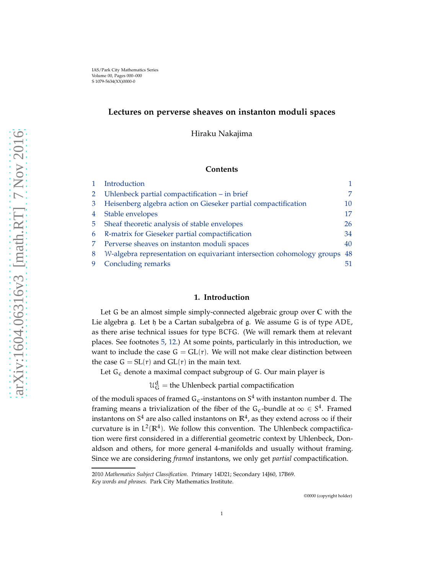# **Lectures on perverse sheaves on instanton moduli spaces**

Hiraku Nakajima

# **Contents**

|   | Introduction                                                              |    |
|---|---------------------------------------------------------------------------|----|
|   | Uhlenbeck partial compactification - in brief                             | 7  |
| 3 | Heisenberg algebra action on Gieseker partial compactification            | 10 |
| 4 | Stable envelopes                                                          | 17 |
| 5 | Sheaf theoretic analysis of stable envelopes                              | 26 |
| 6 | R-matrix for Gieseker partial compactification                            | 34 |
|   | Perverse sheaves on instanton moduli spaces                               | 40 |
| 8 | W-algebra representation on equivariant intersection cohomology groups 48 |    |
|   | Concluding remarks                                                        |    |

# **1. Introduction**

<span id="page-0-0"></span>Let G be an almost simple simply-connected algebraic group over **C** with the Lie algebra g. Let h be a Cartan subalgebra of g. We assume G is of type ADE, as there arise technical issues for type BCFG. (We will remark them at relevant places. See footnotes [5,](#page-7-0) [12.](#page-40-0)) At some points, particularly in this introduction, we want to include the case  $G = GL(r)$ . We will not make clear distinction between the case  $G = SL(r)$  and  $GL(r)$  in the main text.

Let  $G_c$  denote a maximal compact subgroup of  $G$ . Our main player is

 $\mathfrak{U}^{\rm d}_{\rm G}$  = the Uhlenbeck partial compactification

of the moduli spaces of framed  $G_c$ -instantons on  $S<sup>4</sup>$  with instanton number d. The framing means a trivialization of the fiber of the G<sub>c</sub>-bundle at  $\infty \in S^4$ . Framed instantons on  $S^4$  are also called instantons on  $\mathbb{R}^4$ , as they extend across  $\infty$  if their curvature is in  $L^2(\mathbb{R}^4)$ . We follow this convention. The Uhlenbeck compactification were first considered in a differential geometric context by Uhlenbeck, Donaldson and others, for more general 4-manifolds and usually without framing. Since we are considering *framed* instantons, we only get *partial* compactification.

©0000 (copyright holder)

<sup>2010</sup> *Mathematics Subject Classification.* Primary 14D21; Secondary 14J60, 17B69.

*Key words and phrases.* Park City Mathematics Institute.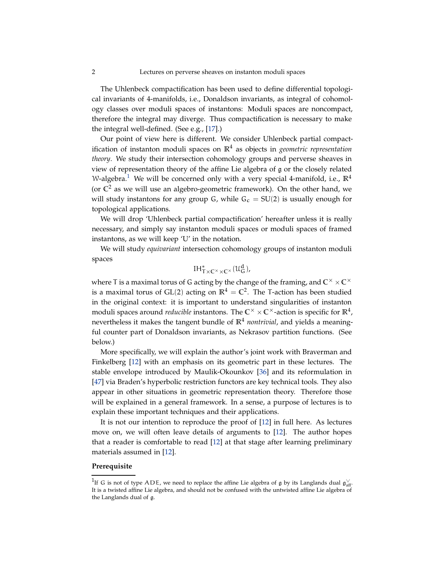<span id="page-1-1"></span>The Uhlenbeck compactification has been used to define differential topological invariants of 4-manifolds, i.e., Donaldson invariants, as integral of cohomology classes over moduli spaces of instantons: Moduli spaces are noncompact, therefore the integral may diverge. Thus compactification is necessary to make the integral well-defined. (See e.g., [\[17\]](#page-54-0).)

Our point of view here is different. We consider Uhlenbeck partial compactification of instanton moduli spaces on **R**<sup>4</sup> as objects in *geometric representation theory*. We study their intersection cohomology groups and perverse sheaves in view of representation theory of the affine Lie algebra of g or the closely related W-algebra.<sup>[1](#page-1-0)</sup> We will be concerned only with a very special 4-manifold, i.e.,  $\mathbb{R}^4$ (or  $\mathbb{C}^2$  as we will use an algebro-geometric framework). On the other hand, we will study instantons for any group G, while  $G_c = SU(2)$  is usually enough for topological applications.

We will drop 'Uhlenbeck partial compactification' hereafter unless it is really necessary, and simply say instanton moduli spaces or moduli spaces of framed instantons, as we will keep 'U' in the notation.

We will study *equivariant* intersection cohomology groups of instanton moduli spaces

$$
IH_{T\times C^{\times}\times C^{\times}}^{*}(\mathcal{U}_{G}^{d}),
$$

where T is a maximal torus of G acting by the change of the framing, and  $\mathbb{C}^{\times} \times \mathbb{C}^{\times}$ is a maximal torus of  $GL(2)$  acting on  $\mathbb{R}^4 = \mathbb{C}^2$ . The T-action has been studied in the original context: it is important to understand singularities of instanton moduli spaces around *reducible* instantons. The  $C^{\times} \times C^{\times}$ -action is specific for  $\mathbb{R}^{4}$ , nevertheless it makes the tangent bundle of **R**<sup>4</sup> *nontrivial*, and yields a meaningful counter part of Donaldson invariants, as Nekrasov partition functions. (See below.)

More specifically, we will explain the author's joint work with Braverman and Finkelberg [\[12\]](#page-54-1) with an emphasis on its geometric part in these lectures. The stable envelope introduced by Maulik-Okounkov [\[36\]](#page-55-0) and its reformulation in [\[47\]](#page-55-1) via Braden's hyperbolic restriction functors are key technical tools. They also appear in other situations in geometric representation theory. Therefore those will be explained in a general framework. In a sense, a purpose of lectures is to explain these important techniques and their applications.

It is not our intention to reproduce the proof of [\[12\]](#page-54-1) in full here. As lectures move on, we will often leave details of arguments to [\[12\]](#page-54-1). The author hopes that a reader is comfortable to read [\[12\]](#page-54-1) at that stage after learning preliminary materials assumed in [\[12\]](#page-54-1).

# **Prerequisite**

<span id="page-1-0"></span><sup>&</sup>lt;sup>1</sup>If G is not of type ADE, we need to replace the affine Lie algebra of  $\frak g$  by its Langlands dual  $\frak g_{{\rm aff}}^\vee$ It is a twisted affine Lie algebra, and should not be confused with the untwisted affine Lie algebra of the Langlands dual of g.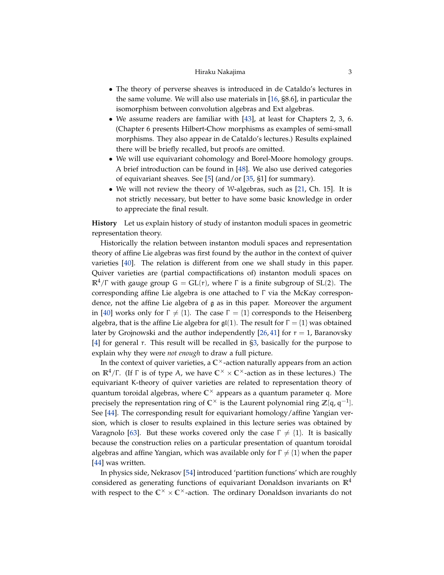## Hiraku Nakajima 3

- <span id="page-2-0"></span>• The theory of perverse sheaves is introduced in de Cataldo's lectures in the same volume. We will also use materials in [\[16,](#page-54-2) §8.6], in particular the isomorphism between convolution algebras and Ext algebras.
- We assume readers are familiar with [\[43\]](#page-55-2), at least for Chapters 2, 3, 6. (Chapter 6 presents Hilbert-Chow morphisms as examples of semi-small morphisms. They also appear in de Cataldo's lectures.) Results explained there will be briefly recalled, but proofs are omitted.
- We will use equivariant cohomology and Borel-Moore homology groups. A brief introduction can be found in [\[48\]](#page-55-3). We also use derived categories of equivariant sheaves. See [\[5\]](#page-54-3) (and/or [\[35,](#page-55-4) §1] for summary).
- We will not review the theory of W-algebras, such as [\[21,](#page-54-4) Ch. 15]. It is not strictly necessary, but better to have some basic knowledge in order to appreciate the final result.

**History** Let us explain history of study of instanton moduli spaces in geometric representation theory.

Historically the relation between instanton moduli spaces and representation theory of affine Lie algebras was first found by the author in the context of quiver varieties [\[40\]](#page-55-5). The relation is different from one we shall study in this paper. Quiver varieties are (partial compactifications of) instanton moduli spaces on  $\mathbb{R}^4/\Gamma$  with gauge group  $G = GL(r)$ , where  $\Gamma$  is a finite subgroup of SL(2). The corresponding affine Lie algebra is one attached to  $\Gamma$  via the McKay correspondence, not the affine Lie algebra of g as in this paper. Moreover the argument in [\[40\]](#page-55-5) works only for  $\Gamma \neq \{1\}$ . The case  $\Gamma = \{1\}$  corresponds to the Heisenberg algebra, that is the affine Lie algebra for  $\mathfrak{gl}(1)$ . The result for  $\Gamma = \{1\}$  was obtained later by Grojnowski and the author independently [\[26,](#page-54-5)[41\]](#page-55-6) for  $r = 1$ , Baranovsky [\[4\]](#page-54-6) for general r. This result will be recalled in [§3,](#page-9-0) basically for the purpose to explain why they were *not enough* to draw a full picture.

In the context of quiver varieties, a  $\mathbb{C}^{\times}$ -action naturally appears from an action on  $\mathbb{R}^4/\Gamma$ . (If  $\Gamma$  is of type A, we have  $\mathbb{C}^\times \times \mathbb{C}^\times$ -action as in these lectures.) The equivariant K-theory of quiver varieties are related to representation theory of quantum toroidal algebras, where **C** × appears as a quantum parameter q. More precisely the representation ring of  $\mathbb{C}^{\times}$  is the Laurent polynomial ring  $\mathbb{Z}[q, q^{-1}]$ . See [\[44\]](#page-55-7). The corresponding result for equivariant homology/affine Yangian version, which is closer to results explained in this lecture series was obtained by Varagnolo [\[63\]](#page-56-0). But these works covered only the case  $\Gamma \neq \{1\}$ . It is basically because the construction relies on a particular presentation of quantum toroidal algebras and affine Yangian, which was available only for  $\Gamma \neq \{1\}$  when the paper [\[44\]](#page-55-7) was written.

In physics side, Nekrasov [\[54\]](#page-55-8) introduced 'partition functions' which are roughly considered as generating functions of equivariant Donaldson invariants on **R**<sup>4</sup> with respect to the  $\mathbb{C}^{\times} \times \mathbb{C}^{\times}$ -action. The ordinary Donaldson invariants do not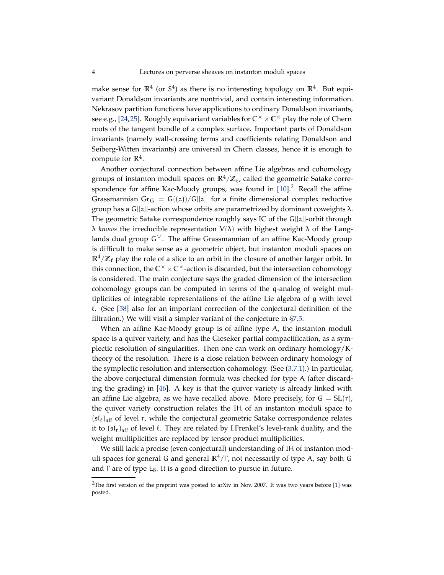<span id="page-3-1"></span>make sense for  $\mathbb{R}^4$  (or  $S^4$ ) as there is no interesting topology on  $\mathbb{R}^4$ . But equivariant Donaldson invariants are nontrivial, and contain interesting information. Nekrasov partition functions have applications to ordinary Donaldson invariants, see e.g., [\[24,](#page-54-7)[25\]](#page-54-8). Roughly equivariant variables for  $\mathbb{C}^\times \times \mathbb{C}^\times$  play the role of Chern roots of the tangent bundle of a complex surface. Important parts of Donaldson invariants (namely wall-crossing terms and coefficients relating Donaldson and Seiberg-Witten invariants) are universal in Chern classes, hence it is enough to compute for **R**<sup>4</sup> .

Another conjectural connection between affine Lie algebras and cohomology groups of instanton moduli spaces on  $\mathbb{R}^4/\mathbb{Z}_\ell$ , called the geometric Satake correspondence for affine Kac-Moody groups, was found in  $[10]<sup>2</sup>$  $[10]<sup>2</sup>$  $[10]<sup>2</sup>$  Recall the affine Grassmannian Gr<sub>G</sub> = G((z))/G[[z]] for a finite dimensional complex reductive group has a  $G[[z]]$ -action whose orbits are parametrized by dominant coweights  $\lambda$ . The geometric Satake correspondence roughly says IC of the G[[z]]-orbit through  $\lambda$  *knows* the irreducible representation  $V(\lambda)$  with highest weight  $\lambda$  of the Langlands dual group  $G^{\vee}$ . The affine Grassmannian of an affine Kac-Moody group is difficult to make sense as a geometric object, but instanton moduli spaces on  $\mathbb{R}^4/\mathbb{Z}_\ell$  play the role of a slice to an orbit in the closure of another larger orbit. In this connection, the  $\mathbb{C}^{\times} \times \mathbb{C}^{\times}$ -action is discarded, but the intersection cohomology is considered. The main conjecture says the graded dimension of the intersection cohomology groups can be computed in terms of the q-analog of weight multiplicities of integrable representations of the affine Lie algebra of g with level ℓ. (See [\[58\]](#page-56-1) also for an important correction of the conjectural definition of the filtration.) We will visit a simpler variant of the conjecture in [§7.5.](#page-44-0)

When an affine Kac-Moody group is of affine type A, the instanton moduli space is a quiver variety, and has the Gieseker partial compactification, as a symplectic resolution of singularities. Then one can work on ordinary homology/Ktheory of the resolution. There is a close relation between ordinary homology of the symplectic resolution and intersection cohomology. (See [\(3.7.1\)](#page-15-0).) In particular, the above conjectural dimension formula was checked for type A (after discarding the grading) in [\[46\]](#page-55-9). A key is that the quiver variety is already linked with an affine Lie algebra, as we have recalled above. More precisely, for  $G = SL(r)$ , the quiver variety construction relates the IH of an instanton moduli space to  $(sI_\ell)_{\text{aff}}$  of level r, while the conjectural geometric Satake correspondence relates it to  $(\mathfrak{sl}_r)_{\text{aff}}$  of level  $\ell$ . They are related by I.Frenkel's level-rank duality, and the weight multiplicities are replaced by tensor product multiplicities.

We still lack a precise (even conjectural) understanding of IH of instanton moduli spaces for general G and general **R**4/Γ , not necessarily of type A, say both G and  $\Gamma$  are of type  $E_8$ . It is a good direction to pursue in future.

<span id="page-3-0"></span><sup>&</sup>lt;sup>2</sup>The first version of the preprint was posted to arXiv in Nov. 2007. It was two years before [\[1\]](#page-53-0) was posted.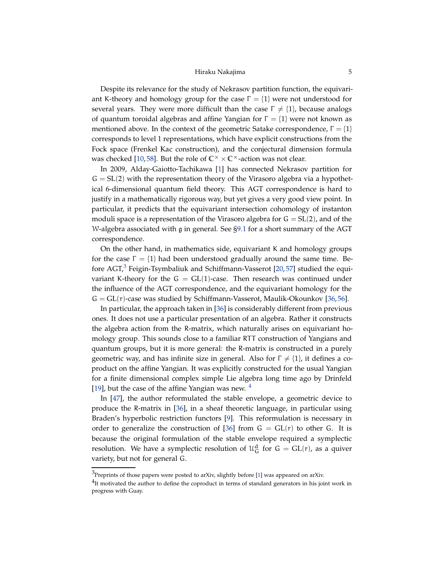## Hiraku Nakajima 5

<span id="page-4-2"></span>Despite its relevance for the study of Nekrasov partition function, the equivariant K-theory and homology group for the case  $\Gamma = \{1\}$  were not understood for several years. They were more difficult than the case  $\Gamma \neq \{1\}$ , because analogs of quantum toroidal algebras and affine Yangian for  $\Gamma = \{1\}$  were not known as mentioned above. In the context of the geometric Satake correspondence,  $\Gamma = \{1\}$ corresponds to level 1 representations, which have explicit constructions from the Fock space (Frenkel Kac construction), and the conjectural dimension formula was checked [\[10,](#page-54-9)[58\]](#page-56-1). But the role of  $\mathbb{C}^{\times} \times \mathbb{C}^{\times}$ -action was not clear.

In 2009, Alday-Gaiotto-Tachikawa [\[1\]](#page-53-0) has connected Nekrasov partition for  $G = SL(2)$  with the representation theory of the Virasoro algebra via a hypothetical 6-dimensional quantum field theory. This AGT correspondence is hard to justify in a mathematically rigorous way, but yet gives a very good view point. In particular, it predicts that the equivariant intersection cohomology of instanton moduli space is a representation of the Virasoro algebra for  $G = SL(2)$ , and of the W-algebra associated with g in general. See [§9.1](#page-50-1) for a short summary of the AGT correspondence.

On the other hand, in mathematics side, equivariant K and homology groups for the case  $\Gamma = \{1\}$  had been understood gradually around the same time. Be-fore AGT,<sup>[3](#page-4-0)</sup> Feigin-Tsymbaliuk and Schiffmann-Vasserot [\[20,](#page-54-10)[57\]](#page-56-2) studied the equivariant K-theory for the  $G = GL(1)$ -case. Then research was continued under the influence of the AGT correspondence, and the equivariant homology for the  $G = GL(r)$ -case was studied by Schiffmann-Vasserot, Maulik-Okounkov [\[36,](#page-55-0)[56\]](#page-56-3).

In particular, the approach taken in [\[36\]](#page-55-0) is considerably different from previous ones. It does not use a particular presentation of an algebra. Rather it constructs the algebra action from the R-matrix, which naturally arises on equivariant homology group. This sounds close to a familiar RTT construction of Yangians and quantum groups, but it is more general: the R-matrix is constructed in a purely geometric way, and has infinite size in general. Also for  $Γ \neq \{1\}$ , it defines a coproduct on the affine Yangian. It was explicitly constructed for the usual Yangian for a finite dimensional complex simple Lie algebra long time ago by Drinfeld [\[19\]](#page-54-11), but the case of the affine Yangian was new.  $4$ 

In [\[47\]](#page-55-1), the author reformulated the stable envelope, a geometric device to produce the R-matrix in [\[36\]](#page-55-0), in a sheaf theoretic language, in particular using Braden's hyperbolic restriction functors [\[9\]](#page-54-12). This reformulation is necessary in order to generalize the construction of [\[36\]](#page-55-0) from  $G = GL(r)$  to other G. It is because the original formulation of the stable envelope required a symplectic resolution. We have a symplectic resolution of  $\mathcal{U}_G^d$  for  $G = GL(r)$ , as a quiver variety, but not for general G.

 $3$ Preprints of those papers were posted to arXiv, slightly before [\[1\]](#page-53-0) was appeared on arXiv.

<span id="page-4-1"></span><span id="page-4-0"></span> $^{4}$ It motivated the author to define the coproduct in terms of standard generators in his joint work in progress with Guay.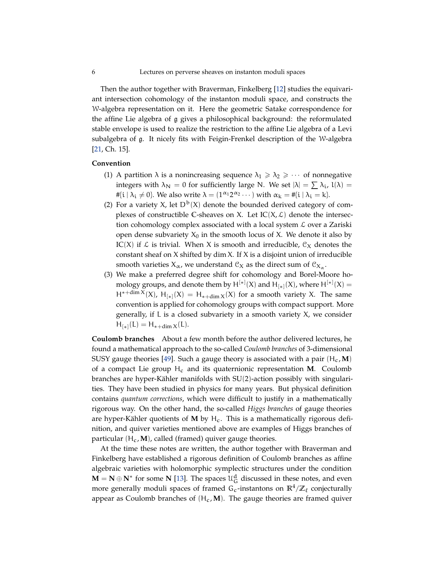Then the author together with Braverman, Finkelberg [\[12\]](#page-54-1) studies the equivariant intersection cohomology of the instanton moduli space, and constructs the W-algebra representation on it. Here the geometric Satake correspondence for the affine Lie algebra of g gives a philosophical background: the reformulated stable envelope is used to realize the restriction to the affine Lie algebra of a Levi subalgebra of g. It nicely fits with Feigin-Frenkel description of the W-algebra [\[21,](#page-54-4) Ch. 15].

## **Convention**

- (1) A partition  $\lambda$  is a nonincreasing sequence  $\lambda_1 \geq \lambda_2 \geq \cdots$  of nonnegative integers with  $\lambda_N = 0$  for sufficiently large N. We set  $|\lambda| = \sum \lambda_i$ ,  $l(\lambda) =$  $# \{i \mid \lambda_i \neq 0\}$ . We also write  $\lambda = (1^{\alpha_1} 2^{\alpha_2} \cdots)$  with  $\alpha_k = # \{i \mid \lambda_i = k\}$ .
- (2) For a variety X, let  $D^b(X)$  denote the bounded derived category of complexes of constructible C-sheaves on X. Let  $IC(X, \mathcal{L})$  denote the intersection cohomology complex associated with a local system  $\mathcal L$  over a Zariski open dense subvariety  $X_0$  in the smooth locus of X. We denote it also by IC(X) if  $\mathcal L$  is trivial. When X is smooth and irreducible,  $\mathfrak C_X$  denotes the constant sheaf on X shifted by dim X. If X is a disjoint union of irreducible smooth varieties  $X_\alpha$ , we understand  $\mathcal{C}_X$  as the direct sum of  $\mathcal{C}_{X_\alpha}$ .
- (3) We make a preferred degree shift for cohomology and Borel-Moore homology groups, and denote them by  $H^{[*]}(X)$  and  $H_{[*]}(X)$ , where  $H^{[*]}(X) =$  $H^{*+dim X}(X)$ ,  $H_{[*]}(X) = H_{*+dim X}(X)$  for a smooth variety X. The same convention is applied for cohomology groups with compact support. More generally, if L is a closed subvariety in a smooth variety X, we consider  $H_{[*]}(L) = H_{*+dim X}(L).$

**Coulomb branches** About a few month before the author delivered lectures, he found a mathematical approach to the so-called *Coulomb branches* of 3-dimensional SUSY gauge theories [\[49\]](#page-55-10). Such a gauge theory is associated with a pair  $(H_c, M)$ of a compact Lie group H<sup>c</sup> and its quaternionic representation **M**. Coulomb branches are hyper-Kähler manifolds with SU(2)-action possibly with singularities. They have been studied in physics for many years. But physical definition contains *quantum corrections*, which were difficult to justify in a mathematically rigorous way. On the other hand, the so-called *Higgs branches* of gauge theories are hyper-Kähler quotients of M by H<sub>c</sub>. This is a mathematically rigorous definition, and quiver varieties mentioned above are examples of Higgs branches of particular  $(H_c, M)$ , called (framed) quiver gauge theories.

At the time these notes are written, the author together with Braverman and Finkelberg have established a rigorous definition of Coulomb branches as affine algebraic varieties with holomorphic symplectic structures under the condition **M** = **N** ⊕ **N**<sup>∗</sup> for some **N** [\[13\]](#page-54-13). The spaces  $\mathcal{U}_G^d$  discussed in these notes, and even more generally moduli spaces of framed  $G_c$ -instantons on  $\mathbb{R}^4/\mathbb{Z}_\ell$  conjecturally appear as Coulomb branches of  $(H_c, M)$ . The gauge theories are framed quiver

<span id="page-5-0"></span>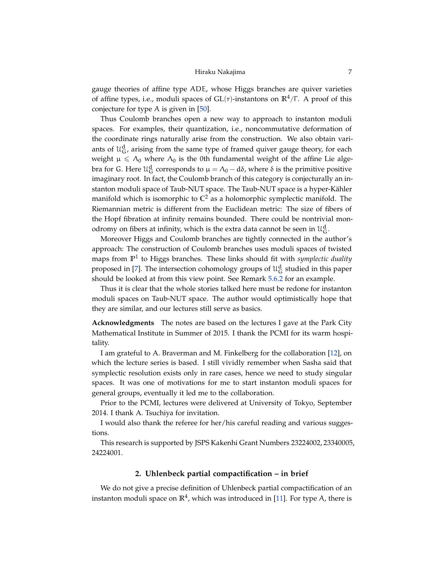<span id="page-6-1"></span>gauge theories of affine type ADE, whose Higgs branches are quiver varieties of affine types, i.e., moduli spaces of GL(r)-instantons on **R**4/Γ . A proof of this conjecture for type A is given in  $[50]$ .

Thus Coulomb branches open a new way to approach to instanton moduli spaces. For examples, their quantization, i.e., noncommutative deformation of the coordinate rings naturally arise from the construction. We also obtain variants of  $\mathfrak{U}_{\mathsf{G}}^{\mathsf{d}}$ , arising from the same type of framed quiver gauge theory, for each weight  $\mu \le \Lambda_0$  where  $\Lambda_0$  is the 0th fundamental weight of the affine Lie algebra for G. Here  $\mathcal{U}_G^d$  corresponds to  $\mu = \Lambda_0 - d\delta$ , where δ is the primitive positive imaginary root. In fact, the Coulomb branch of this category is conjecturally an instanton moduli space of Taub-NUT space. The Taub-NUT space is a hyper-Kähler manifold which is isomorphic to  $\mathbb{C}^2$  as a holomorphic symplectic manifold. The Riemannian metric is different from the Euclidean metric: The size of fibers of the Hopf fibration at infinity remains bounded. There could be nontrivial monodromy on fibers at infinity, which is the extra data cannot be seen in  $\mathfrak{U}^d_G$ .

Moreover Higgs and Coulomb branches are tightly connected in the author's approach: The construction of Coulomb branches uses moduli spaces of twisted maps from  $\mathbb{P}^1$  to Higgs branches. These links should fit with *symplectic duality* proposed in [\[7\]](#page-54-14). The intersection cohomology groups of  $\mathfrak{U}^{\mathbf{d}}_{\mathbf{G}}$  studied in this paper should be looked at from this view point. See Remark [5.6.2](#page-32-0) for an example.

Thus it is clear that the whole stories talked here must be redone for instanton moduli spaces on Taub-NUT space. The author would optimistically hope that they are similar, and our lectures still serve as basics.

**Acknowledgments** The notes are based on the lectures I gave at the Park City Mathematical Institute in Summer of 2015. I thank the PCMI for its warm hospitality.

I am grateful to A. Braverman and M. Finkelberg for the collaboration [\[12\]](#page-54-1), on which the lecture series is based. I still vividly remember when Sasha said that symplectic resolution exists only in rare cases, hence we need to study singular spaces. It was one of motivations for me to start instanton moduli spaces for general groups, eventually it led me to the collaboration.

Prior to the PCMI, lectures were delivered at University of Tokyo, September 2014. I thank A. Tsuchiya for invitation.

I would also thank the referee for her/his careful reading and various suggestions.

<span id="page-6-0"></span>This research is supported by JSPS Kakenhi Grant Numbers 23224002, 23340005, 24224001.

## **2. Uhlenbeck partial compactification – in brief**

We do not give a precise definition of Uhlenbeck partial compactification of an instanton moduli space on  $\mathbb{R}^4$ , which was introduced in [\[11\]](#page-54-15). For type A, there is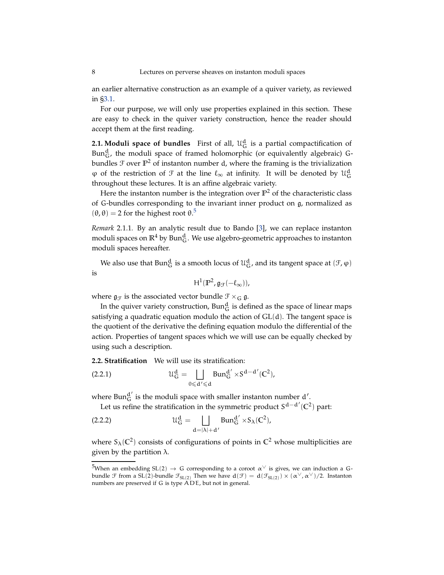<span id="page-7-3"></span>an earlier alternative construction as an example of a quiver variety, as reviewed in [§3.1.](#page-9-1)

For our purpose, we will only use properties explained in this section. These are easy to check in the quiver variety construction, hence the reader should accept them at the first reading.

**2.1. Moduli space of bundles** First of all,  $\mathcal{U}_G^d$  is a partial compactification of  $Bun_G^d$ , the moduli space of framed holomorphic (or equivalently algebraic) Gbundles  $\mathcal F$  over  $\mathbb P^2$  of instanton number d, where the framing is the trivialization  $\varphi$  of the restriction of  $\mathcal F$  at the line  $\ell_{\infty}$  at infinity. It will be denoted by  $\mathcal U_{\mathsf{G}}^{\mathsf{d}}$ throughout these lectures. It is an affine algebraic variety.

Here the instanton number is the integration over **P** <sup>2</sup> of the characteristic class of G-bundles corresponding to the invariant inner product on g, normalized as  $(\theta, \theta) = 2$  for the highest root  $\theta$ .<sup>[5](#page-7-0)</sup>

*Remark* 2.1.1*.* By an analytic result due to Bando [\[3\]](#page-53-1), we can replace instanton moduli spaces on  $\mathbb{R}^4$  by Bun $_\mathrm{G}^{\mathrm{d}}$ . We use algebro-geometric approaches to instanton moduli spaces hereafter.

We also use that  $\text{Bun}_{G}^{d}$  is a smooth locus of  $\mathcal{U}_{G}^{d}$ , and its tangent space at  $(\mathcal{F}, \varphi)$ is

$$
H^1(\mathbb{P}^2, \mathfrak{g}_{\mathcal{F}}(-\ell_\infty)),
$$

where  $\mathfrak{g}_{\mathcal{F}}$  is the associated vector bundle  $\mathcal{F} \times_G \mathfrak{g}$ .

In the quiver variety construction,  $\operatorname{Bun}^{\operatorname{d}}_{\operatorname{G}}$  is defined as the space of linear maps satisfying a quadratic equation modulo the action of GL(d). The tangent space is the quotient of the derivative the defining equation modulo the differential of the action. Properties of tangent spaces which we will use can be equally checked by using such a description.

**2.2. Stratification** We will use its stratification:

(2.2.1) 
$$
\mathcal{U}_{G}^{d} = \bigsqcup_{0 \leqslant d' \leqslant d} Bun_{G}^{d'} \times S^{d-d'}(\mathbb{C}^{2}),
$$

where Bun $_{G}^{d'}$  is the moduli space with smaller instanton number d'.

<span id="page-7-2"></span><span id="page-7-1"></span>Let us refine the stratification in the symmetric product S<sup>d-d'</sup>(℃<sup>2</sup>) part:

(2.2.2) 
$$
\mathcal{U}_{G}^{d} = \bigsqcup_{d=|\lambda|+d'} Bun_{G}^{d'} \times S_{\lambda}(C^{2}),
$$

where  $S_\lambda(\mathbb{C}^2)$  consists of configurations of points in  $\mathbb{C}^2$  whose multiplicities are given by the partition  $\lambda$ .

<span id="page-7-0"></span><sup>&</sup>lt;sup>5</sup>When an embedding SL(2)  $\rightarrow$  G corresponding to a coroot  $\alpha^{\vee}$  is gives, we can induction a Gbundle F from a SL(2)-bundle  $\mathcal{F}_{SL(2)}$  Then we have  $d(\mathcal{F}) = d(\mathcal{F}_{SL(2)}) \times (\alpha^{\vee}, \alpha^{\vee})/2$ . Instanton numbers are preserved if G is type ADE, but not in general.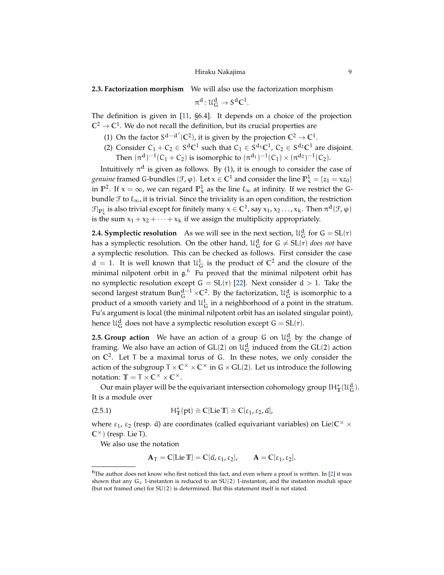# Hiraku Nakajima 9

# <span id="page-8-3"></span>**2.3. Factorization morphism** We will also use the factorization morphism

 $\pi^{\mathbf{d}}: \mathfrak{U}^{\mathbf{d}}_{\mathbf{G}} \to \mathsf{S}^{\mathbf{d}} \mathbb{C}^1.$ 

The definition is given in [\[11,](#page-54-15) §6.4]. It depends on a choice of the projection  $\mathbb{C}^2 \to \mathbb{C}^1$ . We do not recall the definition, but its crucial properties are

- (1) On the factor  $S^{d-d'}(\mathbb{C}^2)$ , it is given by the projection  $\mathbb{C}^2 \to \mathbb{C}^1$ .
- (2) Consider  $C_1 + C_2 \in S^dC^1$  such that  $C_1 \in S^{d_1}C^1$ ,  $C_2 \in S^{d_2}C^1$  are disjoint. Then  $(\pi^d)^{-1}(C_1 + C_2)$  is isomorphic to  $(\pi^{d_1})^{-1}(C_1) \times (\pi^{d_2})^{-1}(C_2)$ .

Intuitively  $\pi^{\text{d}}$  is given as follows. By (1), it is enough to consider the case of *genuine* framed G-bundles ( $\mathcal{F}, \varphi$ ). Let  $x \in \mathbb{C}^1$  and consider the line  $\mathbb{P}^1_x = \{z_1 = xz_0\}$ in  $\mathbb{P}^2$ . If  $x = \infty$ , we can regard  $\mathbb{P}^1_x$  as the line  $\ell_{\infty}$  at infinity. If we restrict the Gbundle  $\mathcal F$  to  $\ell_\infty$ , it is trivial. Since the triviality is an open condition, the restriction  $\mathcal{F}|_{\mathbb{P}^1_x}$  is also trivial except for finitely many  $x \in \mathbb{C}^1$ , say  $x_1, x_2 \ldots, x_k$ . Then  $\pi^d(\mathcal{F}, \varphi)$ is the sum  $x_1 + x_2 + \cdots + x_k$  if we assign the multiplicity appropriately.

**2.4. Symplectic resolution** As we will see in the next section,  $\mathcal{U}_G^d$  for  $G = SL(r)$ has a symplectic resolution. On the other hand,  $\mathfrak{U}^{\mathbf{d}}_{\mathbf{G}}$  for  $\mathbf{G} \neq \mathrm{SL}(\mathbf{r})$  *does not* have a symplectic resolution. This can be checked as follows. First consider the case  $d = 1$ . It is well known that  $\mathcal{U}_G^1$  is the product of  $\mathbb{C}^2$  and the closure of the minimal nilpotent orbit in  $\mathfrak{g}$ . Fu proved that the minimal nilpotent orbit has no symplectic resolution except  $G = SL(r)$  [\[22\]](#page-54-16). Next consider  $d > 1$ . Take the second largest stratum  $\text{Bun}_{G}^{d-1} \times \mathbb{C}^2$ . By the factorization,  $\mathcal{U}_{G}^d$  is isomorphic to a product of a smooth variety and  $\mathfrak{U}^1_G$  in a neighborhood of a point in the stratum. Fu's argument is local (the minimal nilpotent orbit has an isolated singular point), hence  $\mathfrak{U}^{\mathbf{d}}_{\mathbf{G}}$  does not have a symplectic resolution except  $\mathsf{G} = \mathrm{SL} ( \mathsf{r} ).$ 

<span id="page-8-1"></span>**2.5. Group action** We have an action of a group G on  $\mathcal{U}_G^d$  by the change of framing. We also have an action of  $GL(2)$  on  $\mathcal{U}_G^d$  induced from the  $GL(2)$  action on  $\mathbb{C}^2$ . Let T be a maximal torus of G. In these notes, we only consider the action of the subgroup  $T \times C^{\times} \times C^{\times}$  in  $G \times GL(2)$ . Let us introduce the following notation:  $\mathbb{T} = \mathbb{T} \times \mathbb{C}^{\times} \times \mathbb{C}^{\times}$ .

Our main player will be the equivariant intersection cohomology group  $IH^*_{\mathbb{T}}(\mathcal{U}^{\mathbf{d}}_{\mathbf{G}})$ . It is a module over

(2.5.1) 
$$
H^*_{\mathbb{T}}(pt) \cong \mathbb{C}[Lie \mathbb{T}] \cong \mathbb{C}[\epsilon_1, \epsilon_2, \vec{a}],
$$

where  $\varepsilon_1$ ,  $\varepsilon_2$  (resp.  $\vec{a}$ ) are coordinates (called equivariant variables) on Lie( $\mathbb{C}^\times$   $\times$  $\mathbb{C}^{\times}$  (resp. Lie T).

We also use the notation

<span id="page-8-2"></span>
$$
\mathbf{A}_{\mathsf{T}} = \mathbb{C}[\text{Lie } \mathbb{T}] = \mathbb{C}[\vec{\alpha}, \varepsilon_1, \varepsilon_2], \qquad \mathbf{A} = \mathbb{C}[\varepsilon_1, \varepsilon_2].
$$

<span id="page-8-0"></span> $6$ The author does not know who first noticed this fact, and even where a proof is written. In [\[2\]](#page-53-2) it was shown that any  $G_c$  1-instanton is reduced to an  $SU(2)$  1-instanton, and the instanton moduli space (but not framed one) for SU(2) is determined. But this statement itself is not stated.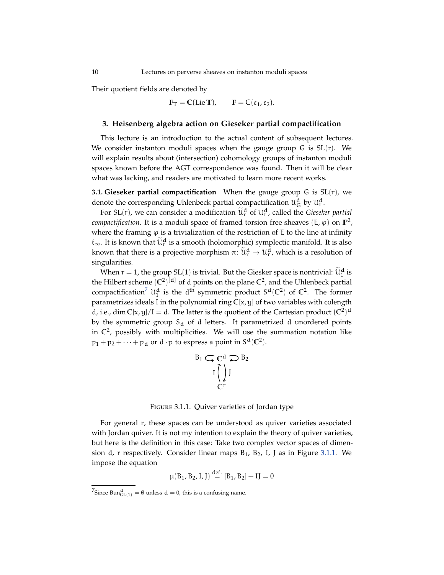Their quotient fields are denoted by

$$
F_T = C(\text{Lie }T), \qquad F = C(\epsilon_1, \epsilon_2).
$$

## <span id="page-9-0"></span>**3. Heisenberg algebra action on Gieseker partial compactification**

This lecture is an introduction to the actual content of subsequent lectures. We consider instanton moduli spaces when the gauge group G is  $SL(r)$ . We will explain results about (intersection) cohomology groups of instanton moduli spaces known before the AGT correspondence was found. Then it will be clear what was lacking, and readers are motivated to learn more recent works.

<span id="page-9-1"></span>**3.1. Gieseker partial compactification** When the gauge group G is SL(r), we denote the corresponding Uhlenbeck partial compactification  $\mathcal{U}_{\mathsf{G}}^{\mathsf{d}}$  by  $\mathcal{U}_{\mathsf{r}}^{\mathsf{d}}$ .

For SL(r), we can consider a modification  $\tilde{\mathfrak{u}}_r^d$  of  $\mathfrak{u}_r^d$ , called the *Gieseker partial compactification*. It is a moduli space of framed torsion free sheaves (E,  $\varphi$ ) on  $\mathbb{P}^2$ , where the framing  $\varphi$  is a trivialization of the restriction of E to the line at infinity  $\ell_{\infty}$ . It is known that  $\widetilde{\mathcal{U}}_{\mathbf{r}}^d$  is a smooth (holomorphic) symplectic manifold. It is also known that there is a projective morphism  $\pi\colon \widetilde{\mathfrak{U}}_{\mathsf{r}}^\mathsf{d} \to \mathfrak{U}^\mathsf{d}_\mathsf{r}$ , which is a resolution of singularities.

When  $r=1$ , the group SL(1) is trivial. But the Giesker space is nontrivial:  $\widetilde{\mathfrak{U}}^{\text{d}}_1$  is the Hilbert scheme  $(C^2)^{[d]}$  of d points on the plane  $C^2$ , and the Uhlenbeck partial compactification<sup>[7](#page-9-2)</sup>  $\mathcal{U}_1^d$  is the d<sup>th</sup> symmetric product  $S^d(\mathbb{C}^2)$  of  $\mathbb{C}^2$ . The former parametrizes ideals I in the polynomial ring **C**[x, y] of two variables with colength d, i.e., dim  $C[x, y]/I = d$ . The latter is the quotient of the Cartesian product  $(C^2)^d$ by the symmetric group  $S_d$  of d letters. It parametrized d unordered points in  $\mathbb{C}^2$ , possibly with multiplicities. We will use the summation notation like  $p_1 + p_2 + \cdots + p_d$  or  $d \cdot p$  to express a point in  $S^d(\mathbb{C}^2)$ .

$$
B_1 \subsetneq C^d \supsetneq B_2
$$

$$
I \bigcup_{C^r} J
$$

Figure 3.1.1. Quiver varieties of Jordan type

For general r, these spaces can be understood as quiver varieties associated with Jordan quiver. It is not my intention to explain the theory of quiver varieties, but here is the definition in this case: Take two complex vector spaces of dimension d, r respectively. Consider linear maps  $B_1$ ,  $B_2$ , I, J as in Figure [3.1.1.](#page-35-0) We impose the equation

$$
\mu(B_1, B_2, I, J) \stackrel{\text{def.}}{=} [B_1, B_2] + IJ = 0
$$

<span id="page-9-2"></span><sup>&</sup>lt;sup>7</sup>Since Bun<sup>d</sup><sub>GL(1)</sub> =  $\emptyset$  unless d = 0, this is a confusing name.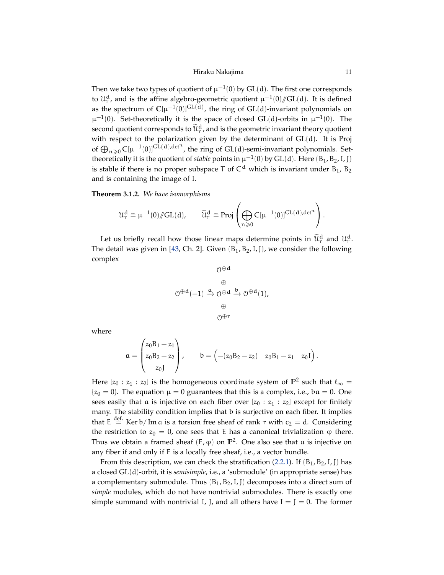Hiraku Nakajima 11

<span id="page-10-0"></span>Then we take two types of quotient of  $\mu^{-1}(0)$  by GL(d). The first one corresponds to  $\mathcal{U}_r^d$ , and is the affine algebro-geometric quotient  $\mu^{-1}(0)/\!/\mathrm{GL}(d)$ . It is defined as the spectrum of  $\mathbb{C}[\mu^{-1}(0)]^{\mathrm{GL}(d)}$ , the ring of  $\mathrm{GL}(d)$ -invariant polynomials on  $\mu^{-1}(0)$ . Set-theoretically it is the space of closed GL(d)-orbits in  $\mu^{-1}(0)$ . The second quotient corresponds to  $\widetilde{\mathfrak{u}}_{\mathsf{r}}^{\mathsf{d}}$ , and is the geometric invariant theory quotient with respect to the polarization given by the determinant of GL(d). It is Proj of  $\bigoplus_{n\geqslant 0}C[\mu^{-1}(0)]^{GL(d),\det^n}$ , the ring of  $GL(d)$ -semi-invariant polynomials. Settheoretically it is the quotient of *stable* points in  $\mu^{-1}(0)$  by GL(d). Here (B<sub>1</sub>, B<sub>2</sub>, I, J) is stable if there is no proper subspace  $T$  of  $\mathbb{C}^d$  which is invariant under  $B_1$ ,  $B_2$ and is containing the image of I.

**Theorem 3.1.2.** *We have isomorphisms*

$$
\mathcal{U}_r^d \cong \mu^{-1}(0)/\hspace{-0.12cm}/ \mathrm{GL}(d), \qquad \widetilde{\mathcal{U}}_r^d \cong \text{Proj}\left(\bigoplus_{n\geqslant 0} \mathbb{C}[\mu^{-1}(0)]^{\text{GL}(d),\text{det}^n}\right).
$$

Let us briefly recall how those linear maps determine points in  $\widetilde{\mathfrak{u}}_r^d$  and  $\mathfrak{u}_r^d$ . The detail was given in [\[43,](#page-55-2) Ch. 2]. Given  $(B_1, B_2, I, J)$ , we consider the following complex

$$
\begin{array}{c}\n0^{\oplus d} \\
\oplus \\
0^{\oplus d}(-1) \xrightarrow{a} 0^{\oplus d} \xrightarrow{b} 0^{\oplus d}(1), \\
\oplus \\
0^{\oplus r}\n\end{array}
$$

where

$$
a = \begin{pmatrix} z_0 B_1 - z_1 \\ z_0 B_2 - z_2 \\ z_0 J \end{pmatrix}, \qquad b = \begin{pmatrix} -(z_0 B_2 - z_2) & z_0 B_1 - z_1 & z_0 I \end{pmatrix}.
$$

Here  $[z_0 : z_1 : z_2]$  is the homogeneous coordinate system of  $\mathbb{P}^2$  such that  $\ell_{\infty} =$  ${z_0 = 0}$ . The equation  $\mu = 0$  guarantees that this is a complex, i.e., ba = 0. One sees easily that a is injective on each fiber over  $[z_0 : z_1 : z_2]$  except for finitely many. The stability condition implies that b is surjective on each fiber. It implies that  $E \stackrel{\text{def.}}{=}$  Ker b/Im a is a torsion free sheaf of rank r with  $c_2 = d$ . Considering the restriction to  $z_0 = 0$ , one sees that E has a canonical trivialization  $\varphi$  there. Thus we obtain a framed sheaf  $(E, \varphi)$  on  $\mathbb{P}^2$ . One also see that a is injective on any fiber if and only if E is a locally free sheaf, i.e., a vector bundle.

From this description, we can check the stratification [\(2.2.1\)](#page-7-1). If  $(B_1, B_2, I, J)$  has a closed GL(d)-orbit, it is *semisimple*, i.e., a 'submodule' (in appropriate sense) has a complementary submodule. Thus  $(B_1, B_2, I, J)$  decomposes into a direct sum of *simple* modules, which do not have nontrivial submodules. There is exactly one simple summand with nontrivial I, J, and all others have  $I = J = 0$ . The former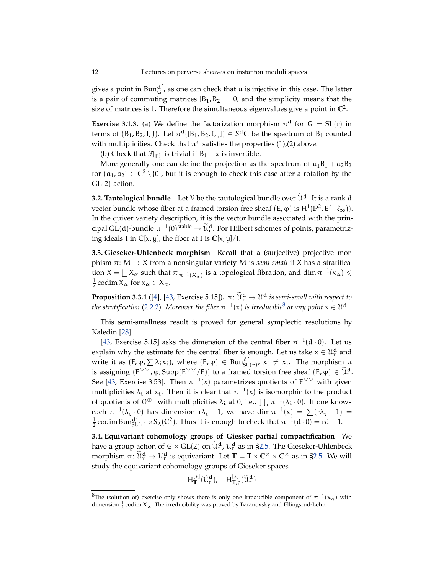<span id="page-11-3"></span>gives a point in  $Bun_{G}^{d'}$ , as one can check that  $a$  is injective in this case. The latter is a pair of commuting matrices  $[B_1, B_2] = 0$ , and the simplicity means that the size of matrices is 1. Therefore the simultaneous eigenvalues give a point in  $\mathbb{C}^2$ .

**Exercise 3.1.3.** (a) We define the factorization morphism  $\pi$ <sup>d</sup> for  $G = SL(r)$  in terms of  $(B_1, B_2, I, J)$ . Let  $\pi^d([B_1, B_2, I, J]) \in S^d\mathbb{C}$  be the spectrum of  $B_1$  counted with multiplicities. Check that  $\pi^d$  satisfies the properties (1),(2) above.

(b) Check that  $\mathcal{F}|_{\mathbb{P}^1_x}$  is trivial if  $B_1 - x$  is invertible.

More generally one can define the projection as the spectrum of  $a_1B_1 + a_2B_2$ for  $(a_1, a_2) \in \mathbb{C}^2 \setminus \{0\}$ , but it is enough to check this case after a rotation by the GL(2)-action.

<span id="page-11-2"></span>**3.2. Tautological bundle** Let  $\mathcal V$  be the tautological bundle over  $\widetilde{\mathcal U}_r^d$ . It is a rank d vector bundle whose fiber at a framed torsion free sheaf  $(E, φ)$  is  $H^1(\mathbb{P}^2, E(-\ell_\infty))$ . In the quiver variety description, it is the vector bundle associated with the principal GL(d)-bundle  $\mu^{-1}(0)$ <sup>stable</sup>  $\to \widetilde{\mathcal{U}}_r^d$ . For Hilbert schemes of points, parametrizing ideals I in **C**[x, y], the fiber at I is **C**[x, y]/I.

**3.3. Gieseker-Uhlenbeck morphism** Recall that a (surjective) projective morphism  $\pi$ : M  $\rightarrow$  X from a nonsingular variety M is *semi-small* if X has a stratification  $X = \bigsqcup X_\alpha$  such that  $\pi|_{\pi^{-1}(X_\alpha)}$  is a topological fibration, and  $\dim \pi^{-1}(x_\alpha) \leq$  $\frac{1}{2}$  codim  $X_\alpha$  for  $x_\alpha \in X_\alpha$ .

<span id="page-11-1"></span>**Proposition 3.3.1** ([\[4\]](#page-54-6), [\[43,](#page-55-2) Exercise 5.15]).  $\pi: \widetilde{\mathfrak{U}}_r^d \to \mathfrak{U}_r^d$  is semi-small with respect to *the stratification* [\(2.2.2\)](#page-7-2). Moreover the fiber  $\pi^{-1}(x)$  is irreducible<sup>[8](#page-11-0)</sup> at any point  $x \in \mathfrak{U}_r^d$ .

This semi-smallness result is proved for general symplectic resolutions by Kaledin [\[28\]](#page-54-17).

[\[43,](#page-55-2) Exercise 5.15] asks the dimension of the central fiber  $\pi^{-1}(d \cdot 0)$ . Let us explain why the estimate for the central fiber is enough. Let us take  $x \in \mathcal{U}_r^d$  and write it as  $(F, \varphi, \sum \lambda_i x_i)$ , where  $(E, \varphi) \in \text{Bun}_{SL(\tau)}^{d'}$ ,  $x_i \neq x_j$ . The morphism  $\pi$ is assigning  $(E^{\vee \vee}, \varphi, \text{Supp}(E^{\vee \vee}/E))$  to a framed torsion free sheaf  $(E, \varphi) \in \widetilde{\mathcal{U}}_r^d$ . See [\[43,](#page-55-2) Exercise 3.53]. Then  $\pi^{-1}(x)$  parametrizes quotients of  $E^{\vee\vee}$  with given multiplicities  $\lambda_i$  at  $x_i$ . Then it is clear that  $\pi^{-1}(x)$  is isomorphic to the product of quotients of  $0^{\oplus r}$  with multiplicities  $\lambda_i$  at 0, i.e.,  $\prod_i \pi^{-1}(\lambda_i \cdot 0)$ . If one knows each  $\pi^{-1}(\lambda_i \cdot 0)$  has dimension  $r\lambda_i - 1$ , we have  $\dim \pi^{-1}(x) = \sum (r\lambda_i - 1) =$  $\frac{1}{2}$  codim Bun ${}_{SL(r)}^{d'}$  × S<sub>λ</sub>(C<sup>2</sup>). Thus it is enough to check that  $\pi^{-1}(d\cdot 0) = rd - 1$ .

**3.4. Equivariant cohomology groups of Giesker partial compactification** We have a group action of  $G \times GL(2)$  on  $\tilde{\mathcal{U}}_r^d$ ,  $\mathcal{U}_r^d$  as in [§2.5.](#page-8-1) The Gieseker-Uhlenbeck morphism  $\pi$ :  $\widetilde{\mathfrak{U}}_r^d \to \mathfrak{U}_r^d$  is equivariant. Let  $\mathbb{T} = \mathsf{T} \times \mathbb{C}^\times \times \mathbb{C}^\times$  as in [§2.5.](#page-8-1) We will study the equivariant cohomology groups of Gieseker spaces

$$
H^{[*]}_{\mathbb{T}}(\widetilde{\mathfrak{U}}^{\mathbf{d}}_{r}), \quad H^{[*]}_{\mathbb{T},c}(\widetilde{\mathfrak{U}}^{\mathbf{d}}_{r})
$$

<span id="page-11-0"></span> ${}^8\text{The}$  (solution of) exercise only shows there is only one irreducible component of  $\pi^{-1}(\chi_{\alpha})$  with dimension  $\frac{1}{2}$  codim  $X_\alpha$ . The irreducibility was proved by Baranovsky and Ellingsrud-Lehn.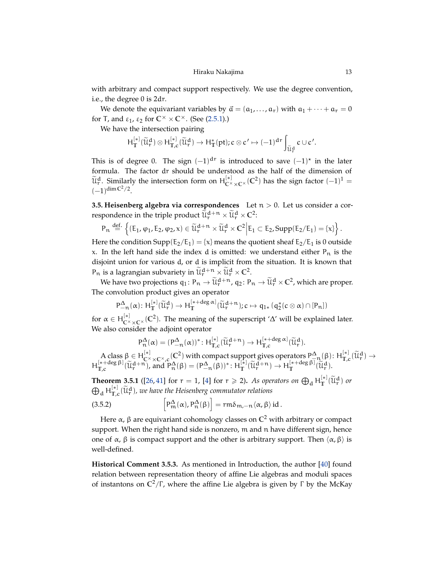<span id="page-12-2"></span>with arbitrary and compact support respectively. We use the degree convention, i.e., the degree 0 is 2dr.

We denote the equivariant variables by  $\vec{a} = (a_1, \ldots, a_r)$  with  $a_1 + \cdots + a_r = 0$ for T, and  $\varepsilon_1$ ,  $\varepsilon_2$  for  $\mathbb{C}^\times \times \mathbb{C}^\times$ . (See [\(2.5.1\)](#page-8-2).)

We have the intersection pairing

$$
H^{[*]}_{\mathbb{T}}(\widetilde{\mathcal{U}}^d_r)\otimes H^{[*]}_{\mathbb{T},c}(\widetilde{\mathcal{U}}^d_r)\rightarrow H^*_{\mathbb{T}}(pt); c\otimes c'\mapsto (-1)^{dr}\int_{\widetilde{\mathcal{U}}^d_r}c\cup c'.
$$

This is of degree 0. The sign  $(-1)^{d}$ r is introduced to save  $(-1)^{x}$  in the later formula. The factor dr should be understood as the half of the dimension of  $\widetilde{\mathfrak{U}}_{\mathsf{C}}^{\mathsf{d}}$ . Similarly the intersection form on  $\mathsf{H}_{\mathsf{C}^\times \times \mathsf{C}^\times}^{[*]}(\mathbb{C}^2)$  has the sign factor  $(-1)^1 =$  $(-1)^{\dim \mathbb{C}^2/2}.$ 

<span id="page-12-1"></span>**3.5. Heisenberg algebra via correspondences** Let  $n > 0$ . Let us consider a correspondence in the triple product  $\widetilde{\mathfrak{u}}_{\mathsf{r}}^{\mathsf{d}+\mathsf{n}} \times \widetilde{\mathfrak{u}}_{\mathsf{r}}^{\mathsf{d}} \times \mathbb{C}^2$ :

$$
P_n\stackrel{def.}{=}\left\{ (E_1,\phi_1,E_2,\phi_2,x)\in \widetilde{\mathcal{U}}_r^{d+n}\times \widetilde{\mathcal{U}}_r^d\times C^2\Big| E_1\subset E_2, \text{Supp}(E_2/E_1)=\{x\}\right\}.
$$

Here the condition Supp( $E_2/E_1$ ) = {x} means the quotient sheaf  $E_2/E_1$  is 0 outside x. In the left hand side the index d is omitted: we understand either  $P_n$  is the disjoint union for various d, or d is implicit from the situation. It is known that  $P_n$  is a lagrangian subvariety in  $\widetilde{\mathfrak{u}}_r^{d+n} \times \widetilde{\mathfrak{u}}_r^d \times \mathbb{C}^2$ .

We have two projections  $q_1: P_n \to \widetilde{\mathcal{U}}_r^{d+n}$ ,  $q_2: P_n \to \widetilde{\mathcal{U}}_r^{d} \times \mathbb{C}^2$ , which are proper. The convolution product gives an operator

$$
P^\Delta_{-n}(\alpha) \colon H^{[*]}_T(\widetilde{\mathcal{U}}^d_r) \to H^{[*+deg\alpha]}_T(\widetilde{\mathcal{U}}^{d+n}_r); c \mapsto q_{1*}(q_2^*(c \otimes \alpha) \cap [P_n])
$$

for  $\alpha \in H_{\mathbb{C}^{\times} \times \mathbb{C}^{\times}}^{[*]}(\mathbb{C}^2)$ . The meaning of the superscript '∆' will be explained later. We also consider the adjoint operator

<span id="page-12-0"></span>
$$
P^\Delta_n(\alpha)=(P_{-n}^\Delta(\alpha))^* \colon H^{[*]}_{\mathbb{T},c}(\widetilde{\mathcal{U}}_r^{d+n}) \to H^{[*+deg\,\alpha]}_{\mathbb{T},c}(\widetilde{\mathcal{U}}_r^d).
$$

A class β ∈ H<sup>[\*]</sup><sub>C</sub> (Σ<sup>2</sup>) with compact support gives operators  $P_{\text{A}}^{\Delta}(\beta)$ : H $_{\text{T,c}}^{[\ast]}(\tilde{u}_{\text{T}}^{\text{d}}) \rightarrow$ <br>\*+deg β]  $\tilde{\chi}^{\Delta}(\pm \mathbf{n})$  $H_{\mathbb{T},c}^{[*+deg \beta]}(\widetilde{u}_{r}^{d+n})$ , and  $P_{n}^{\Delta}(\beta) = (P_{-n}^{\Delta}(\beta))^{*}$ :  $H_{\mathbb{T}}^{[*]}(\widetilde{u}_{r}^{d+n}) \rightarrow H_{\mathbb{T}}^{[*+deg \beta]}(\widetilde{u}_{r}^{d})$ .

**Theorem 3.5.1** ([\[26,](#page-54-5) [41\]](#page-55-6) for  $r = 1$ , [\[4\]](#page-54-6) for  $r \ge 2$ ). As operators on  $\bigoplus_{d} H_T^{[*]}(\widetilde{\mathfrak{U}}_r^d)$  or  $\bigoplus_{\mathbf d} \mathsf H_{\mathbb T,c}^{[*]}(\widetilde{\mathfrak{U}}_{\mathbf r}^{\mathbf d}),$  we have the Heisenberg commutator relations

(3.5.2) 
$$
\left[P_m^{\Delta}(\alpha), P_n^{\Delta}(\beta)\right] = rm\delta_{m,-n}\langle \alpha, \beta \rangle \, id.
$$

Here α, β are equivariant cohomology classes on **C** <sup>2</sup> with arbitrary or compact support. When the right hand side is nonzero, m and n have different sign, hence one of  $\alpha$ , β is compact support and the other is arbitrary support. Then  $\langle \alpha, \beta \rangle$  is well-defined.

**Historical Comment 3.5.3.** As mentioned in Introduction, the author [\[40\]](#page-55-5) found relation between representation theory of affine Lie algebras and moduli spaces of instantons on **C** <sup>2</sup>/Γ , where the affine Lie algebra is given by Γ by the McKay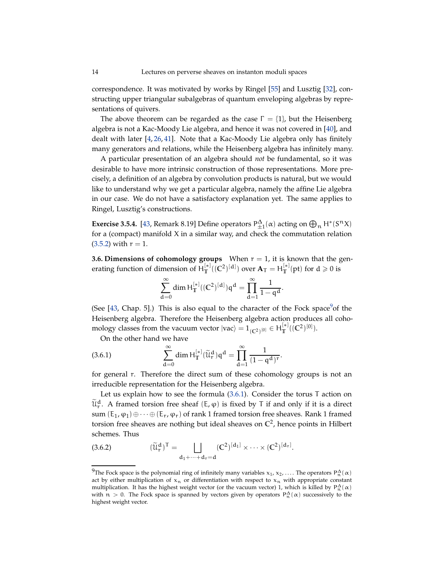<span id="page-13-3"></span>correspondence. It was motivated by works by Ringel [\[55\]](#page-55-12) and Lusztig [\[32\]](#page-55-13), constructing upper triangular subalgebras of quantum enveloping algebras by representations of quivers.

The above theorem can be regarded as the case  $\Gamma = \{1\}$ , but the Heisenberg algebra is not a Kac-Moody Lie algebra, and hence it was not covered in [\[40\]](#page-55-5), and dealt with later [\[4,](#page-54-6) [26,](#page-54-5) [41\]](#page-55-6). Note that a Kac-Moody Lie algebra only has finitely many generators and relations, while the Heisenberg algebra has infinitely many.

A particular presentation of an algebra should *not* be fundamental, so it was desirable to have more intrinsic construction of those representations. More precisely, a definition of an algebra by convolution products is natural, but we would like to understand why we get a particular algebra, namely the affine Lie algebra in our case. We do not have a satisfactory explanation yet. The same applies to Ringel, Lusztig's constructions.

**Exercise 3.5.4.** [\[43,](#page-55-2) Remark 8.19] Define operators  $P_{\pm 1}^{\Delta}(\alpha)$  acting on  $\bigoplus_n H^*(S^n X)$ for a (compact) manifold X in a similar way, and check the commutation relation  $(3.5.2)$  with  $r = 1$ .

**3.6. Dimensions of cohomology groups** When  $r = 1$ , it is known that the generating function of dimension of  $H_T^{[*]}((\mathbb{C}^2)^{[d]})$  over  $\mathbf{A}_T = H_T^{[*]}(\text{pt})$  for  $d \geqslant 0$  is

$$
\sum_{d=0}^{\infty} \text{dim}\, H^{[*]}_T((C^2)^{[d]})q^d = \prod_{d=1}^{\infty} \frac{1}{1-q^d}.
$$

(See  $[43,$  Chap. 5].) This is also equal to the character of the Fock space<sup>[9](#page-13-0)</sup> of the Heisenberg algebra. Therefore the Heisenberg algebra action produces all cohomology classes from the vacuum vector  $|vac\rangle = 1 \cdot \left[\frac{1}{C^2}\right]^{[0]} \in H_T^{[*]}\left(\frac{1}{C^2}\right)^{[0]}$ .

<span id="page-13-1"></span>On the other hand we have

(3.6.1) 
$$
\sum_{d=0}^{\infty} \dim H_{\mathbb{T}}^{[*]}(\widetilde{u}_{r}^{d}) q^{d} = \prod_{d=1}^{\infty} \frac{1}{(1-q^{d})^{r}}.
$$

for general r. Therefore the direct sum of these cohomology groups is not an irreducible representation for the Heisenberg algebra.

Let us explain how to see the formula [\(3.6.1\)](#page-13-1). Consider the torus T action on  $\widetilde{\mathfrak{u}}_r^d$ . A framed torsion free sheaf  $(E, \varphi)$  is fixed by T if and only if it is a direct sum  $(E_1, \varphi_1) \oplus \cdots \oplus (E_r, \varphi_r)$  of rank 1 framed torsion free sheaves. Rank 1 framed torsion free sheaves are nothing but ideal sheaves on **C** 2 , hence points in Hilbert schemes. Thus

<span id="page-13-2"></span>(3.6.2) 
$$
(\widetilde{u}_r^d)^T = \bigsqcup_{d_1 + \dots + d_r = d} (C^2)^{[d_1]} \times \dots \times (C^2)^{[d_r]}.
$$

<span id="page-13-0"></span><sup>&</sup>lt;sup>9</sup>The Fock space is the polynomial ring of infinitely many variables  $x_1, x_2, \ldots$ . The operators  $P_n^{\Delta}(\alpha)$ act by either multiplication of  $x_n$  or differentiation with respect to  $x_n$  with appropriate constant multiplication. It has the highest weight vector (or the vacuum vector) 1, which is killed by  $P_n^{\Delta}(\alpha)$ with  $n > 0$ . The Fock space is spanned by vectors given by operators  $P_n^{\Delta}(\alpha)$  successively to the highest weight vector.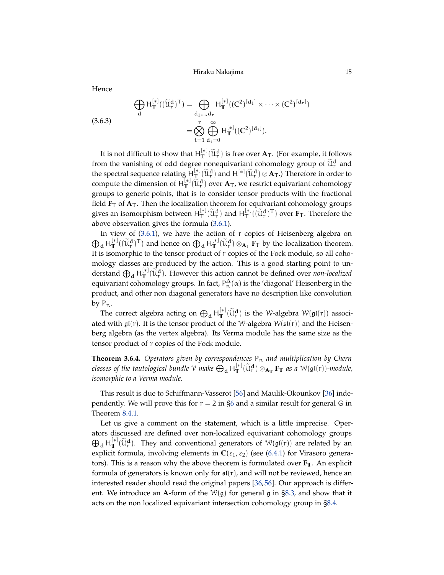<span id="page-14-1"></span>Hence

<span id="page-14-0"></span>(3.6.3)  
\n
$$
\bigoplus_{d} H_{\mathbb{T}}^{[*]}((\widetilde{u}_{r}^{d})^{T}) = \bigoplus_{d_{1}, \dots, d_{r}} H_{\mathbb{T}}^{[*]}((\mathbb{C}^{2})^{[d_{1}]} \times \dots \times (\mathbb{C}^{2})^{[d_{r}]})
$$
\n
$$
= \bigotimes_{i=1}^{r} \bigoplus_{d_{i}=0}^{\infty} H_{\mathbb{T}}^{[*]}((\mathbb{C}^{2})^{[d_{i}]}).
$$

It is not difficult to show that  $H_T^{[*]}(\widetilde{\mathcal{U}}_r^d)$  is free over  $\mathbf{A}_T$ . (For example, it follows from the vanishing of odd degree nonequivariant cohomology group of  $\tilde{\mathfrak{u}}_{\mathsf{r}}^d$  and the spectral sequence relating  $H_{\mathbb{L}}^{[*]}(\widetilde{u}^d_r)$  and  $H^{[*]}(\widetilde{u}^d_r) \otimes A_T$ .) Therefore in order to compute the dimension of  $H_{\mathbb{T}}^{[\ast]}(\tilde{\mathfrak{U}}_r^d)$  over  $A_T$ , we restrict equivariant cohomology groups to generic points, that is to consider tensor products with the fractional field  $\mathbf{F}_T$  of  $\mathbf{A}_T$ . Then the localization theorem for equivariant cohomology groups gives an isomorphism between  $H_T^{[*]}(\widetilde{\mathcal{U}}_r^d)$  and  $H_T^{[*]}(\widetilde{\mathcal{U}}_r^d)^T$  over  $\mathbf{F}_T$ . Therefore the above observation gives the formula [\(3.6.1\)](#page-13-1).

In view of  $(3.6.1)$ , we have the action of r copies of Heisenberg algebra on  $\bigoplus_{d} H_{\mathbb{T}}^{[*]}((\widetilde{\mathcal{U}}_{r}^{d})^{T})$  and hence on  $\bigoplus_{d} H_{\mathbb{T}}^{[*]}(\widetilde{\mathcal{U}}_{r}^{d}) \otimes_{A_{T}} \overline{F_{T}}$  by the localization theorem. It is isomorphic to the tensor product of r copies of the Fock module, so all cohomology classes are produced by the action. This is a good starting point to understand  $\bigoplus_d H^{[*]}_T(\tilde{\mathfrak{U}}^d_r)$ . However this action cannot be defined over *non-localized* equivariant cohomology groups. In fact,  $P_n^{\Delta}(\alpha)$  is the 'diagonal' Heisenberg in the product, and other non diagonal generators have no description like convolution by  $P_n$ .

The correct algebra acting on  $\bigoplus_d H_T^{[*]}(\widetilde{\mathcal{U}}_r^d)$  is the W-algebra  $\mathcal{W}(\mathfrak{gl}(r))$  associated with  $\mathfrak{gl}(r)$ . It is the tensor product of the W-algebra  $W(\mathfrak{sl}(r))$  and the Heisenberg algebra (as the vertex algebra). Its Verma module has the same size as the tensor product of r copies of the Fock module.

**Theorem 3.6.4.** *Operators given by correspondences* Pn *and multiplication by Chern classes of the tautological bundle*  $\mathcal V$  *make*  $\bigoplus_{d} H_{\mathbb T}^{[*]}(\widetilde{\mathfrak{U}}_r^d) \otimes_{A_{\mathbb T}} \mathbf F_{\mathbb T}$  *as a*  $\mathcal W(\mathfrak{gl}(r))$ *-module, isomorphic to a Verma module.*

This result is due to Schiffmann-Vasserot [\[56\]](#page-56-3) and Maulik-Okounkov [\[36\]](#page-55-0) independently. We will prove this for  $r = 2$  in [§6](#page-33-0) and a similar result for general G in Theorem [8.4.1.](#page-50-2)

Let us give a comment on the statement, which is a little imprecise. Operators discussed are defined over non-localized equivariant cohomology groups  $\bigoplus_d H_T^{[*]}(\widetilde{\mathfrak{U}}_T^d)$ . They and conventional generators of  $W(\mathfrak{gl}(r))$  are related by an explicit formula, involving elements in  $C(\varepsilon_1, \varepsilon_2)$  (see [\(6.4.1\)](#page-36-0) for Virasoro generators). This is a reason why the above theorem is formulated over  $\mathbf{F}_T$ . An explicit formula of generators is known only for  $\mathfrak{sl}(r)$ , and will not be reviewed, hence an interested reader should read the original papers [\[36,](#page-55-0) [56\]](#page-56-3). Our approach is different. We introduce an **A**-form of the  $W(g)$  for general g in [§8.3,](#page-49-0) and show that it acts on the non localized equivariant intersection cohomology group in [§8.4.](#page-50-3)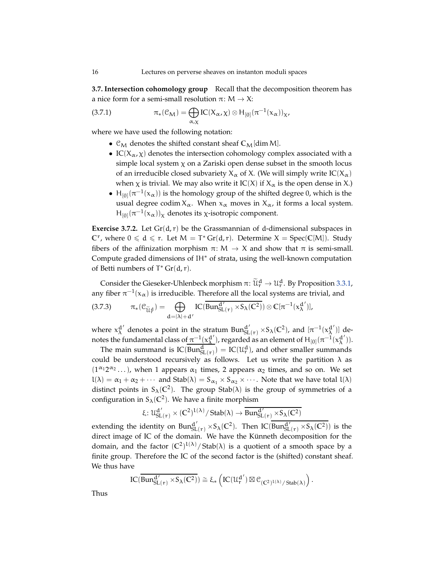<span id="page-15-1"></span>**3.7. Intersection cohomology group** Recall that the decomposition theorem has a nice form for a semi-small resolution  $\pi: M \to X$ :

(3.7.1) 
$$
\pi_*(\mathcal{C}_M) = \bigoplus_{\alpha,\chi} IC(X_\alpha,\chi) \otimes H_{[0]}(\pi^{-1}(\mathbf{x}_\alpha))_{\chi},
$$

where we have used the following notation:

- <span id="page-15-0"></span>•  $\mathcal{C}_M$  denotes the shifted constant sheaf  $\mathcal{C}_M$ [dim M].
- IC( $X_{\alpha}$ ,  $\chi$ ) denotes the intersection cohomology complex associated with a simple local system  $\chi$  on a Zariski open dense subset in the smooth locus of an irreducible closed subvariety  $X_\alpha$  of X. (We will simply write  $IC(X_\alpha)$ when  $\chi$  is trivial. We may also write it IC(X) if  $X_{\alpha}$  is the open dense in X.)
- $H_{[0]}(\pi^{-1}(x_{\alpha}))$  is the homology group of the shifted degree 0, which is the usual degree codim  $X_\alpha$ . When  $x_\alpha$  moves in  $X_\alpha$ , it forms a local system.  $H_{[0]}(\pi^{-1}(x_\alpha))_\chi$  denotes its χ-isotropic component.

**Exercise 3.7.2.** Let  $Gr(d, r)$  be the Grassmannian of d-dimensional subspaces in  $\mathbb{C}^r$ , where  $0 \leq d \leq r$ . Let  $M = T^* Gr(d, r)$ . Determine  $X = Spec(\mathbb{C}[M])$ . Study fibers of the affinization morphism  $\pi: M \to X$  and show that  $\pi$  is semi-small. Compute graded dimensions of IH∗ of strata, using the well-known computation of Betti numbers of  $T^*$  Gr(d, r).

Consider the Gieseker-Uhlenbeck morphism  $\pi \colon \widetilde{\mathcal{U}}_r^d \to \mathcal{U}_r^d$ . By Proposition [3.3.1,](#page-11-1) any fiber  $\pi^{-1}(\mathsf{x}_{\alpha})$  is irreducible. Therefore all the local systems are trivial, and

<span id="page-15-2"></span>
$$
(3.7.3) \qquad \pi_*(\mathcal{C}_{\widetilde{\mathcal{U}}_{\Gamma}^d}) = \bigoplus_{d=|\lambda|+d'} IC(\overline{Bun_{SL(\Gamma)}^{d'} \times S_{\lambda}(\mathbb{C}^2)}) \otimes \mathbb{C}[\pi^{-1}(x_{\lambda}^{d'})],
$$

where  $x_{\lambda}^{d'}$  denotes a point in the stratum  $Bun_{SL(r)}^{d'} \times S_{\lambda}(C^2)$ , and  $[\pi^{-1}(x_{\lambda}^{d'})]$  denotes the fundamental class of  $\pi^{-1}(x_\lambda^{d'})$ , regarded as an element of  $H_{[0]}(\pi^{-1}(x_\lambda^{d'}))$ .

The main summand is  $IC(Bun_{SL(\mathbf{r})}^d) = IC(\mathcal{U}_{\mathbf{r}}^d)$ , and other smaller summands could be understood recursively as follows. Let us write the partition  $\lambda$  as  $(1^{\alpha_1}2^{\alpha_2}\dots)$ , when 1 appears  $\alpha_1$  times, 2 appears  $\alpha_2$  times, and so on. We set  $l(\lambda) = \alpha_1 + \alpha_2 + \cdots$  and  $Stab(\lambda) = S_{\alpha_1} \times S_{\alpha_2} \times \cdots$ . Note that we have total  $l(\lambda)$ distinct points in  $S_\lambda(\mathbb{C}^2)$ . The group Stab( $\lambda$ ) is the group of symmetries of a configuration in  $S_{\lambda}(\mathbb{C}^2)$ . We have a finite morphism

$$
\xi\colon \mathcal{U}_{SL(r)}^{d'}\times (\mathbb{C}^2)^{l(\lambda)}/\mathop{Stab}(\lambda)\to \overline{\text{Bun}_{SL(r)}^{d'}\times \text{S}_{\lambda}(\mathbb{C}^2)}
$$

extending the identity on  $\text{Bun}_{\text{SL} (r)}^{d'} \times S_{\lambda} (C^2)$ . Then IC( $\text{Bun}_{\text{SL} (r)}^{d'} \times S_{\lambda} (C^2)$ ) is the direct image of IC of the domain. We have the Künneth decomposition for the domain, and the factor  $({\mathbb C}^2)^{1(\lambda)}/\text{Stab}(\lambda)$  is a quotient of a smooth space by a finite group. Therefore the IC of the second factor is the (shifted) constant sheaf. We thus have

$$
IC(\overline{Bun_{SL(r)}^{d'} \times S_{\lambda}(\mathbb{C}^2)}) \cong \xi_* \left( IC(\mathcal{U}_r^{d'}) \boxtimes \mathcal{C}_{(\mathbb{C}^2)^{L(\lambda)}/ \operatorname{Stab}(\lambda)} \right).
$$

Thus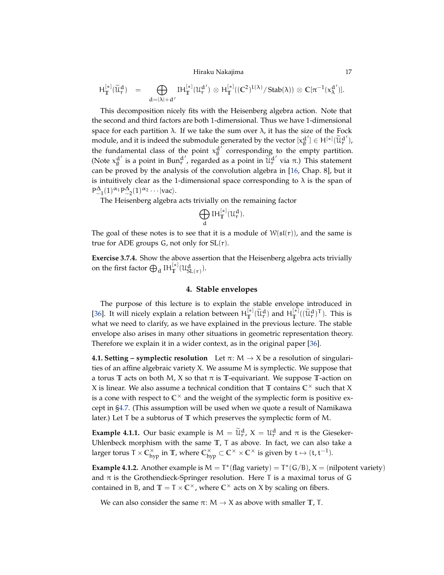Hiraku Nakajima 17

<span id="page-16-3"></span>
$$
H^{[*]}_{{\mathbb T}}(\widetilde{\mathcal{U}}^d_r) \hspace{2mm} = \hspace{2mm} \bigoplus_{d=|\lambda|+d'} H^{[*]}_{{\mathbb T}}({\mathcal{U}}^{d'}_r) \otimes H^{[*]}_{{\mathbb T}}(({\mathbb C}^2)^{l(\lambda)}/\operatorname{Stab}(\lambda)) \otimes {\mathbb C}[\pi^{-1}(x^{d'}_\lambda)].
$$

This decomposition nicely fits with the Heisenberg algebra action. Note that the second and third factors are both 1-dimensional. Thus we have 1-dimensional space for each partition  $\lambda$ . If we take the sum over  $\lambda$ , it has the size of the Fock module, and it is indeed the submodule generated by the vector  $[x_0^d]$  $\begin{aligned} \begin{bmatrix} d' \\ \emptyset \end{bmatrix} \in \mathsf{H}^{[*]}(\widetilde{\mathfrak{U}}_{\mathsf{r}}^{\mathsf{d}'}), \end{aligned}$ the fundamental class of the point  $x_{\theta}^{d'}$  $\alpha_0^d$  corresponding to the empty partition. (Note  $x_{\emptyset}^{d'}$  is a point in Bun<sup>d'</sup>, regarded as a point in  $\widetilde{\mathfrak{u}}_r^{d'}$  via  $\pi$ .) This statement can be proved by the analysis of the convolution algebra in [\[16,](#page-54-2) Chap. 8], but it is intuitively clear as the 1-dimensional space corresponding to  $\lambda$  is the span of  $P_{-1}^{\Delta}(1) \alpha_1 P_{-2}^{\Delta}(1) \alpha_2 \cdots$  |vac\.

The Heisenberg algebra acts trivially on the remaining factor

$$
\bigoplus_d IH^{[*]}_T(\mathcal{U}^d_r).
$$

The goal of these notes is to see that it is a module of  $W(sf(r))$ , and the same is true for ADE groups  $G$ , not only for  $SL(r)$ .

<span id="page-16-2"></span><span id="page-16-0"></span>**Exercise 3.7.4.** Show the above assertion that the Heisenberg algebra acts trivially on the first factor  $\bigoplus_{d} \mathrm{IH}_{\mathbb{T}}^{[*]}(\mathcal{U}_{\mathrm{SL}(r)}^{d}).$ 

## **4. Stable envelopes**

The purpose of this lecture is to explain the stable envelope introduced in [\[36\]](#page-55-0). It will nicely explain a relation between  $H_T^{[*]}(\tilde{u}_r^d)$  and  $H_T^{[*]}((\tilde{u}_r^d)^T)$ . This is what we need to clarify, as we have explained in the previous lecture. The stable envelope also arises in many other situations in geometric representation theory. Therefore we explain it in a wider context, as in the original paper [\[36\]](#page-55-0).

<span id="page-16-1"></span>**4.1. Setting – symplectic resolution** Let  $\pi: M \to X$  be a resolution of singularities of an affine algebraic variety X. We assume M is symplectic. We suppose that a torus **T** acts on both M, X so that  $\pi$  is **T**-equivariant. We suppose **T**-action on X is linear. We also assume a technical condition that  $\mathbb{T}$  contains  $\mathbb{C}^{\times}$  such that X is a cone with respect to  $\mathbb{C}^{\times}$  and the weight of the symplectic form is positive except in [§4.7.](#page-21-0) (This assumption will be used when we quote a result of Namikawa later.) Let T be a subtorus of **T** which preserves the symplectic form of M.

**Example 4.1.1.** Our basic example is  $M = \tilde{u}_r^d$ ,  $X = u_r^d$  and  $\pi$  is the Gieseker-Uhlenbeck morphism with the same **T**, T as above. In fact, we can also take a larger torus T ×  $\mathbb{C}_{\rm hyp}^\times$  in  $\mathbb{T}$ , where  $\mathbb{C}_{\rm hyp}^\times \subset \mathbb{C}^\times \times \mathbb{C}^\times$  is given by  ${\rm t} \mapsto ({\rm t}, {\rm t}^{-1}).$ 

**Example 4.1.2.** Another example is  $M = T^*(\text{flag variety}) = T^*(G/B)$ ,  $X = (\text{nilpotent variety})$ and  $\pi$  is the Grothendieck-Springer resolution. Here T is a maximal torus of G contained in B, and  $T = T \times C^{\times}$ , where  $C^{\times}$  acts on X by scaling on fibers.

We can also consider the same  $\pi$ :  $M \rightarrow X$  as above with smaller  $T$ , T.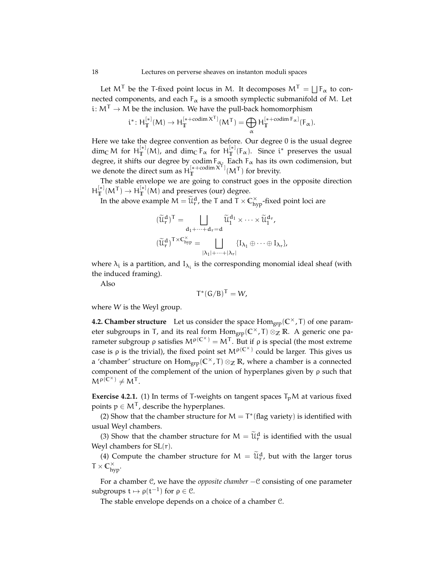Let  $M^{\mathsf{T}}$  be the T-fixed point locus in M. It decomposes  $M^{\mathsf{T}} = \bigsqcup \mathsf{F}_\alpha$  to connected components, and each  $F_{\alpha}$  is a smooth symplectic submanifold of M. Let i:  $M^T \rightarrow M$  be the inclusion. We have the pull-back homomorphism

$$
\mathfrak{i}^*\colon H^{[*]}_T(M)\to H^{[*+codim\,X^T]}_T(M^T)=\bigoplus_{\alpha} H^{[*+codim\,F_\alpha]}_T(F_\alpha).
$$

Here we take the degree convention as before. Our degree 0 is the usual degree  $\dim_{\mathbb{C}} M$  for  $H_{\mathbb{T}}^{[*]}(M)$ , and  $\dim_{\mathbb{C}} F_{\alpha}$  for  $H_{\mathbb{T}}^{[*]}(F_{\alpha})$ . Since i<sup>\*</sup> preserves the usual degree, it shifts our degree by codim  $F_{\alpha}$ . Each  $F_{\alpha}$  has its own codimension, but we denote the direct sum as  $H_T^{[*+codim \times T]}(M^T)$  for brevity.

The stable envelope we are going to construct goes in the opposite direction  $H_T^{[*]}(M^{\mathsf{T}}) \to H_T^{[*]}(M)$  and preserves (our) degree.

In the above example  $M = \widetilde{\mathcal{U}}_\tau^d$ , the T and T  $\times$  C $_{\rm hyp}^\times$ -fixed point loci are

$$
(\widetilde{\mathcal{U}}^d_r)^\mathsf{T} = \bigsqcup_{\substack{d_1 + \dots + d_r = d \\ (\widetilde{\mathcal{U}}^d_r)^\mathsf{T} \times C_{\text{hyp}}^\times = \bigsqcup_{|\lambda_1| + \dots + |\lambda_r|} \{I_{\lambda_1} \oplus \dots \oplus I_{\lambda_r}\},}
$$

where  $\lambda_i$  is a partition, and  $I_{\lambda_i}$  is the corresponding monomial ideal sheaf (with the induced framing).

Also

$$
T^*(G/B)^T = W,
$$

where W is the Weyl group.

**4.2. Chamber structure** Let us consider the space  $Hom_{\text{grp}}(C^{\times}, T)$  of one parameter subgroups in T, and its real form  $\text{Hom}_{\text{grp}}(\mathbb{C}^{\times}, T) \otimes_{\mathbb{Z}} \mathbb{R}$ . A generic one parameter subgroup  $ρ$  satisfies  $M<sup>ρ</sup>(C<sup>×</sup>) = M<sup>T</sup>$ . But if  $ρ$  is special (the most extreme case is  $\rho$  is the trivial), the fixed point set  $M^{\rho(C^{\times})}$  could be larger. This gives us a 'chamber' structure on Homgrp(**C** <sup>×</sup>, <sup>T</sup>) <sup>⊗</sup>**<sup>Z</sup> <sup>R</sup>**, where a chamber is a connected component of the complement of the union of hyperplanes given by ρ such that  $M^{\rho(\mathbf{C}^{\times})} \neq M^{\mathsf{T}}$ .

<span id="page-17-0"></span>**Exercise 4.2.1.** (1) In terms of T-weights on tangent spaces  $T<sub>p</sub>M$  at various fixed points  $p \in M^T$ , describe the hyperplanes.

(2) Show that the chamber structure for  $M = T^*$  (flag variety) is identified with usual Weyl chambers.

(3) Show that the chamber structure for  $M = \tilde{U}_r^d$  is identified with the usual Weyl chambers for  $SL(r)$ .

(4) Compute the chamber structure for  $M = \widetilde{\mathcal{U}}_r^d$ , but with the larger torus  $T \times C_{hyp}^{\times}$ .

For a chamber C, we have the *opposite chamber* −C consisting of one parameter subgroups  $t \mapsto \rho(t^{-1})$  for  $\rho \in \mathcal{C}$ .

The stable envelope depends on a choice of a chamber C.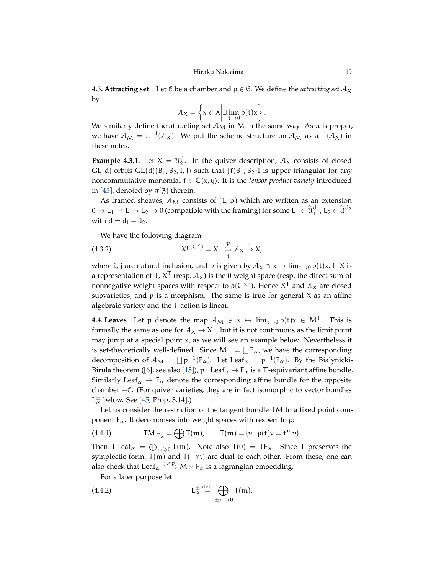<span id="page-18-4"></span>**4.3. Attracting set** Let C be a chamber and  $\rho \in \mathbb{C}$ . We define the *attracting set*  $\mathcal{A}_X$ by

$$
\mathcal{A}_X = \left\{ x \in X \middle| \exists \lim_{t \to 0} \rho(t)x \right\}.
$$

We similarly define the attracting set  $A_M$  in M in the same way. As  $\pi$  is proper, we have  $\mathcal{A}_M = \pi^{-1}(\mathcal{A}_X)$ . We put the scheme structure on  $\mathcal{A}_M$  as  $\pi^{-1}(\mathcal{A}_X)$  in these notes.

**Example 4.3.1.** Let  $X = \mathcal{U}_2^d$ . In the quiver description,  $\mathcal{A}_X$  consists of closed  $GL(d)$ -orbits  $GL(d)(B_1, B_2, I, J)$  such that  $Jf(B_1, B_2)I$  is upper triangular for any noncommutative monomial  $f \in \mathbb{C}\langle x, y \rangle$ . It is the *tensor product variety* introduced in [\[45\]](#page-55-14), denoted by  $\pi(3)$  therein.

As framed sheaves,  $A_M$  consists of  $(E, \varphi)$  which are written as an extension  $0\to E_1\to E\to E_2\to 0$  (compatible with the framing) for some  $E_1\in \widetilde{\mathfrak{U}}_1^{\mathbf{d}_1}$ ,  $E_2\in \widetilde{\mathfrak{U}}_1^{\mathbf{d}_2}$ with  $d = d_1 + d_2$ .

<span id="page-18-1"></span>We have the following diagram

(4.3.2) 
$$
X^{\rho(C^{\times})} = X^{T} \overset{p}{\underset{i}{\hookrightarrow}} \mathcal{A}_{X} \overset{j}{\rightarrow} X,
$$

where i, j are natural inclusion, and p is given by  $A_X \ni x \mapsto \lim_{t\to 0} \rho(t)x$ . If X is a representation of T,  $\mathsf{X}^\mathsf{T}$  (resp.  $\mathcal{A}_\mathsf{X}$ ) is the 0-weight space (resp. the direct sum of nonnegative weight spaces with respect to  $\rho(\mathbb{C}^{\times})$ ). Hence  $X^{\mathsf{T}}$  and  $\mathcal{A}_X$  are closed subvarieties, and  $p$  is a morphism. The same is true for general  $X$  as an affine algebraic variety and the T-action is linear.

<span id="page-18-3"></span>**4.4. Leaves** Let p denote the map  $A_M \ni x \mapsto \lim_{t \to 0} \rho(t)x \in M^T$ . This is formally the same as one for  $A_X \to X^T$ , but it is not continuous as the limit point may jump at a special point x, as we will see an example below. Nevertheless it is set-theoretically well-defined. Since  $M<sup>T</sup> = \bigsqcup F_{\alpha}$ , we have the corresponding decomposition of  $A_M = \bigsqcup p^{-1}(F_\alpha)$ . Let Leaf<sub> $\alpha = p^{-1}(F_\alpha)$ . By the Bialynicki-</sub> Birula theorem ([\[6\]](#page-54-18), see also [\[15\]](#page-54-19)), p: Leaf<sub> $\alpha \rightarrow F_{\alpha}$  is a T-equivariant affine bundle.</sub> Similarly Leaf $_{\alpha}^{-}$  →  $_{\alpha}$  denote the corresponding affine bundle for the opposite chamber −C. (For quiver varieties, they are in fact isomorphic to vector bundles  $L^{\pm}_{\alpha}$  below. See [\[45,](#page-55-14) Prop. 3.14].)

Let us consider the restriction of the tangent bundle TM to a fixed point component  $F_\alpha$ . It decomposes into weight spaces with respect to ρ:

<span id="page-18-2"></span>(4.4.1) 
$$
TM|_{F_{\alpha}} = \bigoplus T(m), \qquad T(m) = \{v \mid \rho(t)v = t^{m}v\}.
$$

Then  $\text{T} \text{Leaf}_{\alpha} = \bigoplus_{m \geq 0} \text{T}(m)$ . Note also  $\text{T}(0) = \text{T} \text{F}_{\alpha}$ . Since T preserves the symplectic form, T(m) and T(-m) are dual to each other. From these, one can also check that Leaf<sub> $\alpha$ </sub>  $\xrightarrow{\mathbf{j}\times\mathbf{p}} M \times F_{\alpha}$  is a lagrangian embedding.

<span id="page-18-0"></span>For a later purpose let

$$
L_{\alpha}^{\pm} \stackrel{\text{def.}}{=} \bigoplus_{\pm m > 0} T(m).
$$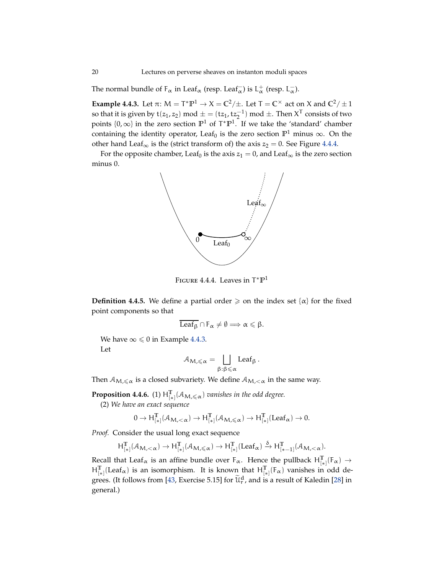<span id="page-19-4"></span>The normal bundle of  $F_\alpha$  in Leaf<sub> $\alpha$ </sub> (resp. Leaf<sub> $\alpha$ </sub>) is L<sup>+</sup><sub> $\alpha$ </sub> (resp. L<sub> $\alpha$ </sub>).

<span id="page-19-1"></span>**Example 4.4.3.** Let  $\pi$ :  $M = T^* \mathbb{P}^1 \to X = \mathbb{C}^2/\pm$ . Let  $T = \mathbb{C}^\times$  act on X and  $\mathbb{C}^2/\pm 1$ so that it is given by  $t(z_1, z_2) \text{ mod } \pm = (tz_1, tz_2^{-1}) \text{ mod } \pm$ . Then  $X^T$  consists of two points  $\{0, \infty\}$  in the zero section  $\mathbb{P}^1$  of  $T^*\mathbb{P}^1$ . If we take the 'standard' chamber containing the identity operator, Leaf<sub>0</sub> is the zero section  $\mathbb{P}^1$  minus  $\infty$ . On the other hand Leaf<sub>∞</sub> is the (strict transform of) the axis  $z_2 = 0$ . See Figure [4.4.4.](#page-19-0)

For the opposite chamber, Leaf<sub>0</sub> is the axis  $z_1 = 0$ , and Leaf<sub>∞</sub> is the zero section minus 0.



<span id="page-19-0"></span>Figure 4.4.4. Leaves in T ∗**P** 1

<span id="page-19-3"></span>**Definition 4.4.5.** We define a partial order  $\geq$  on the index set { $\alpha$ } for the fixed point components so that

$$
\overline{\text{Leaf}_{\beta}} \cap F_{\alpha} \neq \emptyset \Longrightarrow \alpha \leqslant \beta.
$$

We have  $\infty \leq 0$  in Example [4.4.3.](#page-19-1) Let

$$
\mathcal{A}_{M,\leqslant\alpha}=\bigsqcup_{\beta:\beta\leqslant\alpha}\text{Leaf}_{\beta}.
$$

Then  $A_{M,\leq \alpha}$  is a closed subvariety. We define  $A_{M,\leq \alpha}$  in the same way.

<span id="page-19-2"></span>**Proposition 4.4.6.** (1)  $H_{[*]}^T(\mathcal{A}_{M,\leq \alpha})$  *vanishes in the odd degree.* 

(2) *We have an exact sequence*

$$
0 \rightarrow \text{H}^{\mathbb{T}}_{[*]}(\mathcal{A}_{\mathcal{M},<\alpha}) \rightarrow \text{H}^{\mathbb{T}}_{[*]}(\mathcal{A}_{\mathcal{M},\leqslant \alpha}) \rightarrow \text{H}^{\mathbb{T}}_{[*]}( \text{Leaf}_{\alpha}) \rightarrow 0.
$$

*Proof.* Consider the usual long exact sequence

$$
H^{\mathbb{T}}_{[*]}(\mathcal{A}_{M,<\alpha}) \rightarrow H^{\mathbb{T}}_{[*]}(\mathcal{A}_{M,\leqslant \alpha}) \rightarrow H^{\mathbb{T}}_{[*]}(Leaf_{\alpha}) \xrightarrow{\delta} H^{\mathbb{T}}_{[*-1]}(\mathcal{A}_{M,<\alpha}).
$$

Recall that Leaf<sub> $\alpha$ </sub> is an affine bundle over  $F_{\alpha}$ . Hence the pullback  $H_{[*]}^{\mathbb{T}}(F_{\alpha}) \rightarrow$  $H_{[*]}^{\mathbb{T}}(\text{Leaf}_{\alpha})$  is an isomorphism. It is known that  $H_{[*]}^{\mathbb{T}}(F_{\alpha})$  vanishes in odd de-grees. (It follows from [\[43,](#page-55-2) Exercise 5.15] for  $\tilde{\mathfrak{u}}_r^d$ , and is a result of Kaledin [\[28\]](#page-54-17) in general.)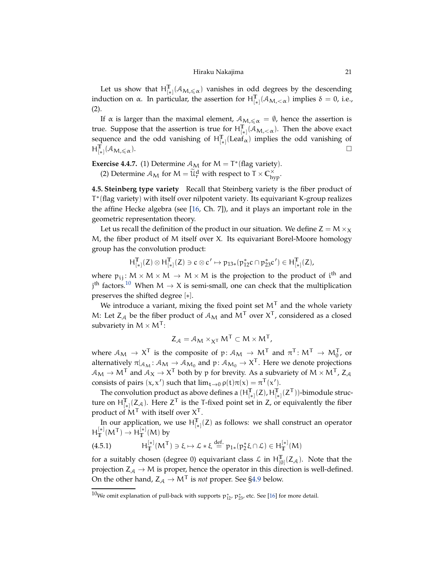## Hiraku Nakajima 21

<span id="page-20-2"></span>Let us show that  $H_{[*]}^{\mathbb{T}}(\mathcal{A}_{\mathcal{M},\leq \alpha})$  vanishes in odd degrees by the descending induction on α. In particular, the assertion for  $H_{[*]}^{\mathbb{T}}(\mathcal{A}_{M,<\alpha})$  implies  $\delta = 0$ , i.e., (2).

If  $\alpha$  is larger than the maximal element,  $A_{M,\leq \alpha} = \emptyset$ , hence the assertion is true. Suppose that the assertion is true for  $H_{[*]}^{\mathbb{T}}(\mathcal{A}_{M,<\alpha})$ . Then the above exact sequence and the odd vanishing of  $H_{[*]}^T$ [Leaf<sub>α</sub>) implies the odd vanishing of  $H_{[*]}^{\mathbb{T}}(\mathcal{A}_{\mathcal{M},\leqslant\alpha}).$ 

**Exercise 4.4.7.** (1) Determine  $A_M$  for  $M = T^*$  (flag variety).

(2) Determine  $\mathcal{A}_M$  for  $M = \widetilde{\mathcal{U}}_r^d$  with respect to  $T \times C_{hyp}^{\times}$ .

**4.5. Steinberg type variety** Recall that Steinberg variety is the fiber product of T ∗ (flag variety) with itself over nilpotent variety. Its equivariant K-group realizes the affine Hecke algebra (see [\[16,](#page-54-2) Ch. 7]), and it plays an important role in the geometric representation theory.

Let us recall the definition of the product in our situation. We define  $Z = M \times_X$ M, the fiber product of M itself over X. Its equivariant Borel-Moore homology group has the convolution product:

$$
H^{\mathbb{T}}_{[*]}(Z)\otimes H^{\mathbb{T}}_{[*]}(Z)\ni c\otimes c'\mapsto p_{13*}(p_{12}^*c\cap p_{23}^*c')\in H^{\mathbb{T}}_{[*]}(Z),
$$

where  $p_{ij}: M \times M \times M \rightarrow M \times M$  is the projection to the product of i<sup>th</sup> and  $j<sup>th</sup>$  factors.<sup>[10](#page-20-0)</sup> When  $M \rightarrow X$  is semi-small, one can check that the multiplication preserves the shifted degree [∗].

We introduce a variant, mixing the fixed point set  $M<sup>T</sup>$  and the whole variety M: Let  $Z_A$  be the fiber product of  $A_M$  and  $M<sup>T</sup>$  over  $X<sup>T</sup>$ , considered as a closed subvariety in  $M \times M^{T}$ :

$$
Z_{\mathcal{A}} = \mathcal{A}_{\mathbf{M}} \times_{\mathbf{X}^{\mathsf{T}}} \mathbf{M}^{\mathsf{T}} \subset \mathbf{M} \times \mathbf{M}^{\mathsf{T}},
$$

where  $A_M \to X^T$  is the composite of  $p: A_M \to M^T$  and  $\pi^T: M^T \to M_0^T$ , or alternatively  $\pi|_{\mathcal{A}_M}$ :  $\mathcal{A}_M \to \mathcal{A}_{M_0}$  and  $\mathfrak{p}$ :  $\mathcal{A}_{M_0} \to X^T$ . Here we denote projections  $A_{\text{M}} \to \text{M}^{\text{T}}$  and  $A_{\text{X}} \to \text{X}^{\text{T}}$  both by p for brevity. As a subvariety of  $\text{M} \times \text{M}^{\text{T}}$ , Z<sub>A</sub> consists of pairs  $(x, x')$  such that  $\lim_{t\to 0} \rho(t)\pi(x) = \pi^{T}(x')$ .

The convolution product as above defines a  $(H_{[*]}^T(Z), H_{[*]}^T(Z^T))$ -bimodule structure on  $H_{[*]}^T(Z_A)$ . Here  $Z^T$  is the T-fixed point set in Z, or equivalently the fiber product of  $M<sup>T</sup>$  with itself over  $X<sup>T</sup>$ .

In our application, we use  $H_{[*]}^{\mathbb{T}}(Z)$  as follows: we shall construct an operator  $H_T^{[*]}(M^{\mathsf{T}}) \to H_T^{[*]}(M)$  by

<span id="page-20-1"></span>
$$
(4.5.1) \qquad \qquad H^{[*]}_T(M^T) \ni \xi \mapsto \mathcal{L} * \xi \stackrel{def.}{=} \mathfrak{p}_{1*}(\mathfrak{p}^*_2 \xi \cap \mathcal{L}) \in H^{[*]}_T(M)
$$

for a suitably chosen (degree 0) equivariant class  $\mathcal{L}$  in  $H^{\mathbb{T}}_{[0]}(Z_{\mathcal{A}})$ . Note that the projection  $Z_A \rightarrow M$  is proper, hence the operator in this direction is well-defined. On the other hand,  $Z_A \rightarrow M^T$  is *not* proper. See [§4.9](#page-24-0) below.

<span id="page-20-0"></span> $^{10}$ We omit explanation of pull-back with supports  $p_{12}^*$ ,  $p_{23}^*$ , etc. See [\[16\]](#page-54-2) for more detail.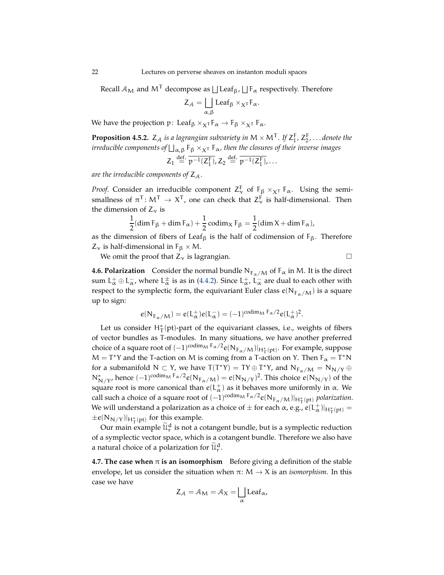Recall  $A_M$  and  $M^{\mathsf{T}}$  decompose as  $\bigsqcup \text{Leaf}_{\beta}$ ,  $\bigsqcup \mathsf{F}_\alpha$  respectively. Therefore

$$
Z_{\mathcal{A}} = \bigsqcup_{\alpha,\beta} \text{Leaf}_{\beta} \times_{X^T} F_{\alpha}.
$$

We have the projection p: Leaf<sub>β</sub>  $\times_{X}T$   $F_{\alpha}$   $\rightarrow$   $F_{\beta}$   $\times_{X}T$   $F_{\alpha}$ .

<span id="page-21-1"></span>**Proposition 4.5.2.**  $Z_A$  *is a lagrangian subvariety in*  $M \times M^T$ . If  $Z_1^F, Z_2^F, \ldots$  denote the  $i$ rreducible components of  $\bigsqcup_{\alpha,\beta}$  F<sub>β</sub>  $\times_{\mathsf{X^T}}$  F<sub>α</sub>, then the closures of their inverse images

$$
Z_1 \stackrel{\text{def.}}{=} \overline{\mathfrak{p}^{-1}(Z_1^{\mathsf{F}})}, Z_2 \stackrel{\text{def.}}{=} \overline{\mathfrak{p}^{-1}(Z_1^{\mathsf{F}})}, \ldots
$$

are the irreducible components of  $Z_A$ .

*Proof.* Consider an irreducible component  $Z_{\nu}^{F}$  of  $F_{\beta} \times_{\chi} F_{\alpha}$ . Using the semismallness of  $\pi^T$ :  $M^T \to X^T$ , one can check that  $Z^F_\nu$  is half-dimensional. Then the dimension of  $Z_v$  is

$$
\frac{1}{2}(\dim \mathrm{F}_{\beta} + \dim \mathrm{F}_{\alpha}) + \frac{1}{2}\operatorname{codim}_{X} \mathrm{F}_{\beta} = \frac{1}{2}(\dim X + \dim \mathrm{F}_{\alpha}),
$$

as the dimension of fibers of Leaf<sub>β</sub> is the half of codimension of  $F_\beta$ . Therefore  $Z_{\nu}$  is half-dimensional in  $F_{\beta} \times M$ .

We omit the proof that  $Z_v$  is lagrangian.

**4.6. Polarization** Consider the normal bundle  $N_{F\alpha/M}$  of  $F_{\alpha}$  in M. It is the direct sum  $L^+_\alpha \oplus L^-_\alpha$ , where  $L^{\pm}_\alpha$  is as in [\(4.4.2\)](#page-18-0). Since  $L^+_\alpha$ ,  $L^-_\alpha$  are dual to each other with respect to the symplectic form, the equivariant Euler class  $e(N_{F_\alpha/M})$  is a square

$$
e(N_{F_\alpha/M})=e(L_\alpha^+)e(L_\alpha^-)=(-1)^{\operatorname{codim}_M F_\alpha/2}e(L_\alpha^+)^2.
$$

Let us consider  $H^*_{\mathsf{T}}(\text{pt})$ -part of the equivariant classes, i.e., weights of fibers of vector bundles as T-modules. In many situations, we have another preferred choice of a square root of  $(-1)^{\text{codim}_M F_\alpha/2} e(N_{F_\alpha/M})|_{H^*_1(pt)}$ . For example, suppose  $M = T^*Y$  and the T-action on M is coming from a T-action on Y. Then  $F_\alpha = T^*N$ for a submanifold  $N \subset Y$ , we have  $T(T^*Y) = TY \oplus T^*Y$ , and  $N_{F_\alpha/M} = N_{N/Y} \oplus T^*Y$  $N^*_{N/Y}$ , hence  $(-1)^{\text{codim}_M F_\alpha/2} e(N_{F_\alpha/M}) = e(N_{N/Y})^2$ . This choice  $e(N_{N/Y})$  of the square root is more canonical than  $e(\mathsf{L}_\alpha^+)$  as it behaves more uniformly in  $\alpha$ . We call such a choice of a square root of  $(-1)^{\text{codim}_M F_\alpha/2} e(N_{F_\alpha/M})|_{H_T^*(pt)}$  *polarization*. We will understand a polarization as a choice of  $\pm$  for each  $\alpha$ , e.g.,  $e(L^+_{\alpha})|_{H^*_{\overline{1}}(\mathrm{pt})}=0$  $\pm e(N_{N/Y})|_{H^*_{\mathsf{T}}(\text{pt})}$  for this example.

Our main example  $\widetilde{\mathfrak{u}}_r^d$  is not a cotangent bundle, but is a symplectic reduction of a symplectic vector space, which is a cotangent bundle. Therefore we also have a natural choice of a polarization for  $\widetilde{\mathfrak{u}}_r^d$ .

<span id="page-21-0"></span>**4.7. The case when**  $\pi$  **is an isomorphism** Before giving a definition of the stable envelope, let us consider the situation when  $\pi: M \to X$  is an *isomorphism*. In this case we have

$$
Z_{\mathcal{A}} = \mathcal{A}_{\mathbf{M}} = \mathcal{A}_{\mathbf{X}} = \bigsqcup_{\alpha} \text{Leaf}_{\alpha},
$$

up to sign: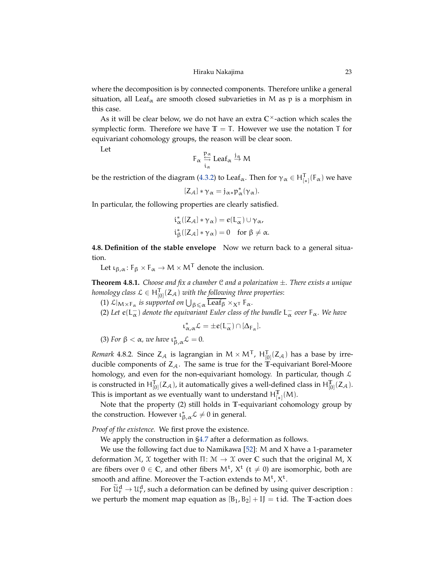<span id="page-22-1"></span>where the decomposition is by connected components. Therefore unlike a general situation, all Leaf<sub> $\alpha$ </sub> are smooth closed subvarieties in M as p is a morphism in this case.

As it will be clear below, we do not have an extra **C** ×-action which scales the symplectic form. Therefore we have  $\mathbb{T} = \mathbb{T}$ . However we use the notation  $\mathbb{T}$  for equivariant cohomology groups, the reason will be clear soon.

Let

$$
F_\alpha \overset{p_\alpha}{\underset{i_\alpha}{\hookleftarrow}} Leaf_\alpha \overset{j_\alpha}{\to} M
$$

be the restriction of the diagram [\(4.3.2\)](#page-18-1) to Leaf<sub>α</sub>. Then for  $\gamma_{\alpha} \in H^{\mathsf{T}}_{[*]}(F_{\alpha})$  we have

$$
[Z_{\mathcal{A}}] * \gamma_{\alpha} = j_{\alpha *} p_{\alpha}^* (\gamma_{\alpha}).
$$

In particular, the following properties are clearly satisfied.

$$
\begin{aligned} & i_{\alpha}^*([Z_{\mathcal{A}}]*\gamma_{\alpha}) = e(L_{\alpha}^-)\cup \gamma_{\alpha},\\ & i_{\beta}^*([Z_{\mathcal{A}}]*\gamma_{\alpha}) = 0 \quad \text{for } \beta \neq \alpha. \end{aligned}
$$

**4.8. Definition of the stable envelope** Now we return back to a general situation.

Let  $\iota_{\beta,\alpha}$ :  $F_{\beta} \times F_{\alpha} \to M \times M^{T}$  denote the inclusion.

<span id="page-22-0"></span>**Theorem 4.8.1.** *Choose and fix a chamber* C *and a polarization* ±*. There exists a unique homology class*  $\mathcal{L} \in \mathsf{H}^{\mathsf{T}}_{[0]}(\mathsf{Z}_{\mathcal{A}})$  *with the following three properties*:

 $(1)$   $\mathcal{L}|_{M\times F_\alpha}$  is supported on  $\bigcup_{\beta \leq \alpha} \overline{\mathrm{Leaf}_\beta} \times_X T$   $F_\alpha$ .

(2) Let  $e(L_{\alpha}^-)$  denote the equivariant Euler class of the bundle  $L_{\alpha}^-$  over  $F_{\alpha}$ . We have

$$
\iota_{\alpha,\alpha}^*\mathcal{L}=\pm e(L_\alpha^-)\cap [\Delta_{F_\alpha}].
$$

(3) For  $\beta < \alpha$ , we have  $\iota_{\beta,\alpha}^* \mathcal{L} = 0$ .

*Remark* 4.8.2. Since  $Z_{\mathcal{A}}$  is lagrangian in  $M \times M^{T}$ ,  $H_{[0]}^{T}(Z_{\mathcal{A}})$  has a base by irreducible components of  $Z_A$ . The same is true for the **T**-equivariant Borel-Moore homology, and even for the non-equivariant homology. In particular, though  $\mathcal L$ is constructed in  $H_{[0]}^T(Z_{\mathcal{A}})$ , it automatically gives a well-defined class in  $H_{[0]}^T(Z_{\mathcal{A}})$ . This is important as we eventually want to understand  $H_{[*]}^T(M)$ .

Note that the property (2) still holds in **T**-equivariant cohomology group by the construction. However  $\iota_{\beta,\alpha}^* \mathcal{L} \neq 0$  in general.

*Proof of the existence.* We first prove the existence.

We apply the construction in [§4.7](#page-21-0) after a deformation as follows.

We use the following fact due to Namikawa [\[52\]](#page-55-15): M and X have a 1-parameter deformation <sup>M</sup>, <sup>X</sup> together with <sup>Π</sup>: <sup>M</sup> <sup>→</sup> <sup>X</sup> over **<sup>C</sup>** such that the original <sup>M</sup>, <sup>X</sup> are fibers over  $0 \in \mathbb{C}$ , and other fibers  $M^{\dagger}$ ,  $X^{\dagger}$  ( $t \neq 0$ ) are isomorphic, both are smooth and affine. Moreover the T-action extends to  $M^t$ ,  $X^t$ .

For  $\widetilde{\mathfrak{U}}_{\rm r}^{\rm d} \to \mathfrak{U}_{\rm r}^{\rm d}$ , such a deformation can be defined by using quiver description : we perturb the moment map equation as  $[B_1, B_2] + IJ = t$  id. The **T**-action does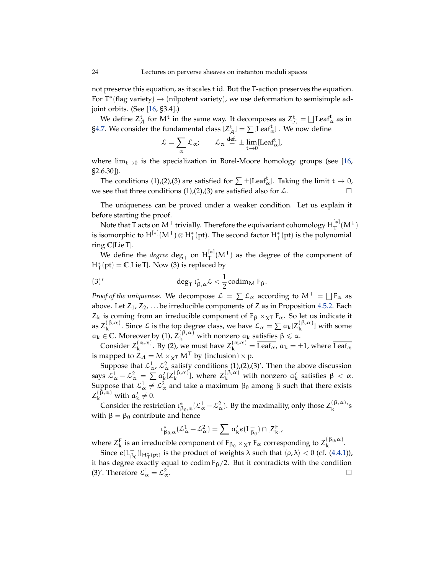<span id="page-23-0"></span>not preserve this equation, as it scales t id. But the T-action preserves the equation. For  $\mathsf{T}^*(\text{flag variety}) \to (\text{nilpotent variety})$ , we use deformation to semisimple adjoint orbits. (See [\[16,](#page-54-2) §3.4].)

We define  $Z_{\mathcal{A}}^{\rm t}$  for  $M^{\rm t}$  in the same way. It decomposes as  $Z_{\mathcal{A}}^{\rm t} = \bigsqcup \text{Leaf}_{\alpha}^{\rm t}$  as in [§4.7.](#page-21-0) We consider the fundamental class  $[Z^{\mathsf{t}}_{\mathcal{A}}] = \sum [\mathrm{Leaf}^{\mathsf{t}}_{\alpha}]$  . We now define

$$
\mathcal{L} = \sum_{\alpha} \mathcal{L}_{\alpha}; \qquad \mathcal{L}_{\alpha} \stackrel{\text{def.}}{=} \pm \lim_{t \to 0} [\text{Leaf}^t_{\alpha}],
$$

where  $\lim_{t\to 0}$  is the specialization in Borel-Moore homology groups (see [\[16,](#page-54-2) §2.6.30]).

The conditions (1),(2),(3) are satisfied for  $\sum \pm [\text{Leaf}_{\alpha}^t]$ . Taking the limit  $t \to 0$ , we see that three conditions (1),(2),(3) are satisfied also for  $\mathcal{L}$ .

The uniqueness can be proved under a weaker condition. Let us explain it before starting the proof.

Note that T acts on M<sup>T</sup> trivially. Therefore the equivariant cohomology  $H_T^{[*]}(M^T)$ is isomorphic to  $H^{[*]}(M^T) \otimes H^*_{T}(pt)$ . The second factor  $H^*_{T}(pt)$  is the polynomial ring **C**[Lie T].

We define the *degree*  $\deg_{\mathsf{T}}$  on  $\mathsf{H}_{\mathsf{T}}^{[*]}(M^{\mathsf{T}})$  as the degree of the component of  $H^*_{\mathsf{T}}(\text{pt}) = \mathbb{C}[\text{Lie }\mathsf{T}].$  Now (3) is replaced by

(3)' 
$$
\deg_{\mathsf{T}} \iota_{\beta,\alpha}^* \mathcal{L} < \frac{1}{2} \operatorname{codim}_M F_\beta.
$$

*Proof of the uniqueness.* We decompose  $\mathcal{L} = \sum \mathcal{L}_{\alpha}$  according to  $M^{T} = \bigsqcup F_{\alpha}$  as above. Let  $Z_1, Z_2, \ldots$  be irreducible components of Z as in Proposition [4.5.2.](#page-21-1) Each  $Z_k$  is coming from an irreducible component of  $F_\beta \times_{X} T F_\alpha$ . So let us indicate it as  $Z_k^{(\beta,\alpha)}$  $\kappa^{(\beta,\alpha)}$ . Since *L* is the top degree class, we have  $\mathcal{L}_{\alpha} = \sum a_k [Z_k^{(\beta,\alpha)}]$  $\binom{p,\alpha}{k}$  with some  $a_k \in \mathbb{C}$ . Moreover by (1),  $\overline{Z_k^{(\beta,\alpha)}}$  with nonzero  $a_k$  satisfies  $\beta \leq \alpha$ .

Consider  $Z_k^{(\alpha,\alpha)}$  $\kappa_{\mathbf{k}}^{(\alpha,\alpha)}$ . By (2), we must have  $Z_{\mathbf{k}}^{(\alpha,\alpha)} = \overline{\text{Leaf}_{\alpha}}$ ,  $\alpha_{\mathbf{k}} = \pm 1$ , where  $\overline{\text{Leaf}_{\alpha}}$ is mapped to  $Z_{\mathcal{A}} = M \times_{\mathbf{X}^T} M^T$  by (inclusion)  $\times$  p.

Suppose that  $\mathcal{L}_{\alpha}^1$ ,  $\mathcal{L}_{\alpha}^2$  satisfy conditions (1),(2),(3)'. Then the above discussion says  $\mathcal{L}_{\alpha}^{1} - \mathcal{L}_{\alpha}^{2} = \sum \alpha'_{k} [Z_{k}^{(\beta,\alpha)}]$ <sup>(β,α)</sup>], where  $Z_k^{(\beta,\alpha)}$  with nonzero  $a'_k$  satisfies  $\beta < \alpha$ . Suppose that  $\mathcal{L}_{\alpha}^1 \neq \mathcal{L}_{\alpha}^2$  and take a maximum  $\beta_0$  among  $\beta$  such that there exists  $Z_k^{(\beta,\alpha)}$  with  $a'_k \neq 0$ .

Consider the restriction  $\iota_{\beta_0,\alpha}^*(\mathcal{L}_{\alpha}^1-\mathcal{L}_{\alpha}^2)$ . By the maximality, only those  $Z_k^{(\beta,\alpha)}$  $k^{(\mathsf{p},\alpha)}$ 's with  $β = β<sub>0</sub>$  contribute and hence

$$
\iota_{\beta_0,\alpha}^*({\mathcal L}^1_\alpha-{\mathcal L}^2_\alpha)=\sum \, \alpha_k' {\varepsilon}(L_{\beta_0}^-)\cap [Z_k^F],
$$

where  $Z_k^F$  is an irreducible component of  $F_{\beta_0} \times_{X^T} F_\alpha$  corresponding to  $Z_k^{(\beta_0,\alpha)}$ .

Since  $e(L_{\beta_0}^-)|_{H^*_1(pt)}$  is the product of weights  $\lambda$  such that  $\langle \rho, \lambda \rangle < 0$  (cf. [\(4.4.1\)](#page-18-2)), it has degree exactly equal to codim  $F_\beta/2$ . But it contradicts with the condition (3)'. Therefore  $\mathcal{L}_{\alpha}^1 = \mathcal{L}_{\alpha}^2$  $\alpha$ .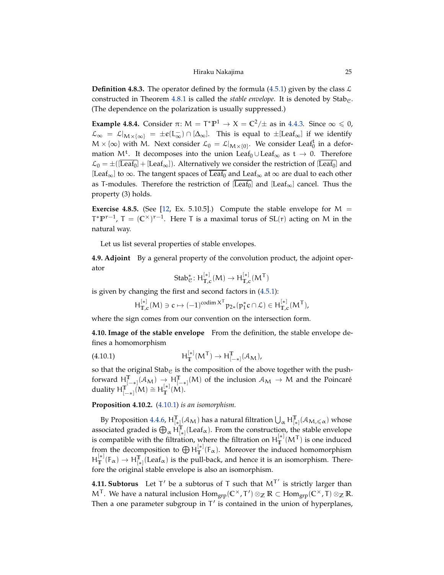<span id="page-24-2"></span>**Definition 4.8.3.** The operator defined by the formula [\(4.5.1\)](#page-20-1) given by the class  $\mathcal{L}$ constructed in Theorem  $4.8.1$  is called the *stable envelope*. It is denoted by Stab<sub>e</sub>. (The dependence on the polarization is usually suppressed.)

**Example 4.8.4.** Consider  $\pi: M = T^* \mathbb{P}^1 \to X = \mathbb{C}^2/\pm$  as in [4.4.3.](#page-19-1) Since  $\infty \le 0$ ,  $\mathcal{L}_{\infty} = \mathcal{L}|_{\mathcal{M} \times {\{\infty\}}} = \pm e(L_{\infty}^{-}) \cap [\Delta_{\infty}]$ . This is equal to  $\pm [\text{Leaf}_{\infty}]$  if we identify  $M \times \{\infty\}$  with M. Next consider  $\mathcal{L}_0 = \mathcal{L}|_{M \times \{0\}}$ . We consider Leaft in a deformation M<sup>t</sup>. It decomposes into the union Leaf<sub>0</sub> ∪ Leaf<sub>∞</sub> as  $t \to 0$ . Therefore  $\mathcal{L}_0 = \pm ([\overline{\text{Leaf}_0}] + [\text{Leaf}_\infty])$ . Alternatively we consider the restriction of  $[\overline{\text{Leaf}_0}]$  and [Leaf<sub>∞</sub>] to ∞. The tangent spaces of Leaf<sub>0</sub> and Leaf<sub>∞</sub> at ∞ are dual to each other as T-modules. Therefore the restriction of  $[\overline{Leaf}_0]$  and  $[Leaf_\infty]$  cancel. Thus the property (3) holds.

**Exercise 4.8.5.** (See [\[12,](#page-54-1) Ex. 5.10.5].) Compute the stable envelope for  $M =$  $T^*P^{r-1}$ ,  $T = (C^{\times})^{r-1}$ . Here T is a maximal torus of SL(r) acting on M in the natural way.

<span id="page-24-0"></span>Let us list several properties of stable envelopes.

**4.9. Adjoint** By a general property of the convolution product, the adjoint operator

$$
\text{Stab}^*_{\mathcal{C}}\colon H^{[*]}_{\mathbb{T},c}(M)\to H^{[*]}_{\mathbb{T},c}(M^{\mathsf{T}})
$$

is given by changing the first and second factors in [\(4.5.1\)](#page-20-1):

<span id="page-24-1"></span>
$$
H_{\mathbb{T},c}^{[*]}(M) \ni c \mapsto (-1)^{\operatorname{codim} X^T} p_{2*}(p_1^* c \cap \mathcal{L}) \in H_{\mathbb{T},c}^{[*]}(M^T),
$$

where the sign comes from our convention on the intersection form.

**4.10. Image of the stable envelope** From the definition, the stable envelope defines a homomorphism

(4.10.1) 
$$
H_{\mathbb{T}}^{[*]}(M^{\mathsf{T}}) \to H_{[-*]}^{\mathbb{T}}(\mathcal{A}_{M}),
$$

so that the original Stab<sub>C</sub> is the composition of the above together with the pushforward  $H_{[-*]}^{\mathbb{T}}(\mathcal{A}_{\mathcal{M}}) \to H_{[-*]}^{\mathbb{T}}(\mathcal{M})$  of the inclusion  $\mathcal{A}_{\mathcal{M}} \to \mathcal{M}$  and the Poincaré duality  $H_{[-*]}^{T^{\text{t}}} (M) \cong H_{T}^{[*]} (M)$ .

# **Proposition 4.10.2.** [\(4.10.1\)](#page-24-1) *is an isomorphism.*

By Proposition [4.4.6,](#page-19-2)  $H_{[*]}^{\mathbb{T}}(\mathcal{A}_M)$  has a natural filtration  $\bigcup_{\alpha} H_{[*]}^{\mathbb{T}}(\mathcal{A}_{M,\leq \alpha})$  whose associated graded is  $\bigoplus_{\alpha} H^{\mathbb{T}}_{[*]}(\text{Leaf}_{\alpha})$ . From the construction, the stable envelope is compatible with the filtration, where the filtration on  $H_T^{[*]}(M^T)$  is one induced from the decomposition to  $\bigoplus H_T^{[*]}(F_\alpha)$ . Moreover the induced homomorphism  $H_{\mathbb{T}}^{[*]}(F_\alpha) \to H_{[*]}^{\mathbb{T}}(Leaf_\alpha)$  is the pull-back, and hence it is an isomorphism. Therefore the original stable envelope is also an isomorphism.

**4.11. Subtorus** Let T' be a subtorus of T such that  $M<sup>T'</sup>$  is strictly larger than  $M^{\mathsf{T}}$ . We have a natural inclusion  $\text{Hom}_{\text{grp}}(\mathbb{C}^{\times}, \mathsf{T}') \otimes_{\mathbb{Z}} \mathbb{R} \subset \text{Hom}_{\text{grp}}(\mathbb{C}^{\times}, \mathsf{T}) \otimes_{\mathbb{Z}} \mathbb{R}$ . Then a one parameter subgroup in T' is contained in the union of hyperplanes,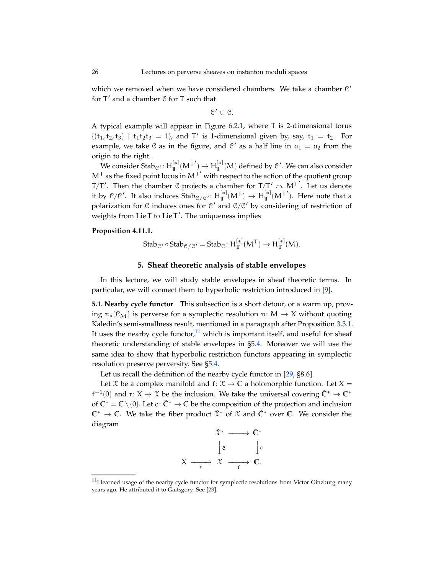<span id="page-25-4"></span>which we removed when we have considered chambers. We take a chamber  $C'$ for T ′ and a chamber C for T such that

 $\mathfrak{C}' \subset \mathfrak{C}.$ 

A typical example will appear in Figure [6.2.1,](#page-35-0) where T is 2-dimensional torus  $\{(t_1, t_2, t_3) | t_1t_2t_3 = 1\}$ , and T' is 1-dimensional given by, say,  $t_1 = t_2$ . For example, we take  $C$  as in the figure, and  $C'$  as a half line in  $a_1 = a_2$  from the origin to the right.

We consider Stab<sub>C'</sub>:  $H_{\mathbb{T}}^{[*]}(M^{\mathsf{T}'}) \rightarrow H_{\mathbb{T}}^{[*]}(M)$  defined by C'. We can also consider  $M<sup>T</sup>$  as the fixed point locus in  $M<sup>T'</sup>$  with respect to the action of the quotient group T/T'. Then the chamber C projects a chamber for  $T/T' \sim M^{T'}$ . Let us denote it by  $C/C'$ . It also induces  $\text{Stab}_{C/C'}$ :  $H_T^{[*]}(M^{\mathsf{T}}) \to H_T^{[*]}(M^{\mathsf{T}'})$ . Here note that a polarization for  $C$  induces ones for  $C'$  and  $C/C'$  by considering of restriction of weights from Lie T to Lie T ′ . The uniqueness implies

# <span id="page-25-3"></span>**Proposition 4.11.1.**

Stab<sub>C'</sub> 
$$
\circ
$$
Stab<sub>C/C'</sub> = Stab<sub>C</sub>: H<sub>T</sub><sup>[\*]</sup>(M<sup>T</sup>)  $\rightarrow$  H<sub>T</sub><sup>[\*]</sup>(M).

 $\ddot{•}$ 

**ικανός του Σε** 

# **5. Sheaf theoretic analysis of stable envelopes**

<span id="page-25-0"></span>In this lecture, we will study stable envelopes in sheaf theoretic terms. In particular, we will connect them to hyperbolic restriction introduced in [\[9\]](#page-54-12).

<span id="page-25-2"></span>**5.1. Nearby cycle functor** This subsection is a short detour, or a warm up, proving  $\pi_*(\mathcal{C}_M)$  is perverse for a symplectic resolution  $\pi: M \to X$  without quoting Kaledin's semi-smallness result, mentioned in a paragraph after Proposition [3.3.1.](#page-11-1) It uses the nearby cycle functor, $11$  which is important itself, and useful for sheaf theoretic understanding of stable envelopes in [§5.4.](#page-28-0) Moreover we will use the same idea to show that hyperbolic restriction functors appearing in symplectic resolution preserve perversity. See [§5.4.](#page-28-0)

Let us recall the definition of the nearby cycle functor in [\[29,](#page-55-16) §8.6].

Let  $X$  be a complex manifold and  $f: X \to \mathbb{C}$  a holomorphic function. Let  $X =$  $f^{-1}(0)$  and  $r: X \to X$  be the inclusion. We take the universal covering  $\tilde{C}^* \to C^*$ of  $\mathbb{C}^* = \mathbb{C} \setminus \{0\}$ . Let  $c: \tilde{\mathbb{C}}^* \to \mathbb{C}$  be the composition of the projection and inclusion **C** <sup>∗</sup> <sup>→</sup> **<sup>C</sup>**. We take the fiber product <sup>X</sup>˜ <sup>∗</sup> of <sup>X</sup> and **<sup>C</sup>**˜ <sup>∗</sup> over **<sup>C</sup>**. We consider the diagram



<span id="page-25-1"></span> $11$ I learned usage of the nearby cycle functor for symplectic resolutions from Victor Ginzburg many years ago. He attributed it to Gaitsgory. See [\[23\]](#page-54-20).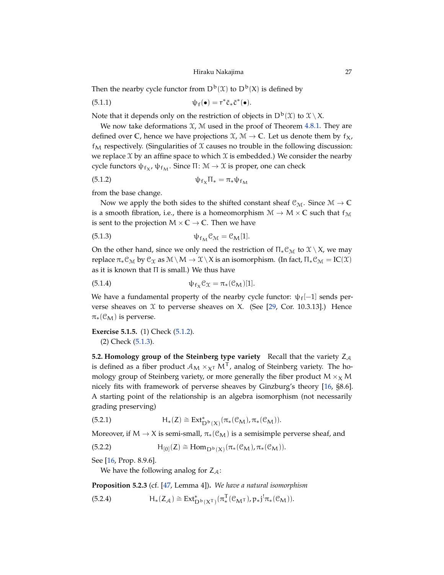## <span id="page-26-7"></span>Hiraku Nakajima 27

<span id="page-26-8"></span>Then the nearby cycle functor from  $D^b(\mathfrak{X})$  to  $D^b(X)$  is defined by

(5.1.1) 
$$
\psi_f(\bullet) = r^* \tilde{c}_* \tilde{c}^*(\bullet).
$$

Note that it depends only on the restriction of objects in  $D^b(\mathfrak{X})$  to  $\mathfrak{X} \setminus X$ .

We now take deformations  $X$ ,  $M$  used in the proof of Theorem [4.8.1.](#page-22-0) They are defined over **C**, hence we have projections  $\mathcal{X}, \mathcal{M} \to \mathbb{C}$ . Let us denote them by  $f_X$ ,  $f<sub>M</sub>$  respectively. (Singularities of  $\mathfrak X$  causes no trouble in the following discussion: we replace  $\mathfrak X$  by an affine space to which  $\mathfrak X$  is embedded.) We consider the nearby cycle functors  $\psi_{f_X}$ ,  $\psi_{f_M}$ . Since Π:  $M \to \mathfrak{X}$  is proper, one can check

<span id="page-26-0"></span>
$$
\psi_{f_X} \Pi_* = \pi_* \psi_{f_M}
$$

from the base change.

Now we apply the both sides to the shifted constant sheaf  $\mathcal{C}_{\mathcal{M}}$ . Since  $\mathcal{M} \to \mathbb{C}$ is a smooth fibration, i.e., there is a homeomorphism  $M \to M \times \mathbb{C}$  such that  $f_M$ is sent to the projection  $M \times \mathbb{C} \rightarrow \mathbb{C}$ . Then we have

<span id="page-26-1"></span>
$$
\Psi_{f_M} \mathcal{C}_M = \mathcal{C}_M[1].
$$

On the other hand, since we only need the restriction of  $\Pi_*\mathcal{C}_{\mathcal{M}}$  to  $\mathcal{X}\setminus X$ , we may replace  $\pi_*\mathcal{C}_\mathcal{M}$  by  $\mathcal{C}_\mathfrak{X}$  as  $\mathcal{M} \setminus M \to \mathfrak{X} \setminus X$  is an isomorphism. (In fact,  $\Pi_*\mathcal{C}_\mathcal{M} = IC(\mathfrak{X})$ as it is known that  $\Pi$  is small.) We thus have

<span id="page-26-6"></span>(5.1.4) 
$$
\psi_{f_X} \mathcal{C}_X = \pi_* (\mathcal{C}_M)[1].
$$

We have a fundamental property of the nearby cycle functor:  $\psi_f[-1]$  sends perverse sheaves on  $X$  to perverse sheaves on  $X$ . (See [\[29,](#page-55-16) Cor. 10.3.13].) Hence  $\pi_*(\mathcal{C}_M)$  is perverse.

**Exercise 5.1.5.** (1) Check [\(5.1.2\)](#page-26-0).

(2) Check [\(5.1.3\)](#page-26-1).

**5.2. Homology group of the Steinberg type variety** Recall that the variety  $Z_A$ is defined as a fiber product  $\mathcal{A}_M \times_{\chi^{\top}} M^{\top}$ , analog of Steinberg variety. The homology group of Steinberg variety, or more generally the fiber product  $M \times_X M$ nicely fits with framework of perverse sheaves by Ginzburg's theory [\[16,](#page-54-2) §8.6]. A starting point of the relationship is an algebra isomorphism (not necessarily grading preserving)

<span id="page-26-2"></span>(5.2.1) 
$$
H_*(Z) \cong Ext^*_{D^b(X)}(\pi_*(\mathcal{C}_M), \pi_*(\mathcal{C}_M)).
$$

Moreover, if  $M \to X$  is semi-small,  $\pi_*(\mathcal{C}_M)$  is a semisimple perverse sheaf, and

(5.2.2) 
$$
\qquad \qquad \mathrm{H}_{[0]}(Z)\cong \mathrm{Hom}_{D^b(X)}(\pi_*(\mathcal{C}_M),\pi_*(\mathcal{C}_M)).
$$

See [\[16,](#page-54-2) Prop. 8.9.6].

<span id="page-26-4"></span><span id="page-26-3"></span>We have the following analog for  $Z_{\mathcal{A}}$ :

<span id="page-26-5"></span>**Proposition 5.2.3** (cf. [\[47,](#page-55-1) Lemma 4])**.** *We have a natural isomorphism*

(5.2.4) 
$$
H_*(Z_{\mathcal{A}}) \cong Ext^*_{D^b(X^T)}(\pi^T_*(\mathcal{C}_{M^T}), p_*j^!\pi_*(\mathcal{C}_M)).
$$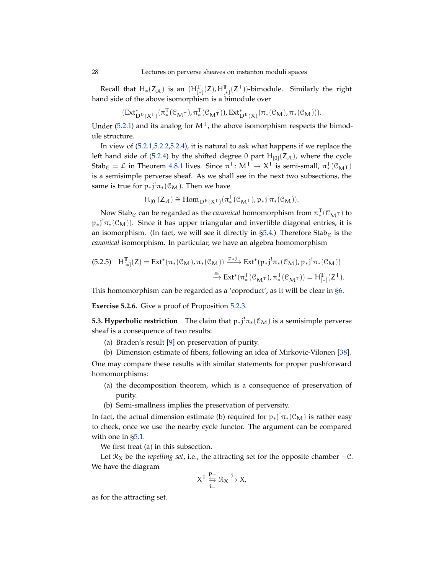Recall that  $H_*(Z_\mathcal{A})$  is an  $(H_{[*]}^T(Z), H_{[*]}^T(Z^T))$ -bimodule. Similarly the right hand side of the above isomorphism is a bimodule over

$$
(Ext^*_{D^b(X^T)}(\pi^T_*(\mathcal{C}_{M^T}), \pi^T_*(\mathcal{C}_{M^T})), Ext^*_{D^b(X)}(\pi_*(\mathcal{C}_M), \pi_*(\mathcal{C}_M))).
$$

Under [\(5.2.1\)](#page-26-2) and its analog for  $M<sup>T</sup>$ , the above isomorphism respects the bimodule structure.

In view of [\(5.2.1,](#page-26-2)[5.2.2](#page-26-3)[,5.2.4\)](#page-26-4), it is natural to ask what happens if we replace the left hand side of [\(5.2.4\)](#page-26-4) by the shifted degree 0 part  $H_{[0]}(Z_{\mathcal{A}})$ , where the cycle  $\text{Stab}_{\mathcal{C}} = \mathcal{L}$  in Theorem [4.8.1](#page-22-0) lives. Since  $\pi^{\mathsf{T}}: \mathcal{M}^{\mathsf{T}} \to \mathcal{X}^{\mathsf{T}}$  is semi-small,  $\pi_*^{\mathsf{T}}$  $\mathbf{C}_{\mathbf{M}^{\mathsf{T}}}(\mathcal{C}_{\mathbf{M}^{\mathsf{T}}})$ is a semisimple perverse sheaf. As we shall see in the next two subsections, the same is true for  $p_*j^!\pi_*(\mathcal{C}_M)$ . Then we have

$$
\mathsf{H}_{[0]}(Z_{\mathcal{A}})\cong \text{Hom}_{\mathbf{D}^{\mathbf{b}}(X^{\mathsf{T}})}(\pi^{\mathsf{T}}_*(\mathfrak{C}_{\mathbf{M}^{\mathsf{T}}}),\mathfrak{p}_*j^!\pi_*(\mathfrak{C}_{\mathbf{M}})).
$$

Now Stab<sub>C</sub> can be regarded as the *canonical* homomorphism from  $\pi^\mathsf{T}_*$  $_{*}^{1}$ ( $\mathcal{C}_{\mathbf{M}}$ τ) to  $p_*j^!\pi_*(\mathcal{C}_M)$ ). Since it has upper triangular and invertible diagonal entries, it is an isomorphism. (In fact, we will see it directly in  $\S5.4$ .) Therefore Stab<sub>C</sub> is the *canonical* isomorphism. In particular, we have an algebra homomorphism

<span id="page-27-0"></span>
$$
\begin{aligned} \text{(5.2.5)} \quad H_{[*]}^{\mathbb{T}}(Z) = \text{Ext}^*(\pi_*({\mathcal{C}}_M), \pi_*({\mathcal{C}}_M)) \xrightarrow{p_{*}j^!} \text{Ext}^*(p_{*}j^! \pi_*({\mathcal{C}}_M), p_{*}j^! \pi_*({\mathcal{C}}_M)) \\ \xrightarrow{\cong} \text{Ext}^*(\pi_*^{\mathbb{T}}({\mathcal{C}}_{M^{\mathbb{T}}}), \pi_*^{\mathbb{T}}({\mathcal{C}}_{M^{\mathbb{T}}})) = H_{[*]}^{\mathbb{T}}(Z^{\mathbb{T}}). \end{aligned}
$$

This homomorphism can be regarded as a 'coproduct', as it will be clear in [§6.](#page-33-0)

**Exercise 5.2.6.** Give a proof of Proposition [5.2.3.](#page-26-5)

**5.3. Hyperbolic restriction** The claim that  $p_*j^!\pi_*(\mathcal{C}_M)$  is a semisimple perverse sheaf is a consequence of two results:

- (a) Braden's result [\[9\]](#page-54-12) on preservation of purity.
- (b) Dimension estimate of fibers, following an idea of Mirkovic-Vilonen [\[38\]](#page-55-17).

One may compare these results with similar statements for proper pushforward homomorphisms:

- (a) the decomposition theorem, which is a consequence of preservation of purity.
- (b) Semi-smallness implies the preservation of perversity.

In fact, the actual dimension estimate (b) required for  $p_*j^!\pi_*(\mathcal{C}_M)$  is rather easy to check, once we use the nearby cycle functor. The argument can be compared with one in [§5.1.](#page-25-2)

We first treat (a) in this subsection.

Let  $\mathcal{R}_X$  be the *repelling set*, i.e., the attracting set for the opposite chamber  $-\mathcal{C}$ . We have the diagram

$$
X^T \overset{p_-}{\underset{i_-}{\hookleftarrow}} \mathcal{R}_X \overset{j_-}{\to} X,
$$

as for the attracting set.

<span id="page-27-1"></span>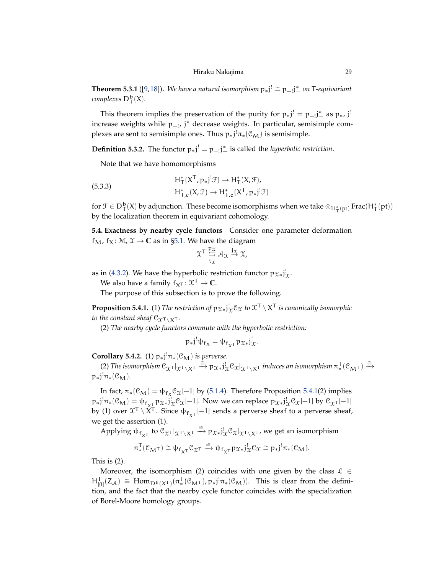<span id="page-28-5"></span><span id="page-28-3"></span>**Theorem 5.3.1** ([\[9,](#page-54-12)[18\]](#page-54-21)). *We have a natural isomorphism*  $p_*j' \cong p_{-1}j^*$  *on* T-equivariant  $complexes\ D^{\mathbf{b}}_{\mathsf{T}}(\mathsf{X}).$ 

This theorem implies the preservation of the purity for  $p_*j^! = p_{-j}j^*$  as  $p_*, j^!$ increase weights while p<sub>−!</sub>, j\* decrease weights. In particular, semisimple complexes are sent to semisimple ones. Thus  $p_*j^!\pi_*(\mathcal{C}_M)$  is semisimple.

**Definition 5.3.2.** The functor  $p_*j^! = p_{-j}j^*$  is called the *hyperbolic restriction*.

Note that we have homomorphisms

<span id="page-28-4"></span>(5.3.3)  
\n
$$
H^*_{T}(X^T, p_*j^! \mathcal{F}) \to H^*_{T}(X, \mathcal{F}),
$$
\n
$$
H^*_{T,c}(X, \mathcal{F}) \to H^*_{T,c}(X^T, p_*j^! \mathcal{F})
$$

for  $\mathcal{F} \in D^b_T(X)$  by adjunction. These become isomorphisms when we take  $\otimes_{H^*_T(pt)}$  Frac $(H^*_T(pt))$ by the localization theorem in equivariant cohomology.

<span id="page-28-0"></span>**5.4. Exactness by nearby cycle functors** Consider one parameter deformation  $f_M$ ,  $f_X$ :  $M$ ,  $X \rightarrow \mathbb{C}$  as in [§5.1.](#page-25-2) We have the diagram

$$
\mathfrak{X}^{\mathsf{T}} \overset{\mathfrak{p}_{\mathfrak{X}}}{\underset{i_{\mathfrak{X}}}{\leftrightarrow}} \mathcal{A}_{\mathfrak{X}} \overset{j_{\mathfrak{X}}}{\to} \mathfrak{X},
$$

as in [\(4.3.2\)](#page-18-1). We have the hyperbolic restriction functor  $p_{\mathcal{X}*}j_{\mathcal{X}}^!$ .

We also have a family  $f_{\chi}^{-} : \mathfrak{X}^{\mathsf{T}} \to \mathbb{C}$ .

The purpose of this subsection is to prove the following.

<span id="page-28-1"></span>**Proposition 5.4.1.** (1) *The restriction of*  $p_{\mathcal{X}*}j_{\mathcal{X}}^! \mathcal{C}_{\mathcal{X}}$  *to*  $\mathcal{X}^{\mathsf{T}} \setminus \mathcal{X}^{\mathsf{T}}$  *is canonically isomorphic to the constant sheaf*  $C_{\chi^{\mathsf{T}} \setminus \chi^{\mathsf{T}}}$ *.* 

(2) *The nearby cycle functors commute with the hyperbolic restriction:*

$$
p_*j^!\psi_{f_X}=\psi_{f_{X}T}p_{\mathcal{X}*}j^!_{\mathcal{X}}.
$$

<span id="page-28-2"></span>**Corollary 5.4.2.** (1)  $p_*j^!\pi_*(\mathcal{C}_M)$  *is perverse.* 

(2) The isomorphism  $\mathcal{C}_{\mathcal{X}} \tau |_{\mathcal{X}^{\mathsf{T}}} \times \tau \to p_{\mathcal{X}*} j_{\mathcal{X}}^{\mathsf{T}} \mathcal{C}_{\mathcal{X}} |_{\mathcal{X}^{\mathsf{T}} \setminus \mathcal{X}^{\mathsf{T}}}$  induces an isomorphism  $\pi_*^{\mathsf{T}}$  $\Gamma^{\dagger}$ (C<sub>M</sub>τ)  $\stackrel{\cong}{\equiv}$ −→  $p_*j^!\pi_*(\mathfrak{C}_M)$ .

In fact,  $\pi_*(\mathcal{C}_M) = \psi_{f_X} \mathcal{C}_X[-1]$  by [\(5.1.4\)](#page-26-6). Therefore Proposition [5.4.1\(](#page-28-1)2) implies  $p_*j^!\pi_*(\mathcal{C}_M) = \psi_{f_{X\perp}^\perp} p_{\mathcal{X}*}j_\mathcal{X}^! \mathcal{C}_\mathcal{X}[-1]$ . Now we can replace  $p_{\mathcal{X}*}j_\mathcal{X}^! \mathcal{C}_\mathcal{X}[-1]$  by  $\mathcal{C}_{\mathcal{X}^\top}[-1]$ by (1) over  $\mathfrak{X}^{\mathsf{T}}\setminus \widetilde{\mathsf{X}}^{\mathsf{T}}$ . Since  $\psi_{f_{\mathsf{X}^{\mathsf{T}}}}[-1]$  sends a perverse sheaf to a perverse sheaf, we get the assertion (1).

Applying  $\psi_{f_{X^T}}$  to  $\mathcal{C}_{\mathcal{X}^T}|_{\mathcal{X}^T \setminus X^T} \stackrel{\cong}{\to} p_{\mathcal{X}^*} j_{\mathcal{X}}^T \mathcal{C}_{\mathcal{X}}|_{\mathcal{X}^T \setminus X^T}$ , we get an isomorphism

$$
\pi^T_*(\mathcal{C}_{M^{\mathsf{T}}}) \cong \psi_{f_{X^{\mathsf{T}}}} \mathcal{C}_{\mathfrak{X}^{\mathsf{T}}} \xrightarrow{\cong} \psi_{f_{X^{\mathsf{T}}}} \mathfrak{p}_{\mathfrak{X}*} j_{\mathfrak{X}}^! \mathcal{C}_{\mathfrak{X}} \cong \mathfrak{p}_* j^! \pi_*(\mathcal{C}_M).
$$

This is (2).

Moreover, the isomorphism (2) coincides with one given by the class  $\mathcal{L} \in$  $H^{\mathsf{T}}_{[0]}(Z_{\mathcal{A}}) \cong \text{Hom}_{D^{\mathsf{b}}(X^{\mathsf{T}})}(\pi^{\mathsf{T}}_{*})$  ${}_{*}^{T}(\mathcal{C}_{M^{T}}), p_{*}j^{!}\pi_{*}(\mathcal{C}_{M}))$ . This is clear from the definition, and the fact that the nearby cycle functor coincides with the specialization of Borel-Moore homology groups.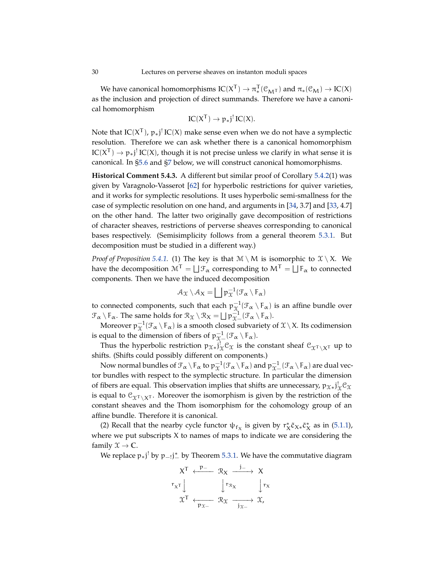<span id="page-29-0"></span>We have canonical homomorphisms  $\text{IC}(X^T) \to \pi^T_*$  $\pi^1(\mathcal{C}_{\mathbf{M}^{\mathsf{T}}})$  and  $\pi_*(\mathcal{C}_{\mathbf{M}}) \to \text{IC}(X)$ as the inclusion and projection of direct summands. Therefore we have a canonical homomorphism

$$
IC(X^T) \to p_*j^! IC(X).
$$

Note that  $IC(X^T)$ ,  $p_*j^! IC(X)$  make sense even when we do not have a symplectic resolution. Therefore we can ask whether there is a canonical homomorphism  $\text{IC}(X^T) \to p_*j^! \text{IC}(X)$ , though it is not precise unless we clarify in what sense it is canonical. In [§5.6](#page-31-0) and [§7](#page-39-0) below, we will construct canonical homomorphisms.

**Historical Comment 5.4.3.** A different but similar proof of Corollary [5.4.2\(](#page-28-2)1) was given by Varagnolo-Vasserot [\[62\]](#page-56-4) for hyperbolic restrictions for quiver varieties, and it works for symplectic resolutions. It uses hyperbolic semi-smallness for the case of symplectic resolution on one hand, and arguments in [\[34,](#page-55-18) 3.7] and [\[33,](#page-55-19) 4.7] on the other hand. The latter two originally gave decomposition of restrictions of character sheaves, restrictions of perverse sheaves corresponding to canonical bases respectively. (Semisimplicity follows from a general theorem [5.3.1.](#page-28-3) But decomposition must be studied in a different way.)

*Proof of Proposition* [5.4.1.](#page-28-1) (1) The key is that  $M \setminus M$  is isomorphic to  $X \setminus X$ . We have the decomposition  $\mathcal{M}^{\mathsf{T}} = \bigsqcup \mathcal{F}_\alpha$  corresponding to  $\mathcal{M}^{\mathsf{T}} = \bigsqcup \mathcal{F}_\alpha$  to connected components. Then we have the induced decomposition

$$
\mathcal{A}_{\mathcal{X}}\setminus\mathcal{A}_{\mathcal{X}}=\bigsqcup p_{\mathcal{X}}^{-1}(\mathcal{F}_{\alpha}\setminus F_{\alpha})
$$

to connected components, such that each  $p_{\mathcal{X}}^{-1}(\mathcal{F}_\alpha \setminus F_\alpha)$  is an affine bundle over  $\mathcal{F}_{\alpha} \setminus \mathcal{F}_{\alpha}$ . The same holds for  $\mathcal{R}_{\chi} \setminus \mathcal{R}_{\chi} = \bigsqcup p_{\chi}^{-1} (\mathcal{F}_{\alpha} \setminus \mathcal{F}_{\alpha})$ .

Moreover  $\mathfrak{p}_\mathfrak{X}^{-1}(\mathfrak{F}_\alpha\setminus\mathsf{F}_\alpha)$  is a smooth closed subvariety of  $\mathfrak{X}\setminus X$ . Its codimension is equal to the dimension of fibers of  $p_{\mathfrak{X} -}^{-1}(\mathcal{F}_\alpha \setminus \mathsf{F}_\alpha)$ .

Thus the hyperbolic restriction  $p_{\mathfrak{X}*}j_{\mathfrak{X}}^! \mathfrak{C}_{\mathfrak{X}}$  is the constant sheaf  $\mathfrak{C}_{\mathfrak{X}^{\mathsf{T}} \setminus \mathsf{X}^{\mathsf{T}}}$  up to shifts. (Shifts could possibly different on components.)

Now normal bundles of  $\mathcal{F}_\alpha \setminus F_\alpha$  to  $p_{\mathfrak{X}}^{-1}(\mathcal{F}_\alpha \setminus F_\alpha)$  and  $p_{\mathfrak{X}-}^{-1}(\mathcal{F}_\alpha \setminus F_\alpha)$  are dual vector bundles with respect to the symplectic structure. In particular the dimension of fibers are equal. This observation implies that shifts are unnecessary,  $p_{\mathcal{X}*}j_{\mathcal{X}}^!\mathcal{C}_{\mathcal{X}}$ is equal to  $\mathcal{C}_{\chi}(\chi)$ . Moreover the isomorphism is given by the restriction of the constant sheaves and the Thom isomorphism for the cohomology group of an affine bundle. Therefore it is canonical.

(2) Recall that the nearby cycle functor  $\psi_{f_X}$  is given by  $r_X^* \tilde{c}_{X*} \tilde{c}_X^*$  as in [\(5.1.1\)](#page-26-7), where we put subscripts X to names of maps to indicate we are considering the family  $\mathfrak{X} \to \mathbb{C}$ .

We replace  $p_*j'$  by  $p_{-j}j^*_{-}$  by Theorem [5.3.1.](#page-28-3) We have the commutative diagram

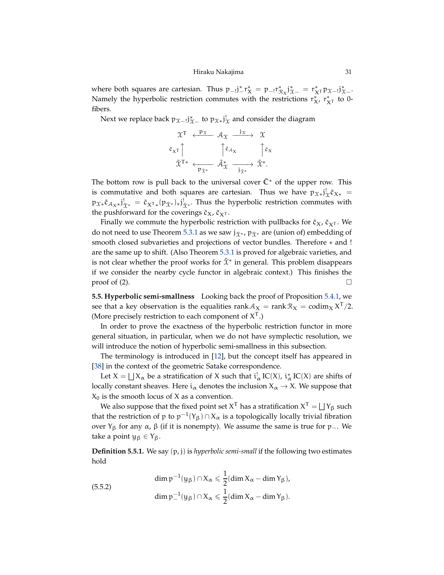#### Hiraku Nakajima 31

<span id="page-30-1"></span>where both squares are cartesian. Thus  $p_{-!}j^*_{-}r^*_{-} = p_{-!}r^*_{\mathcal{R}_X}j^*_{\mathcal{X}-} = r^*_{X^T}p_{\mathcal{X}-!}j^*_{\mathcal{X}-}.$ Namely the hyperbolic restriction commutes with the restrictions  $r_{X}^*$ ,  $r_{X^{\mathsf{T}}}^*$  to 0fibers.

Next we replace back  $p_{\mathcal{X}-}$   $j^*_{\mathcal{X}-}$  to  $p_{\mathcal{X}*}$   $j^!_{\mathcal{X}}$  and consider the diagram

$$
\begin{array}{ccc}\n\mathfrak{X}^{\mathsf{T}} & \xleftarrow{\mathsf{P}\mathfrak{X}} & \mathcal{A}_{\mathfrak{X}} & \xrightarrow{\mathsf{j}\mathfrak{X}} & \mathfrak{X} \\
\tilde{c}_{\mathsf{X}}\mathsf{T} & \uparrow \tilde{c}_{\mathcal{A}_{\mathsf{X}}} & \uparrow \tilde{c}_{\mathsf{X}} \\
\tilde{\mathfrak{X}}^{\mathsf{T}*} & \xleftarrow{\mathsf{P}\mathfrak{X}^*} & \tilde{\mathcal{A}}_{\mathfrak{X}}^* & \xrightarrow{\mathsf{j}\mathfrak{X}^*} & \tilde{\mathfrak{X}}^*.\n\end{array}
$$

The bottom row is pull back to the universal cover  $\tilde{C}^*$  of the upper row. This is commutative and both squares are cartesian. Thus we have  $p_{\mathcal{X}*}$   $j_{\mathcal{X}}^{\dagger}$   $\tilde{c}_{X*}$  =  $p_{\mathfrak{X}*} \tilde{c}_{\mathcal{A}_{\mathbf{X}*}}j^!_{\tilde{\mathbf{X}}^*}} = \tilde{c}_{\mathbf{X}^{\mathsf{T}*}}(p_{\tilde{\mathbf{X}}^*})_{*}j^!_{\tilde{\mathbf{X}}^*}.$  Thus the hyperbolic restriction commutes with the pushforward for the coverings  $\tilde{c}_X$ ,  $\tilde{c}_{X^T}$ .

Finally we commute the hyperbolic restriction with pullbacks for  $\tilde{c}_X$ ,  $\tilde{c}_{X^T}$ . We do not need to use Theorem [5.3.1](#page-28-3) as we saw  $j_{\tilde{\Upsilon}^*}$ ,  $p_{\tilde{\Upsilon}^*}$  are (union of) embedding of smooth closed subvarieties and projections of vector bundles. Therefore \* and ! are the same up to shift. (Also Theorem [5.3.1](#page-28-3) is proved for algebraic varieties, and is not clear whether the proof works for  $\tilde{\chi}^*$  in general. This problem disappears if we consider the nearby cycle functor in algebraic context.) This finishes the proof of (2).  $\Box$ 

**5.5. Hyperbolic semi-smallness** Looking back the proof of Proposition [5.4.1,](#page-28-1) we see that a key observation is the equalities rank  $A_X = \text{rank} \, \mathcal{R}_X = \text{codim}_X X^T/2$ . (More precisely restriction to each component of  $X<sup>T</sup>$ .)

In order to prove the exactness of the hyperbolic restriction functor in more general situation, in particular, when we do not have symplectic resolution, we will introduce the notion of hyperbolic semi-smallness in this subsection.

The terminology is introduced in [\[12\]](#page-54-1), but the concept itself has appeared in [\[38\]](#page-55-17) in the context of the geometric Satake correspondence.

Let  $X = \bigsqcup X_\alpha$  be a stratification of X such that  $i^!_\alpha$  IC(X),  $i^*_\alpha$  IC(X) are shifts of locally constant sheaves. Here  $i_{\alpha}$  denotes the inclusion  $X_{\alpha} \to X$ . We suppose that  $X_0$  is the smooth locus of X as a convention.

We also suppose that the fixed point set  $\mathsf{X}^\mathsf{T}$  has a stratification  $\mathsf{X}^\mathsf{T} = \bigsqcup \mathsf{Y}_\beta$  such that the restriction of p to  $p^{-1}(Y_{\beta}) \cap X_{\alpha}$  is a topologically locally trivial fibration over  $Y_{\beta}$  for any α, β (if it is nonempty). We assume the same is true for p\_. We take a point  $y_\beta \in Y_\beta$ .

**Definition 5.5.1.** We say (p, j) is *hyperbolic semi-small* if the following two estimates hold

<span id="page-30-0"></span>(5.5.2)  
\n
$$
\dim p^{-1}(y_{\beta}) \cap X_{\alpha} \leq \frac{1}{2} (\dim X_{\alpha} - \dim Y_{\beta}),
$$
\n
$$
\dim p^{-1}(y_{\beta}) \cap X_{\alpha} \leq \frac{1}{2} (\dim X_{\alpha} - \dim Y_{\beta}).
$$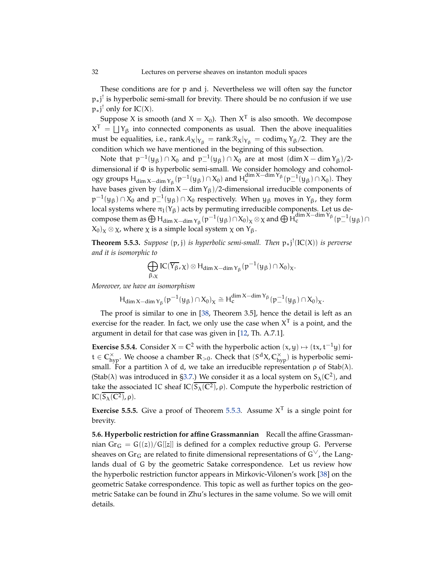<span id="page-31-3"></span>These conditions are for p and j. Nevertheless we will often say the functor p<sub>∗</sub>j<sup>!</sup> is hyperbolic semi-small for brevity. There should be no confusion if we use  $p_{*}j'$  only for IC(X).

Suppose X is smooth (and  $X = X_0$ ). Then  $X^T$  is also smooth. We decompose  $X^{T} = \bigsqcup Y_{\beta}$  into connected components as usual. Then the above inequalities must be equalities, i.e.,  $rank A_X|_{Y_\beta} = rank R_X|_{Y_\beta} = codim_X Y_\beta/2$ . They are the condition which we have mentioned in the beginning of this subsection.

Note that  $p^{-1}(y_{\beta}) \cap X_0$  and  $p_{-}^{-1}(y_{\beta}) \cap X_0$  are at most  $(\dim X - \dim Y_{\beta})/2$ dimensional if Φ is hyperbolic semi-small. We consider homology and cohomology groups  $H_{\dim X-\dim Y_{\beta}}(p^{-1}(y_{\beta})\cap X_0)$  and  $H_c^{\dim X-\dim Y_{\beta}}(p^{-1}(y_{\beta})\cap X_0)$ . They have bases given by  $(\dim X - \dim Y_\beta)/2$ -dimensional irreducible components of  $p^{-1}(y_\beta) \cap X_0$  and  $p^{-1}_-(y_\beta) \cap X_0$  respectively. When  $y_\beta$  moves in  $Y_\beta$ , they form local systems where  $\pi_1(Y_\beta)$  acts by permuting irreducible components. Let us decompose them as  $\bigoplus H_{\dim X-\dim Y_{\beta}}(p^{-1}(y_{\beta}) \cap X_0)_{\chi} \otimes \chi$  and  $\bigoplus H_{c}^{\dim X-\dim Y_{\beta}}(p_{-}^{-1}(y_{\beta}) \cap X_0)_{\chi}$  $(X_0)_\chi \otimes \chi$ , where  $\chi$  is a simple local system  $\chi$  on  $Y_\beta$ .

<span id="page-31-1"></span>**Theorem 5.5.3.** *Suppose* (p, j) *is hyperbolic semi-small. Then* p∗j ! (IC(X)) *is perverse and it is isomorphic to*

$$
\bigoplus_{\beta,\chi} IC(\overline{Y_{\beta}},\chi)\otimes H_{dim\,X-dim\,Y_{\beta}}(p^{-1}(y_{\beta})\cap X_0)_{\chi}.
$$

*Moreover, we have an isomorphism*

$$
H_{\dim X-\dim Y_\beta}(p^{-1}(y_\beta)\cap X_0)_X\cong H_c^{\dim X-\dim Y_\beta}(p^{-1}_-(y_\beta)\cap X_0)_X.
$$

The proof is similar to one in [\[38,](#page-55-17) Theorem 3.5], hence the detail is left as an exercise for the reader. In fact, we only use the case when  $X<sup>T</sup>$  is a point, and the argument in detail for that case was given in [\[12,](#page-54-1) Th. A.7.1].

<span id="page-31-2"></span>**Exercise 5.5.4.** Consider  $X = \mathbb{C}^2$  with the hyperbolic action  $(x, y) \mapsto (tx, t^{-1}y)$  for t ∈ C<sub>hyp</sub>. We choose a chamber  $\mathbb{R}_{>0}$ . Check that  $(S<sup>d</sup>X, C<sup>×</sup><sub>hyp</sub>)$  is hyperbolic semismall. For a partition  $\lambda$  of d, we take an irreducible representation  $\rho$  of Stab( $\lambda$ ). (Stab( $\lambda$ ) was introduced in [§3.7.](#page-15-1)) We consider it as a local system on  $S_{\lambda}(\mathbb{C}^2)$ , and take the associated IC sheaf  $IC(S_\lambda(\mathbb{C}^2), \rho)$ . Compute the hyperbolic restriction of IC( $S_\lambda(\mathbb{C}^2)$ ,  $\rho$ ).

**Exercise 5.5.5.** Give a proof of Theorem [5.5.3.](#page-31-1) Assume  $X<sup>T</sup>$  is a single point for brevity.

<span id="page-31-0"></span>**5.6. Hyperbolic restriction for affine Grassmannian** Recall the affine Grassmannian  $Gr_G = G((z))/G[[z]]$  is defined for a complex reductive group G. Perverse sheaves on Gr<sub>G</sub> are related to finite dimensional representations of  $G^{\vee}$ , the Langlands dual of G by the geometric Satake correspondence. Let us review how the hyperbolic restriction functor appears in Mirkovic-Vilonen's work [\[38\]](#page-55-17) on the geometric Satake correspondence. This topic as well as further topics on the geometric Satake can be found in Zhu's lectures in the same volume. So we will omit details.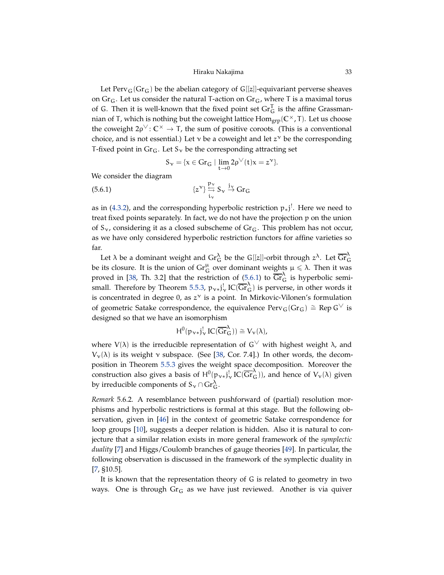<span id="page-32-2"></span>Let Perv<sub>G</sub>(Gr<sub>G</sub>) be the abelian category of G[[z]]-equivariant perverse sheaves on  $Gr_G$ . Let us consider the natural T-action on  $Gr_G$ , where T is a maximal torus of G. Then it is well-known that the fixed point set  $\text{Gr}_{G}^{T}$  is the affine Grassmannian of T, which is nothing but the coweight lattice  $Hom_{\text{grp}}(C^{\times}, T)$ . Let us choose the coweight  $2\rho^{\vee}$ :  $\mathbb{C}^{\times} \to \mathsf{T}$ , the sum of positive coroots. (This is a conventional choice, and is not essential.) Let  $\nu$  be a coweight and let  $z^{\nu}$  be the corresponding T-fixed point in  $Gr_G$ . Let  $S_\gamma$  be the corresponding attracting set

<span id="page-32-1"></span>
$$
S_{\nu}=\{x\in Gr_G\mid \lim_{t\to 0}2\rho^{\vee}(t)x=z^{\nu}\}.
$$

We consider the diagram

(5.6.1) 
$$
\{z^{\mathsf{v}}\} \stackrel{\mathsf{p}_{\mathsf{v}}}{\underset{\mathsf{i}_{\mathsf{v}}}{\longleftrightarrow}} \mathsf{S}_{\mathsf{v}} \stackrel{\mathsf{j}_{\mathsf{v}}}{\to} \mathrm{Gr}_{\mathsf{G}}
$$

as in [\(4.3.2\)](#page-18-1), and the corresponding hyperbolic restriction  $p_*j^!$ . Here we need to treat fixed points separately. In fact, we do not have the projection p on the union of  $S_{\gamma}$ , considering it as a closed subscheme of  $Gr_G$ . This problem has not occur, as we have only considered hyperbolic restriction functors for affine varieties so far.

Let  $\lambda$  be a dominant weight and  $\mathrm{Gr}^\lambda_G$  be the G[[z]]-orbit through  $z^\lambda$ . Let  $\overline{\mathrm{Gr}}^\lambda_G$ be its closure. It is the union of  $\operatorname{Gr}_G^{\mu}$  over dominant weights  $\mu \leq \lambda$ . Then it was proved in [\[38,](#page-55-17) Th. 3.2] that the restriction of [\(5.6.1\)](#page-32-1) to  $\overline{\text{Gr}}_{G}^{\lambda}$  is hyperbolic semi-small. Therefore by Theorem [5.5.3,](#page-31-1)  $p_{v*}j_v^!$  IC( $\overline{Gr}_G^{\lambda}$ ) is perverse, in other words it is concentrated in degree 0, as  $z^v$  is a point. In Mirkovic-Vilonen's formulation of geometric Satake correspondence, the equivalence  $Perv_G(Gr_G) \cong Rep G^{\vee}$  is designed so that we have an isomorphism

$$
H^0(p_{\nu *}j_{\nu}^! IC(\overline{Gr}_{G}^{\lambda})) \cong V_{\nu}(\lambda),
$$

where  $V(\lambda)$  is the irreducible representation of  $G^{\vee}$  with highest weight  $\lambda$ , and  $V_{\nu}(\lambda)$  is its weight ν subspace. (See [\[38,](#page-55-17) Cor. 7.4].) In other words, the decomposition in Theorem [5.5.3](#page-31-1) gives the weight space decomposition. Moreover the construction also gives a basis of  $H^0(p_{v*}j_v^! \operatorname{IC}(\overline{\text{Gr}}_{G}^{\lambda}))$ , and hence of  $V_v(\lambda)$  given by irreducible components of  $S_{\nu} \cap \mathrm{Gr}_{G}^{\lambda}$ .

<span id="page-32-0"></span>*Remark* 5.6.2*.* A resemblance between pushforward of (partial) resolution morphisms and hyperbolic restrictions is formal at this stage. But the following observation, given in [\[46\]](#page-55-9) in the context of geometric Satake correspondence for loop groups [\[10\]](#page-54-9), suggests a deeper relation is hidden. Also it is natural to conjecture that a similar relation exists in more general framework of the *symplectic duality* [\[7\]](#page-54-14) and Higgs/Coulomb branches of gauge theories [\[49\]](#page-55-10). In particular, the following observation is discussed in the framework of the symplectic duality in [\[7,](#page-54-14) §10.5].

It is known that the representation theory of G is related to geometry in two ways. One is through  $Gr_G$  as we have just reviewed. Another is via quiver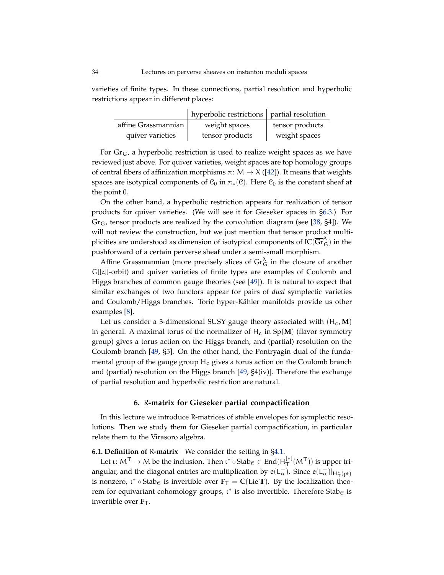<span id="page-33-1"></span>varieties of finite types. In these connections, partial resolution and hyperbolic restrictions appear in different places:

|                     | hyperbolic restrictions   partial resolution |                 |
|---------------------|----------------------------------------------|-----------------|
| affine Grassmannian | weight spaces                                | tensor products |
| quiver varieties    | tensor products                              | weight spaces   |

For  $Gr_G$ , a hyperbolic restriction is used to realize weight spaces as we have reviewed just above. For quiver varieties, weight spaces are top homology groups of central fibers of affinization morphisms  $\pi: M \to X$  ([\[42\]](#page-55-20)). It means that weights spaces are isotypical components of  $C_0$  in  $\pi_*(\mathcal{C})$ . Here  $C_0$  is the constant sheaf at the point 0.

On the other hand, a hyperbolic restriction appears for realization of tensor products for quiver varieties. (We will see it for Gieseker spaces in [§6.3.](#page-35-1)) For  $Gr<sub>G</sub>$ , tensor products are realized by the convolution diagram (see [\[38,](#page-55-17) §4]). We will not review the construction, but we just mention that tensor product multiplicities are understood as dimension of isotypical components of  $\overline{IC(\overline{\text{Gr}}_{G}^{\lambda})}$  in the pushforward of a certain perverse sheaf under a semi-small morphism.

Affine Grassmannian (more precisely slices of  $\text{Gr}_{G}^{\lambda}$  in the closure of another G[[z]]-orbit) and quiver varieties of finite types are examples of Coulomb and Higgs branches of common gauge theories (see [\[49\]](#page-55-10)). It is natural to expect that similar exchanges of two functors appear for pairs of *dual* symplectic varieties and Coulomb/Higgs branches. Toric hyper-Kähler manifolds provide us other examples [\[8\]](#page-54-22).

Let us consider a 3-dimensional SUSY gauge theory associated with  $(H_c, M)$ in general. A maximal torus of the normalizer of  $H_c$  in Sp( $\bf{M}$ ) (flavor symmetry group) gives a torus action on the Higgs branch, and (partial) resolution on the Coulomb branch [\[49,](#page-55-10) §5]. On the other hand, the Pontryagin dual of the fundamental group of the gauge group  $H_c$  gives a torus action on the Coulomb branch and (partial) resolution on the Higgs branch  $[49, §4(iv)]$  $[49, §4(iv)]$ . Therefore the exchange of partial resolution and hyperbolic restriction are natural.

# **6.** R**-matrix for Gieseker partial compactification**

<span id="page-33-0"></span>In this lecture we introduce R-matrices of stable envelopes for symplectic resolutions. Then we study them for Gieseker partial compactification, in particular relate them to the Virasoro algebra.

# **6.1. Definition of** R**-matrix** We consider the setting in [§4.1.](#page-16-1)

Let  $\iota \colon \mathsf{M}^{\mathsf{T}} \to \mathsf{M}$  be the inclusion. Then  $\iota^* \circ \mathsf{Stab}_{\mathcal{C}} \in \mathsf{End}(\mathsf{H}^{[*]}_{\mathbb{T}}(\mathsf{M}^{\mathsf{T}}))$  is upper triangular, and the diagonal entries are multiplication by  $e(L^-_\alpha)$ . Since  $e(L^-_\alpha)|_{H^*_1(pt)}$ is nonzero,  $\iota^* \circ \text{Stab}_{\mathcal{C}}$  is invertible over  $\mathbf{F}_T = \mathbb{C}(\text{Lie } \mathbb{T})$ . By the localization theorem for equivariant cohomology groups,  $\mathfrak{t}^*$  is also invertible. Therefore Stab $_{\mathfrak{C}}$  is invertible over  $\mathbf{F}_\mathsf{T}$ .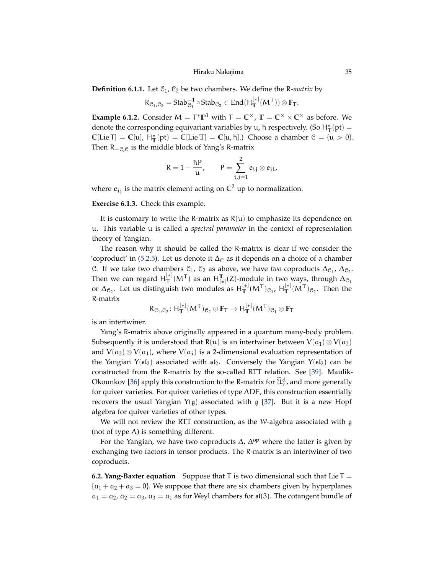<span id="page-34-0"></span>**Definition 6.1.1.** Let  $C_1$ ,  $C_2$  be two chambers. We define the R-matrix by

$$
R_{\mathcal{C}_1,\mathcal{C}_2}=Stab_{\mathcal{C}_1}^{-1}\circ Stab_{\mathcal{C}_2}\in End(H_T^{[*]}(M^T))\otimes \mathbf{F}_T.
$$

**Example 6.1.2.** Consider  $M = T^* \mathbb{P}^1$  with  $T = \mathbb{C}^\times$ ,  $\mathbb{T} = \mathbb{C}^\times \times \mathbb{C}^\times$  as before. We denote the corresponding equivariant variables by u,  $\hbar$  respectively. (So  $H^*_{\text{T}}(\text{pt}) =$  $\mathbb{C}[\text{Lie } \mathsf{T}] = \mathbb{C}[\mathsf{u}], \ \mathsf{H}_{\mathbb{T}}^*(\text{pt}) = \mathbb{C}[\text{Lie } \mathbb{T}] = \mathbb{C}[\mathsf{u}, \hbar].$ ) Choose a chamber  $\mathcal{C} = \{\mathsf{u} > 0\}.$ Then  $R_{-C,C}$  is the middle block of Yang's R-matrix

$$
R=1-\frac{\hbar P}{u}, \qquad P=\sum_{i,j=1}^2 e_{ij}\otimes e_{ji},
$$

where  $e_{ij}$  is the matrix element acting on  $\mathbb{C}^2$  up to normalization.

**Exercise 6.1.3.** Check this example.

It is customary to write the R-matrix as  $R(u)$  to emphasize its dependence on u. This variable u is called a *spectral parameter* in the context of representation theory of Yangian.

The reason why it should be called the R-matrix is clear if we consider the 'coproduct' in [\(5.2.5\)](#page-27-0). Let us denote it  $\Delta_{\mathcal{C}}$  as it depends on a choice of a chamber C. If we take two chambers  $C_1$ ,  $C_2$  as above, we have *two* coproducts  $\Delta_{C_1}$ ,  $\Delta_{C_2}$ . Then we can regard  $H_{\mathbb{T}}^{[*]}(M^{\mathsf{T}})$  as an  $H_{[*]}^{\mathbb{T}}(Z)$ -module in two ways, through  $\Delta_{\mathcal{C}_1}$ or  $\Delta_{\mathcal{C}_2}$ . Let us distinguish two modules as  $H_T^{[*]}(M^{\mathsf{T}})_{\mathcal{C}_1}$ ,  $H_T^{[*]}(M^{\mathsf{T}})_{\mathcal{C}_2}$ . Then the R-matrix

$$
R_{\mathcal{C}_1,\mathcal{C}_2} \colon H^{[*]}_T(M^T)_{\mathcal{C}_2} \otimes \mathbf{F}_T \to H^{[*]}_T(M^T)_{\mathcal{C}_1} \otimes \mathbf{F}_T
$$

is an intertwiner.

Yang's R-matrix above originally appeared in a quantum many-body problem. Subsequently it is understood that  $R(u)$  is an intertwiner between  $V(a_1) \otimes V(a_2)$ and  $V(a_2) \otimes V(a_1)$ , where  $V(a_i)$  is a 2-dimensional evaluation representation of the Yangian  $Y(5l_2)$  associated with  $5l_2$ . Conversely the Yangian  $Y(5l_2)$  can be constructed from the R-matrix by the so-called RTT relation. See [\[39\]](#page-55-21). Maulik-Okounkov [\[36\]](#page-55-0) apply this construction to the R-matrix for  $\widetilde{\mathfrak{U}}_r^d$ , and more generally for quiver varieties. For quiver varieties of type ADE, this construction essentially recovers the usual Yangian  $Y(g)$  associated with g [\[37\]](#page-55-22). But it is a new Hopf algebra for quiver varieties of other types.

We will not review the RTT construction, as the W-algebra associated with g (not of type A) is something different.

For the Yangian, we have two coproducts  $\Delta$ ,  $\Delta^{op}$  where the latter is given by exchanging two factors in tensor products. The R-matrix is an intertwiner of two coproducts.

**6.2. Yang-Baxter equation** Suppose that T is two dimensional such that Lie T =  ${a_1 + a_2 + a_3 = 0}$ . We suppose that there are six chambers given by hyperplanes  $a_1 = a_2$ ,  $a_2 = a_3$ ,  $a_3 = a_1$  as for Weyl chambers for  $\mathfrak{sl}(3)$ . The cotangent bundle of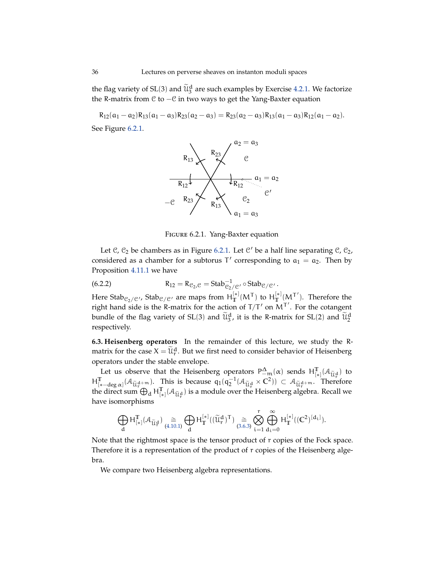the flag variety of SL(3) and  $\widetilde{\mathfrak{U}}_3^d$  are such examples by Exercise [4.2.1.](#page-17-0) We factorize the R-matrix from C to −C in two ways to get the Yang-Baxter equation

 $R_{12}(a_1 - a_2)R_{13}(a_1 - a_3)R_{23}(a_2 - a_3) = R_{23}(a_2 - a_3)R_{13}(a_1 - a_3)R_{12}(a_1 - a_2).$ See Figure [6.2.1.](#page-35-0)



<span id="page-35-2"></span><span id="page-35-0"></span>Figure 6.2.1. Yang-Baxter equation

Let  $\mathcal{C}$ ,  $\mathcal{C}_2$  be chambers as in Figure [6.2.1.](#page-35-0) Let  $\mathcal{C}'$  be a half line separating  $\mathcal{C}$ ,  $\mathcal{C}_2$ , considered as a chamber for a subtorus  $T'$  corresponding to  $a_1 = a_2$ . Then by Proposition [4.11.1](#page-25-3) we have

(6.2.2) 
$$
R_{12} = R_{\mathcal{C}_2, \mathcal{C}} = \text{Stab}_{\mathcal{C}_2/\mathcal{C}'}^{-1} \circ \text{Stab}_{\mathcal{C}/\mathcal{C}'}.
$$

Here Stab<sub>C2</sub>/c', Stab<sub>C</sub>/c' are maps from  $H_T^{[*]}(M^T)$  to  $H_T^{[*]}(M^T')$ . Therefore the right hand side is the R-matrix for the action of  $T/T'$  on  $M^{T'}$ . For the cotangent bundle of the flag variety of SL(3) and  $\widetilde{\mathfrak{U}}_3^d$ , it is the R-matrix for SL(2) and  $\widetilde{\mathfrak{U}}_2^d$ respectively.

<span id="page-35-1"></span>**6.3. Heisenberg operators** In the remainder of this lecture, we study the Rmatrix for the case  $X = \widetilde{\mathcal{U}}_r^d$ . But we first need to consider behavior of Heisenberg operators under the stable envelope.

Let us observe that the Heisenberg operators  $P_{-m}^{\Delta}(\alpha)$  sends  $H_{[*]}^{\mathbb{T}}(\mathcal{A}_{\widetilde{U},\alpha})$  to  $H^{\mathbb{T}}_{[*-\deg \alpha]}(\mathcal{A}_{\widetilde{U}}\mathfrak{g}_{+m})$ . This is because  $q_1(q_2^{-1}(\mathcal{A}_{\widetilde{U}}\mathfrak{g} \times \mathbb{C}^2)) \subset \mathcal{A}_{\widetilde{U}}\mathfrak{g}_{+m}$ . Therefore the direct sum  $\bigoplus_{d} H_{[*]}^{\mathbb{T}}(\mathcal{A}_{\widetilde{U},\vec{r}})$  is a module over the Heisenberg algebra. Recall we have isomorphisms

$$
\bigoplus_d H^{\mathbb{T}}_{[*]}(\mathcal{A}_{\widetilde{\mathcal{U}}_T^d}) \underset{(4.10.1)}{\cong} \bigoplus_d H^{[*]}_{\mathbb{T}}((\widetilde{\mathcal{U}}_r^d)^{\mathsf{T}}) \underset{(3.6.3)}{\cong} \bigotimes_{i=1}^r \bigoplus_{d_i=0}^{\infty} H^{[*]}_{\mathbb{T}}((\mathbb{C}^2)^{[d_i]}).
$$

Note that the rightmost space is the tensor product of r copies of the Fock space. Therefore it is a representation of the product of r copies of the Heisenberg algebra.

We compare two Heisenberg algebra representations.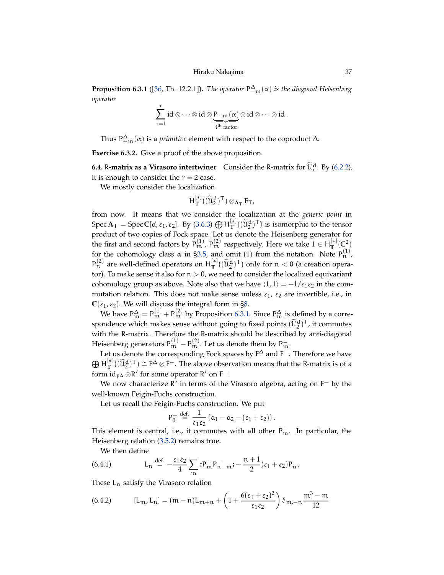<span id="page-36-4"></span><span id="page-36-1"></span>**Proposition 6.3.1** ([\[36,](#page-55-0) Th. 12.2.1]). *The operator*  $P_{-m}^{\Delta}(\alpha)$  *is the diagonal Heisenberg operator*

$$
\sum_{i=1}^r id \otimes \cdots \otimes id \otimes \underbrace{P_{-m}(\alpha)}_{i^{th}\; factor} \otimes id \otimes \cdots \otimes id\,.
$$

Thus  $P_{-m}^{\Delta}(\alpha)$  is a *primitive* element with respect to the coproduct  $\Delta$ .

<span id="page-36-2"></span>**Exercise 6.3.2.** Give a proof of the above proposition.

**6.4.** R-matrix as a Virasoro intertwiner Consider the R-matrix for  $\widetilde{\mathfrak{u}}_r^d$ . By [\(6.2.2\)](#page-35-2), it is enough to consider the  $r = 2$  case.

We mostly consider the localization

$$
H_{\mathbb{T}}^{[*]}((\widetilde{u}_{2}^{d})^{\mathsf{T}}) \otimes_{\mathbf{A}_{\mathsf{T}}} \mathbf{F}_{\mathsf{T}},
$$

from now. It means that we consider the localization at the *generic point* in  $Spec A_T = Spec C[\vec{\alpha}, \epsilon_1, \epsilon_2]$ . By [\(3.6.3\)](#page-14-0)  $\bigoplus H_T^{[*]}((\widetilde{\mathcal{U}}_2^d)^T)$  is isomorphic to the tensor product of two copies of Fock space. Let us denote the Heisenberg generator for the first and second factors by  $P_m^{(1)}$ ,  $P_m^{(2)}$  respectively. Here we take  $1 \in H_T^{[*]}(C_1^2)$ for the cohomology class  $\alpha$  in [§3.5,](#page-12-1) and omit (1) from the notation. Note  $P_n^{(1)}$ ,  $P_n^{(2)}$  are well-defined operators on  $H_T^{[*]}((\widetilde{u}_2^d)^T)$  only for  $n < 0$  (a creation operator). To make sense it also for  $n > 0$ , we need to consider the localized equivariant cohomology group as above. Note also that we have  $\langle 1, 1 \rangle = -1/\varepsilon_1 \varepsilon_2$  in the commutation relation. This does not make sense unless  $\varepsilon_1$ ,  $\varepsilon_2$  are invertible, i.e., in  $\mathbb{C}(\varepsilon_1, \varepsilon_2)$ . We will discuss the integral form in [§8.](#page-47-0)

We have  $P_m^{\Delta} = P_m^{(1)} + P_m^{(2)}$  by Proposition [6.3.1.](#page-36-1) Since  $P_m^{\Delta}$  is defined by a correspondence which makes sense without going to fixed points  $(\widetilde{\mathfrak{U}}_2^d)^T$ , it commutes with the R-matrix. Therefore the R-matrix should be described by anti-diagonal Heisenberg generators  $P_m^{(1)} - P_m^{(2)}$ . Let us denote them by  $P_m^-$ .

Let us denote the corresponding Fock spaces by  $F^{\Delta}$  and  $F^-$ . Therefore we have  $\bigoplus H_T^{[*]}((\widetilde{U}_2^d)^T) \cong F^{\Delta} \otimes F^-$ . The above observation means that the R-matrix is of a form  $id_{F\Delta} \otimes R'$  for some operator  $R'$  on  $F^-$ .

We now characterize  $R'$  in terms of the Virasoro algebra, acting on  $F^-$  by the well-known Feigin-Fuchs construction.

Let us recall the Feigin-Fuchs construction. We put

P

$$
\rho_0^{-} \stackrel{\text{def.}}{=} \frac{1}{\epsilon_1 \epsilon_2} (a_1 - a_2 - (\epsilon_1 + \epsilon_2)).
$$

This element is central, i.e., it commutes with all other  $P_m^-$ . In particular, the Heisenberg relation [\(3.5.2\)](#page-12-0) remains true.

<span id="page-36-0"></span>We then define

(6.4.1) 
$$
L_n \stackrel{\text{def.}}{=} -\frac{\varepsilon_1 \varepsilon_2}{4} \sum_m :P_m^- P_{n-m}^- : -\frac{n+1}{2} (\varepsilon_1 + \varepsilon_2) P_n^-.
$$

These  $L_n$  satisfy the Virasoro relation

<span id="page-36-3"></span>(6.4.2) 
$$
[L_m, L_n] = (m-n)L_{m+n} + \left(1 + \frac{6(\epsilon_1 + \epsilon_2)^2}{\epsilon_1 \epsilon_2}\right) \delta_{m,-n} \frac{m^3 - m}{12}
$$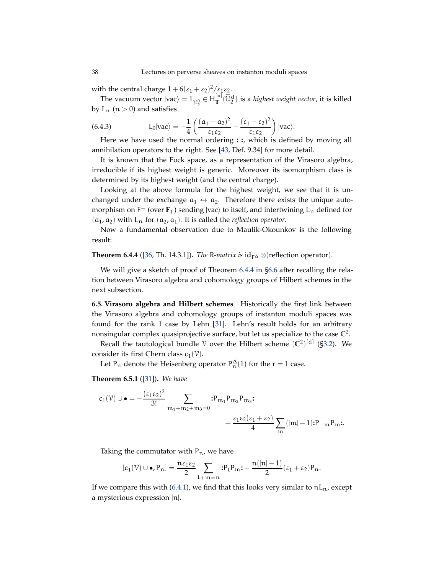<span id="page-37-3"></span>with the central charge  $1 + 6(\epsilon_1 + \epsilon_2)^2/\epsilon_1 \epsilon_2$ .

The vacuum vector  $|vac\rangle = 1_{\widetilde{U}_2^0} \in H_T^{[*]}(\widetilde{U}_2^d)$  is a *highest weight vector*, it is killed by  $L_n$  ( $n > 0$ ) and satisfies

<span id="page-37-2"></span>(6.4.3) 
$$
L_0|vac\rangle = -\frac{1}{4}\left(\frac{(\alpha_1-\alpha_2)^2}{\epsilon_1\epsilon_2} - \frac{(\epsilon_1+\epsilon_2)^2}{\epsilon_1\epsilon_2}\right)|vac\rangle.
$$

Here we have used the normal ordering **: :**, which is defined by moving all annihilation operators to the right. See [\[43,](#page-55-2) Def. 9.34] for more detail.

It is known that the Fock space, as a representation of the Virasoro algebra, irreducible if its highest weight is generic. Moreover its isomorphism class is determined by its highest weight (and the central charge).

Looking at the above formula for the highest weight, we see that it is unchanged under the exchange  $a_1 \leftrightarrow a_2$ . Therefore there exists the unique automorphism on  $F^-$  (over  $F_T$ ) sending  $|vac\rangle$  to itself, and intertwining  $L_n$  defined for  $(a_1, a_2)$  with  $L_n$  for  $(a_2, a_1)$ . It is called the *reflection operator*.

Now a fundamental observation due to Maulik-Okounkov is the following result:

<span id="page-37-0"></span>**Theorem 6.4.4** ([\[36,](#page-55-0) Th. 14.3.1]). *The R-matrix is*  $id_{F\Delta} \otimes (reflection operator)$ *.* 

We will give a sketch of proof of Theorem [6.4.4](#page-37-0) in [§6.6](#page-38-0) after recalling the relation between Virasoro algebra and cohomology groups of Hilbert schemes in the next subsection.

**6.5. Virasoro algebra and Hilbert schemes** Historically the first link between the Virasoro algebra and cohomology groups of instanton moduli spaces was found for the rank 1 case by Lehn [\[31\]](#page-55-23). Lehn's result holds for an arbitrary nonsingular complex quasiprojective surface, but let us specialize to the case **C** 2 .

Recall the tautological bundle  $\mathcal V$  over the Hilbert scheme  $(\mathbb{C}^2)^{[d]}$  ([§3.2\)](#page-11-2). We consider its first Chern class  $c_1(\mathcal{V})$ .

Let P<sub>n</sub> denote the Heisenberg operator  $P_n^{\Delta}(1)$  for the  $r = 1$  case.

<span id="page-37-1"></span>**Theorem 6.5.1** ([\[31\]](#page-55-23))**.** *We have*

$$
c_1(\mathcal{V}) \cup \bullet = -\frac{(\epsilon_1 \epsilon_2)^2}{3!} \sum_{m_1 + m_2 + m_3 = 0} : P_{m_1} P_{m_2} P_{m_3} : \\ -\frac{\epsilon_1 \epsilon_2 (\epsilon_1 + \epsilon_2)}{4} \sum_m (|m| - 1) : P_{-m} P_m :.
$$

Taking the commutator with  $P_n$ , we have

$$
[c_1(\mathcal{V}) \cup \bullet, P_n] = \frac{n\epsilon_1 \epsilon_2}{2} \sum_{l+m=n} :P_l P_m : -\frac{n(|n|-1)}{2} (\epsilon_1 + \epsilon_2) P_n.
$$

If we compare this with [\(6.4.1\)](#page-36-0), we find that this looks very similar to  $nL_n$ , except a mysterious expression |n|.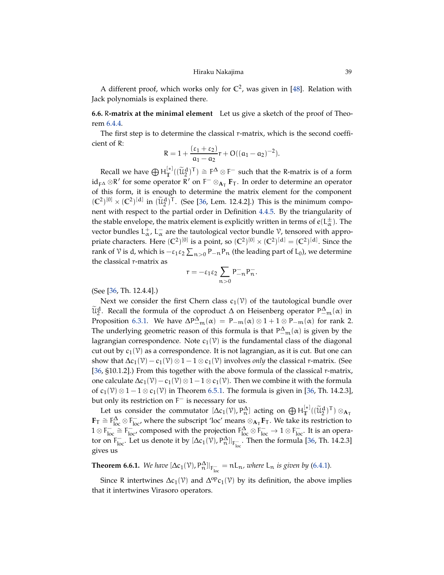<span id="page-38-2"></span>A different proof, which works only for  $\mathbb{C}^2$ , was given in [\[48\]](#page-55-3). Relation with Jack polynomials is explained there.

<span id="page-38-0"></span>**6.6.** R**-matrix at the minimal element** Let us give a sketch of the proof of Theorem [6.4.4.](#page-37-0)

The first step is to determine the classical r-matrix, which is the second coefficient of R:

$$
R = 1 + \frac{(\varepsilon_1 + \varepsilon_2)}{a_1 - a_2}r + O((a_1 - a_2)^{-2}).
$$

Recall we have  $\bigoplus H^{[*]}_T((\widetilde{U}^d_2)^\top) \cong F^\Delta \otimes F^-$  such that the R-matrix is of a form id<sub>F</sub>∆ ⊗R' for some operator R' on F<sup>-</sup> ⊗<sub>AT</sub> F<sub>T</sub>. In order to determine an operator of this form, it is enough to determine the matrix element for the component  $({\mathbb C}^2)^{[0]} \times ({\mathbb C}^2)^{[d]}$  in  $({\widetilde {\mathcal{U}}}^d_2)^T$ . (See [\[36,](#page-55-0) Lem. 12.4.2].) This is the minimum component with respect to the partial order in Definition [4.4.5.](#page-19-3) By the triangularity of the stable envelope, the matrix element is explicitly written in terms of  $e(L_{\alpha}^{\pm})$ . The vector bundles  $L^{+}_{\alpha}$ ,  $L^{-}_{\alpha}$  are the tautological vector bundle  $\mathcal V$ , tensored with appropriate characters. Here  $(C^2)^{[0]}$  is a point, so  $(C^2)^{[0]} \times (C^2)^{[d]} = (C^2)^{[d]}$ . Since the rank of  $\mathcal V$  is d, which is  $-\varepsilon_1\varepsilon_2\sum_{n>0}P_{-n}P_n$  (the leading part of L<sub>0</sub>), we determine the classical r-matrix as

$$
r=-\epsilon_1\epsilon_2\sum_{n>0}P_{-n}^-P_n^-.
$$

(See [\[36,](#page-55-0) Th. 12.4.4].)

Next we consider the first Chern class  $c_1(\mathcal{V})$  of the tautological bundle over  $\widetilde{\mathfrak{u}}_2^d$ . Recall the formula of the coproduct  $\Delta$  on Heisenberg operator  $P_{-m}^{\Delta}(\alpha)$  in Proposition [6.3.1.](#page-36-1) We have  $\Delta P_{-m}^{\Delta}(\alpha) = P_{-m}(\alpha) \otimes 1 + 1 \otimes P_{-m}(\alpha)$  for rank 2. The underlying geometric reason of this formula is that  $P_{-m}^{\Delta}(\alpha)$  is given by the lagrangian correspondence. Note  $c_1(\mathcal{V})$  is the fundamental class of the diagonal cut out by  $c_1(\mathcal{V})$  as a correspondence. It is not lagrangian, as it is cut. But one can show that  $\Delta c_1(\mathcal{V}) - c_1(\mathcal{V}) \otimes 1 - 1 \otimes c_1(\mathcal{V})$  involves *only* the classical r-matrix. (See [\[36,](#page-55-0) §10.1.2].) From this together with the above formula of the classical r-matrix, one calculate  $\Delta c_1(\mathcal{V}) - c_1(\mathcal{V}) \otimes 1 - 1 \otimes c_1(\mathcal{V})$ . Then we combine it with the formula of  $c_1(\mathcal{V}) \otimes 1 - 1 \otimes c_1(\mathcal{V})$  in Theorem [6.5.1.](#page-37-1) The formula is given in [\[36,](#page-55-0) Th. 14.2.3], but only its restriction on  $F^-$  is necessary for us.

Let us consider the commutator  $[\Delta c_1(\nu), P_n^{\Delta}]$  acting on  $\bigoplus H_T^{[*]}((\widetilde{u}_2^d)^T) \otimes_{A_T}$  $\mathbf{F}_{\mathsf{T}} \cong \mathsf{F}_{\text{loc}}^{\Delta}$  where the subscript 'loc' means  $\otimes_{\mathbf{A}_{\mathsf{T}}} \mathbf{F}_{\mathsf{T}}$ . We take its restriction to  $1 \otimes F_{loc}^- \cong F_{loc}^-$  composed with the projection  $F_{loc}^{\Delta} \otimes F_{loc}^- \to 1 \otimes F_{loc}^-$ . It is an operator on  $F_{\text{loc}}^-$ . Let us denote it by  $[\Delta c_1(\mathcal{V}), P_n^{\Delta}]|_{F_{\text{loc}}^-}$ . Then the formula [\[36,](#page-55-0) Th. 14.2.3] gives us

<span id="page-38-1"></span>**Theorem 6.6.1.** We have  $[\Delta c_1(\mathcal{V}), P_n^{\Delta}]|_{F_{loc}^-} = nL_n$ , where  $L_n$  is given by [\(6.4.1\)](#page-36-0).

Since R intertwines  $\Delta c_1(\mathcal{V})$  and  $\Delta^{\text{op}} c_1(\mathcal{V})$  by its definition, the above implies that it intertwines Virasoro operators.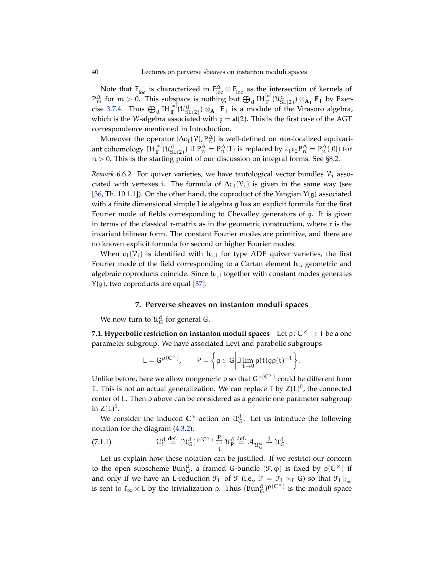Note that  $F_{\text{loc}}^-$  is characterized in  $F_{\text{loc}}^{\Delta} \otimes F_{\text{loc}}^-$  as the intersection of kernels of  $P_m^{\Delta}$  for  $m > 0$ . This subspace is nothing but  $\bigoplus_d H_T^{[*]}(\mathfrak{U}_{SL(2)}^d) \otimes_{A_T} F_T$  by Exer-cise [3.7.4.](#page-16-2) Thus  $\bigoplus_{d} IH_{T}^{[*]}(\mathcal{U}_{SL(2)}^{d})\otimes_{A_{T}} \mathbf{F}_{T}$  is a module of the Virasoro algebra, which is the W-algebra associated with  $\mathfrak{g} = \mathfrak{sl}(2)$ . This is the first case of the AGT correspondence mentioned in Introduction.

Moreover the operator  $[\Delta c_1(\mathcal{V}), P_{n}^{\Delta}]$  is well-defined on *non*-localized equivariant cohomology  $IH_{\mathbb{T}}^{[*]}(\mathcal{U}^d_{SL(2)})$  if  $P_n^{\Delta} = P_n^{\Delta}(1)$  is replaced by  $\varepsilon_1 \varepsilon_2 P_n^{\Delta} = P_n^{\Delta}([0])$  for  $n > 0$ . This is the starting point of our discussion on integral forms. See [§8.2.](#page-49-1)

*Remark* 6.6.2. For quiver varieties, we have tautological vector bundles  $v_i$  associated with vertexes i. The formula of  $\Delta c_1(\mathcal{V}_i)$  is given in the same way (see [\[36,](#page-55-0) Th. 10.1.1]). On the other hand, the coproduct of the Yangian  $Y(g)$  associated with a finite dimensional simple Lie algebra g has an explicit formula for the first Fourier mode of fields corresponding to Chevalley generators of g. It is given in terms of the classical r-matrix as in the geometric construction, where r is the invariant bilinear form. The constant Fourier modes are primitive, and there are no known explicit formula for second or higher Fourier modes.

When  $c_1(\mathcal{V}_i)$  is identified with  $h_{i,1}$  for type ADE quiver varieties, the first Fourier mode of the field corresponding to a Cartan element  $h_i$ , geometric and algebraic coproducts coincide. Since  $h_{i,1}$  together with constant modes generates  $Y(g)$ , two coproducts are equal [\[37\]](#page-55-22).

# **7. Perverse sheaves on instanton moduli spaces**

<span id="page-39-0"></span>We now turn to  $\mathfrak{U}^{\mathrm{d}}_{\mathrm{G}}$  for general G.

**7.1. Hyperbolic restriction on instanton moduli spaces**  $\mathsf{Let} \, \rho \colon \mathbb{C}^\times \to \mathsf{T}$  be a one parameter subgroup. We have associated Levi and parabolic subgroups

$$
L=G^{\rho(C^{\times})}, \qquad P=\left\{g\in G\bigg| \exists \lim_{t\to 0}\rho(t)g\rho(t)^{-1}\right\}.
$$

Unlike before, here we allow nongeneric  $\rho$  so that  $G^{\rho(C^{\times})}$  could be different from T. This is not an actual generalization. We can replace T by  $Z(L)^0$ , the connected center of L. Then ρ above can be considered as a generic one parameter subgroup in  $Z(L)^0$ .

We consider the induced  $\mathbb{C}^{\times}$ -action on  $\mathcal{U}_{\mathsf{G}}^{\mathsf{d}}$ . Let us introduce the following notation for the diagram [\(4.3.2\)](#page-18-1):

<span id="page-39-1"></span>(7.1.1) 
$$
\mathcal{U}_{L}^{d} \stackrel{\text{def.}}{=} (\mathcal{U}_{G}^{d})^{\rho(C^{\times})} \stackrel{p}{\underset{i}{\hookrightarrow}} \mathcal{U}_{p}^{d} \stackrel{\text{def.}}{=} \mathcal{A}_{\mathcal{U}_{G}^{d}} \stackrel{j}{\rightarrow} \mathcal{U}_{G}^{d}.
$$

Let us explain how these notation can be justified. If we restrict our concern to the open subscheme Bun<sup>d</sup><sub>G</sub>, a framed G-bundle  $(\mathcal{F}, \varphi)$  is fixed by  $\rho(\mathbb{C}^{\times})$  if and only if we have an L-reduction  $\mathcal{F}_L$  of  $\mathcal{F}$  (i.e.,  $\mathcal{F} = \mathcal{F}_L \times_L G$ ) so that  $\mathcal{F}_L|_{\ell_\infty}$ is sent to  $\ell_{\infty} \times L$  by the trivialization  $\rho$ . Thus  $(Bun_{G}^{d})^{\rho(C^{\times})}$  is the moduli space

<span id="page-39-2"></span>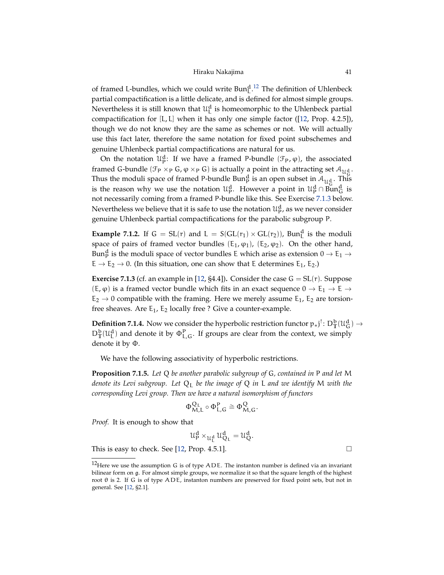<span id="page-40-3"></span>of framed L-bundles, which we could write  $Bun_L^{d,12}$  $Bun_L^{d,12}$  $Bun_L^{d,12}$  The definition of Uhlenbeck partial compactification is a little delicate, and is defined for almost simple groups. Nevertheless it is still known that  $\mathfrak{U}^d_L$  is homeomorphic to the Uhlenbeck partial compactification for [L, L] when it has only one simple factor ([\[12,](#page-54-1) Prop. 4.2.5]), though we do not know they are the same as schemes or not. We will actually use this fact later, therefore the same notation for fixed point subschemes and genuine Uhlenbeck partial compactifications are natural for us.

On the notation  $\mathcal{U}_{p}^{d}$ : If we have a framed P-bundle  $(\mathcal{F}_{P}, \varphi)$ , the associated framed G-bundle ( $\mathcal{F}_P \times_P G$ ,  $\varphi \times_P G$ ) is actually a point in the attracting set  $\mathcal{A}_{\mathcal{U}_G^d}$ . Thus the moduli space of framed P-bundle Bun<sup>d</sup> is an open subset in  $\mathcal{A}_{\mathcal{U}_{\mathcal{C}}^{\mathcal{d}}}$ . This is the reason why we use the notation  $\mathcal{U}_{p}^{d}$ . However a point in  $\mathcal{U}_{p}^{d} \cap \text{Bun}_{G}^{d}$  is not necessarily coming from a framed P-bundle like this. See Exercise [7.1.3](#page-40-1) below. Nevertheless we believe that it is safe to use the notation  $\mathfrak{U}^{\mathbf{d}}_{\mathsf{P}}$ , as we never consider genuine Uhlenbeck partial compactifications for the parabolic subgroup P.

**Example 7.1.2.** If  $G = SL(r)$  and  $L = S(GL(r_1) \times GL(r_2))$ , Bun<sup>d</sup> is the moduli space of pairs of framed vector bundles  $(E_1, \varphi_1)$ ,  $(E_2, \varphi_2)$ . On the other hand, Bun $_{\rm P}^{\rm d}$  is the moduli space of vector bundles E which arise as extension  $0 \to {\rm E}_1 \to$  $E \rightarrow E_2 \rightarrow 0$ . (In this situation, one can show that E determines E<sub>1</sub>, E<sub>2</sub>.)

<span id="page-40-1"></span>**Exercise 7.1.3** (cf. an example in [\[12,](#page-54-1) §4.4]). Consider the case  $G = SL(r)$ . Suppose  $(E, \varphi)$  is a framed vector bundle which fits in an exact sequence  $0 \to E_1 \to E \to$  $E_2 \rightarrow 0$  compatible with the framing. Here we merely assume  $E_1$ ,  $E_2$  are torsionfree sheaves. Are  $E_1$ ,  $E_2$  locally free ? Give a counter-example.

**Definition 7.1.4.** Now we consider the hyperbolic restriction functor  $p_*j^!$ :  $D_{\mathbb{T}}^b(\mathcal{U}_{\mathbb{G}}^d) \to$  $D_T^b(\mathcal{U}_L^d)$  and denote it by  $\Phi_{L,G}^P$ . If groups are clear from the context, we simply denote it by Φ.

We have the following associativity of hyperbolic restrictions.

<span id="page-40-2"></span>**Proposition 7.1.5.** *Let* Q *be another parabolic subgroup of* G*, contained in* P *and let* M *denote its Levi subgroup. Let* Q<sup>L</sup> *be the image of* Q *in* L *and we identify* M *with the corresponding Levi group. Then we have a natural isomorphism of functors*

$$
\Phi_{M,L}^{Q_L}\circ \Phi_{L,G}^P\cong \Phi_{M,G}^Q.
$$

*Proof.* It is enough to show that

$$
\mathfrak{U}_P^d\times_{\mathfrak{U}_L^d}\mathfrak{U}_{Q_L}^d=\mathfrak{U}_Q^d.
$$

This is easy to check. See [\[12,](#page-54-1) Prop. 4.5.1].  $\Box$ 

<span id="page-40-0"></span><sup>&</sup>lt;sup>12</sup>Here we use the assumption G is of type  $ADE$ . The instanton number is defined via an invariant bilinear form on g. For almost simple groups, we normalize it so that the square length of the highest root  $θ$  is 2. If  $G$  is of type  $ADE$ , instanton numbers are preserved for fixed point sets, but not in general. See [\[12,](#page-54-1) §2.1].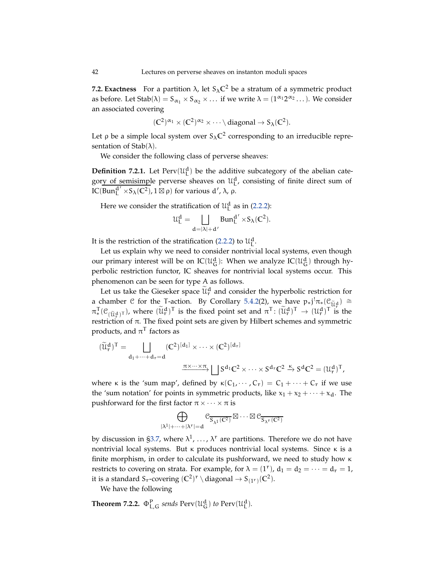<span id="page-41-0"></span>**7.2. Exactness** For a partition  $\lambda$ , let  $S_{\lambda}C^2$  be a stratum of a symmetric product as before. Let  $Stab(\lambda) = S_{\alpha_1} \times S_{\alpha_2} \times ...$  if we write  $\lambda = (1^{\alpha_1} 2^{\alpha_2} ...)$ . We consider an associated covering

$$
(\mathbb{C}^2)^{\alpha_1} \times (\mathbb{C}^2)^{\alpha_2} \times \cdots \setminus diagonal \to S_{\lambda}(\mathbb{C}^2).
$$

Let  $\rho$  be a simple local system over  $S_\lambda \mathbb{C}^2$  corresponding to an irreducible representation of  $Stab(\lambda)$ .

We consider the following class of perverse sheaves:

**Definition 7.2.1.** Let  $Perv(\mathcal{U}_L^d)$  be the additive subcategory of the abelian category of semisimple perverse sheaves on  $\mathfrak{U}_{\mathsf{L}}^{\mathsf{d}}$ , consisting of finite direct sum of IC(Bun<sup>d'</sup> × S<sub>λ</sub>(C<sup>2</sup>), 1 ⊠ ρ) for various d', λ, ρ.

Here we consider the stratification of  $\mathfrak{U}_{\mathsf{L}}^{\mathsf{d}}$  as in [\(2.2.2\)](#page-7-2):

$$
\mathcal{U}_L^d = \bigsqcup_{d=|\lambda|+d'} \text{Bun}_L^{d'} \times S_{\lambda}(\mathbb{C}^2).
$$

It is the restriction of the stratification [\(2.2.2\)](#page-7-2) to  $\mathcal{U}_{L}^{d}$ .

Let us explain why we need to consider nontrivial local systems, even though our primary interest will be on  $\text{IC}(\mathfrak{U}^d_G)$ : When we analyze  $\text{IC}(\mathfrak{U}^d_G)$  through hyperbolic restriction functor, IC sheaves for nontrivial local systems occur. This phenomenon can be seen for type A as follows.

Let us take the Gieseker space  $\widetilde{\mathfrak{u}}_r^d$  and consider the hyperbolic restriction for a chamber C for the T-action. By Corollary [5.4.2\(](#page-28-2)2), we have  $p_*j^!\pi_*(\mathcal{C}_{\tilde{U}^d_1}) \cong$  $\pi_*^{\mathsf{T}}(\mathcal{C}_{(\widetilde{U}^{\mathsf{d}}),\mathsf{T}})$ , where  $(\widetilde{\mathcal{U}}_r^{\mathsf{d}})^{\mathsf{T}}$  is the fixed point set and  $\pi^{\mathsf{T}}\colon (\widetilde{\mathcal{U}}_r^{\mathsf{d}})^{\mathsf{T}} \to (\mathcal{U}_r^{\mathsf{d}})^{\mathsf{T}}$  is  ${}^{\mathsf{T}}(\mathfrak{C}_{({\widetilde{\mathsf{U}}}_r^{\mathsf{d}})^{\mathsf{T}}})$ , where  $({\widetilde{\mathsf{U}}}_r^{\mathsf{d}})^{\mathsf{T}}$  is the fixed point set and  $\pi^{\mathsf{T}}:({\widetilde{\mathsf{U}}}_r^{\mathsf{d}})^{\mathsf{T}} \to ({\mathsf{U}}_r^{\mathsf{d}})^{\mathsf{T}}$  is the restriction of π. The fixed point sets are given by Hilbert schemes and symmetric products, and  $\pi^{\mathsf{T}}$  factors as

$$
(\widetilde{\mathcal{U}}_r^d)^T = \bigsqcup_{d_1 + \dots + d_r = d} (C^2)^{[d_1]} \times \dots \times (C^2)^{[d_r]}
$$

$$
\xrightarrow{\pi \times \dots \times \pi} \bigsqcup_{S^{d_1}C^2} S^{d_r}C^2 \xrightarrow{\kappa} S^d C^2 = (\mathcal{U}_r^d)^T,
$$

where  $\kappa$  is the 'sum map', defined by  $\kappa(C_1, \dots, C_r) = C_1 + \dots + C_r$  if we use the 'sum notation' for points in symmetric products, like  $x_1 + x_2 + \cdots + x_d$ . The pushforward for the first factor  $\pi \times \cdots \times \pi$  is

$$
\bigoplus_{|\lambda^1|+\cdots+|\lambda^r|=d}{\mathcal C}_{\overline{S_{\lambda^1}({\mathbb C}^2)}}\boxtimes\cdots\boxtimes {\mathcal C}_{\overline{S_{\lambda^r}({\mathbb C}^2)}}
$$

by discussion in [§3.7,](#page-15-1) where  $\lambda^1, \ldots, \lambda^r$  are partitions. Therefore we do not have nontrivial local systems. But κ produces nontrivial local systems. Since κ is a finite morphism, in order to calculate its pushforward, we need to study how κ restricts to covering on strata. For example, for  $\lambda = (1^{\circ})$ ,  $d_1 = d_2 = \cdots = d_r = 1$ , it is a standard  $S_r$ -covering  $(\mathbb{C}^2)^r \setminus \text{diagonal} \to S_{(1^r)}(\mathbb{C}^2)$ .

We have the following

**Theorem 7.2.2.**  $\Phi_{L,G}^P$  *sends*  $Perv(\mathcal{U}_G^d)$  *to*  $Perv(\mathcal{U}_L^d)$ *.*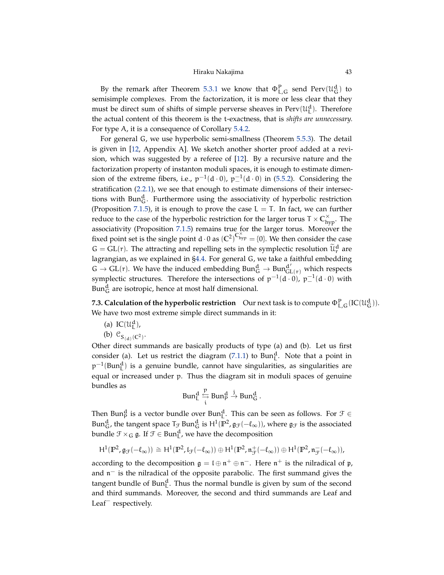Hiraku Nakajima 43

<span id="page-42-1"></span>By the remark after Theorem [5.3.1](#page-28-3) we know that  $\Phi_{L,G}^P$  send  $Perv(\mathcal{U}_G^d)$  to semisimple complexes. From the factorization, it is more or less clear that they must be direct sum of shifts of simple perverse sheaves in  $Perv(\mathcal{U}_L^d)$ . Therefore the actual content of this theorem is the t-exactness, that is *shifts are unnecessary.* For type A, it is a consequence of Corollary [5.4.2.](#page-28-2)

For general G, we use hyperbolic semi-smallness (Theorem [5.5.3\)](#page-31-1). The detail is given in [\[12,](#page-54-1) Appendix A]. We sketch another shorter proof added at a revision, which was suggested by a referee of [\[12\]](#page-54-1). By a recursive nature and the factorization property of instanton moduli spaces, it is enough to estimate dimension of the extreme fibers, i.e.,  $p^{-1}(d \cdot 0)$ ,  $p^{-1}_-(d \cdot 0)$  in [\(5.5.2\)](#page-30-0). Considering the stratification [\(2.2.1\)](#page-7-1), we see that enough to estimate dimensions of their intersections with Bun $_G^d$ . Furthermore using the associativity of hyperbolic restriction (Proposition [7.1.5\)](#page-40-2), it is enough to prove the case  $L = T$ . In fact, we can further reduce to the case of the hyperbolic restriction for the larger torus  $T \times C_{\text{hyp}}^{\times}$ . The associativity (Proposition [7.1.5\)](#page-40-2) remains true for the larger torus. Moreover the fixed point set is the single point  $d \cdot 0$  as  $(\mathbb{C}^2)^{\mathbb{C}^\times_{\text{hyp}}}=$  {0}. We then consider the case  $G = GL(r)$ . The attracting and repelling sets in the symplectic resolution  $\widetilde{\mathfrak{u}}_r^d$  are lagrangian, as we explained in [§4.4.](#page-18-3) For general G, we take a faithful embedding  $G \to GL(r)$ . We have the induced embedding  $Bun_G^d \to Bun_{GL(r)}^{d'}$  which respects symplectic structures. Therefore the intersections of  $p^{-1}(d \cdot 0)$ ,  $p^{-1}_-(d \cdot 0)$  with  $\text{Bun}_{\mathsf{G}}^{\mathsf{d}}$  are isotropic, hence at most half dimensional.

<span id="page-42-0"></span>**7.3. Calculation of the hyperbolic restriction** Our next task is to compute  $\Phi_{L,G}^{\text{P}}(IC(\mathcal{U}_{G}^{\text{d}})).$ We have two most extreme simple direct summands in it:

- (a)  $\text{IC}(\mathcal{U}_{\text{L}}^{\text{d}})$ ,
- (b)  $C_{S_{(d)}(C^2)}$ .

Other direct summands are basically products of type (a) and (b). Let us first consider (a). Let us restrict the diagram  $(7.1.1)$  to Bun<sup>d</sup>. Note that a point in  $p^{-1}$ (Bun $^d_\text{L}$ ) is a genuine bundle, cannot have singularities, as singularities are equal or increased under p. Thus the diagram sit in moduli spaces of genuine bundles as

$$
Bun_L^d \stackrel{p}{\underset{i}{\hookrightarrow}} Bun_P^d \stackrel{j}{\rightarrow}Bun_G^d.
$$

Then Bun<sup>d</sup> is a vector bundle over Bun<sup>d</sup>. This can be seen as follows. For  $\mathcal{F} \in$ Bun<sup>d</sup><sub>G</sub>, the tangent space  $T_{\mathcal{F}}$  Bun<sup>d</sup><sub>G</sub> is H<sup>1</sup>( $\mathbb{P}^2$ ,  $\mathfrak{g}_{\mathcal{F}}(-\ell_{\infty})$ ), where  $\mathfrak{g}_{\mathcal{F}}$  is the associated bundle  $\mathcal{F} \times_G \mathfrak{g}$ . If  $\mathcal{F} \in \text{Bun}_{L}^d$ , we have the decomposition

$$
H^1(\mathbb{P}^2,\mathfrak{g}_{\mathcal{F}}(-\ell_\infty))\cong H^1(\mathbb{P}^2,\mathfrak{l}_{\mathcal{F}}(-\ell_\infty))\oplus H^1(\mathbb{P}^2,\mathfrak{n}_{\mathcal{F}}^+(-\ell_\infty))\oplus H^1(\mathbb{P}^2,\mathfrak{n}_{\mathcal{F}}^-(-\ell_\infty)),
$$

according to the decomposition  $\mathfrak{g} = \mathfrak{l} \oplus \mathfrak{n}^+ \oplus \mathfrak{n}^-$ . Here  $\mathfrak{n}^+$  is the nilradical of  $\mathfrak{p}$ , and n<sup>-</sup> is the nilradical of the opposite parabolic. The first summand gives the tangent bundle of  $Bun_L^d$ . Thus the normal bundle is given by sum of the second and third summands. Moreover, the second and third summands are Leaf and Leaf<sup>−</sup> respectively.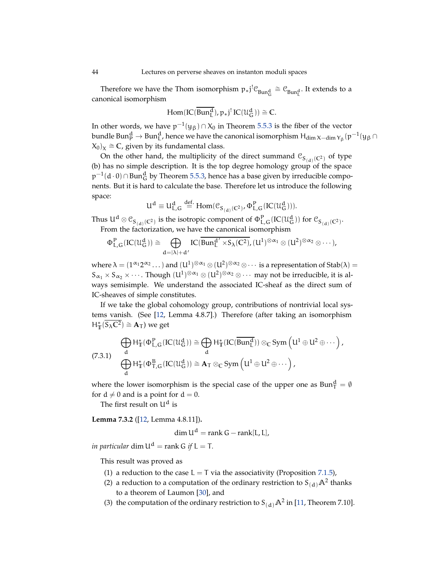<span id="page-43-2"></span>Therefore we have the Thom isomorphism  $p_*j^! \mathcal{C}_{Bun_{\mathbf{G}}^d} \cong \mathcal{C}_{Bun_{\mathbf{L}}^d}$ . It extends to a canonical isomorphism

$$
Hom(IC(\overline{Bun_L^d}), p_*j^! IC(\mathcal{U}_G^d)) \cong \mathbb{C}.
$$

In other words, we have  $p^{-1}(y_{\beta}) \cap X_0$  in Theorem [5.5.3](#page-31-1) is the fiber of the vector bundle Bun $^d_1$   $\to$  Bun $^d_L$ , hence we have the canonical isomorphism  $H_{\dim X-\dim Y_\beta}(p^{-1}(y_\beta\cap$  $(X_0)_x \cong \mathbb{C}$ , given by its fundamental class.

On the other hand, the multiplicity of the direct summand  $\mathcal{C}_{S_{(d)}(C^2)}$  of type (b) has no simple description. It is the top degree homology group of the space  $p^{-1}(d \cdot 0) ∩ Bun_G^d$  by Theorem [5.5.3,](#page-31-1) hence has a base given by irreducible components. But it is hard to calculate the base. Therefore let us introduce the following space:

$$
U^d \equiv U^d_{L,G} \stackrel{def.}{=} \text{Hom}(\mathcal{C}_{S_{(d)}(C^2)}, \Phi^P_{L,G}({\rm IC}(\mathcal{U}_G^d))).
$$

Thus  $U^d \otimes \mathcal{C}_{\mathcal{S}_{(d)}(\mathbb{C}^2)}$  is the isotropic component of  $\Phi^P_{\mathsf{L},\mathsf{G}}(\mathrm{IC}(\mathcal{U}^d_\mathsf{G}))$  for  $\mathcal{C}_{\mathcal{S}_{(d)}(\mathbb{C}^2)}$ . From the factorization, we have the canonical isomorphism

$$
\Phi_{L,G}^p\left( IC(\mathcal{U}_G^d)\right)\cong \bigoplus_{d=|\lambda|+d'} IC(\overline{Bun_L^{d'}\times S_{\lambda}(C^2)},(U^1)^{\otimes \alpha_1}\otimes (U^2)^{\otimes \alpha_2}\otimes \cdots),
$$

where  $\lambda = (1^{\alpha_1} 2^{\alpha_2} \dots)$  and  $(U^1)^{\otimes \alpha_1} \otimes (U^2)^{\otimes \alpha_2} \otimes \dots$  is a representation of Stab $(\lambda)$  =  $S_{\alpha_1} \times S_{\alpha_2} \times \cdots$ . Though  $(U^1)^{\otimes \alpha_1} \otimes (U^2)^{\otimes \alpha_2} \otimes \cdots$  may not be irreducible, it is always semisimple. We understand the associated IC-sheaf as the direct sum of IC-sheaves of simple constitutes.

If we take the global cohomology group, contributions of nontrivial local systems vanish. (See [\[12,](#page-54-1) Lemma 4.8.7].) Therefore (after taking an isomorphism  $H^*_{\mathbb{T}}(\overline{S_{\lambda} \mathbb{C}^2}) \cong \mathbf{A}_{\mathbb{T}}$  ) we get

<span id="page-43-0"></span>
$$
\bigoplus_{d} H_{\mathbb{T}}^*(\Phi_{L,G}^P({\rm I}{\rm C}(\mathcal{U}_G^d))\cong \bigoplus_{d} H_{\mathbb{T}}^*({\rm I}{\rm C}(\overline{{\rm Bun}_L^d}))\otimes_C{\rm Sym}\left(U^1\oplus U^2\oplus\cdots\right),\\ \bigoplus_{d} H_{\mathbb{T}}^*(\Phi_{T,G}^B({\rm I}{\rm C}(\mathcal{U}_G^d))\cong \mathbf{A}_T\otimes_C{\rm Sym}\left(U^1\oplus U^2\oplus\cdots\right),
$$

where the lower isomorphism is the special case of the upper one as  $Bun_T^d = \emptyset$ for  $d \neq 0$  and is a point for  $d = 0$ .

The first result on  $U^d$  is

<span id="page-43-1"></span>**Lemma 7.3.2** ([\[12,](#page-54-1) Lemma 4.8.11])**.**

$$
\dim U^d = \text{rank } G - \text{rank}[L, L],
$$

*in particular* dim  $U^d$  = rank G *if*  $L = T$ *.* 

This result was proved as

- (1) a reduction to the case  $L = T$  via the associativity (Proposition [7.1.5\)](#page-40-2),
- (2) a reduction to a computation of the ordinary restriction to  $S_{(d)}A^2$  thanks to a theorem of Laumon [\[30\]](#page-55-24), and
- (3) the computation of the ordinary restriction to  $S_{(d)}A^2$  in [\[11,](#page-54-15) Theorem 7.10].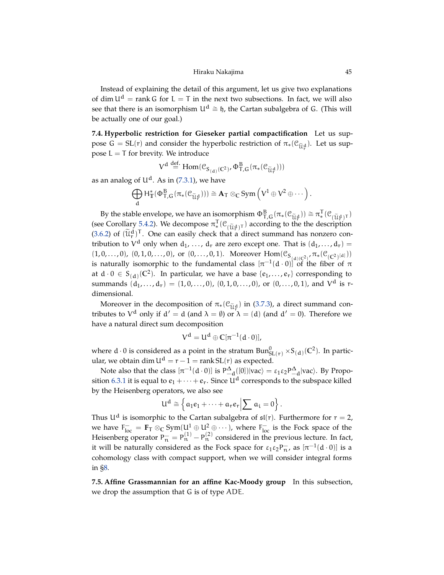Instead of explaining the detail of this argument, let us give two explanations of dim  $U^d$  = rank G for L = T in the next two subsections. In fact, we will also see that there is an isomorphism  $U^d \cong \mathfrak{h}$ , the Cartan subalgebra of G. (This will be actually one of our goal.)

<span id="page-44-1"></span>**7.4. Hyperbolic restriction for Gieseker partial compactification** Let us suppose  $G = SL(r)$  and consider the hyperbolic restriction of  $\pi_*(\mathfrak{C}_{\widetilde{U}_r^d})$ . Let us suppose  $L = T$  for brevity. We introduce

$$
V^d \stackrel{\text{def.}}{=} \text{Hom}(\mathcal{C}_{S_{(d)}(C^2)}, \Phi^B_{T,G}(\pi_* (\mathcal{C}_{\widetilde{U}\mathfrak{f}})))
$$

as an analog of  $U^d$ . As in [\(7.3.1\)](#page-43-0), we have

$$
\bigoplus_d \mathsf{H}^*_{\mathbb{T}}(\Phi^B_{\mathsf{T},G}(\pi_*({\mathfrak C}_{\widetilde{\mathcal U}_\tau^d})))\cong \mathbf{A}_\mathsf{T}\otimes_C \text{Sym}\left(V^1\oplus V^2\oplus\cdots\right).
$$

By the stable envelope, we have an isomorphism  $\Phi_{T,G}^B(\pi_*(\mathcal{C}_{\tilde{U}_T^d})) \cong \pi_*^T$ (see Corollary [5.4.2\)](#page-28-2). We decompose  $\pi_*^T(\mathcal{C}_{\{ \tilde{\jmath}_t \leq \mathcal{C}_t \}})$  according to the the descript  $_{*}^{1}(\mathcal{C}_{(\widetilde{\mathcal{U}}_{\mathbf{r}}^{d})^{\mathsf{T}}})$  $\mathcal{L}^1*(\mathcal{C}_{(\widetilde{\mathcal{U}}_T^d)^T})$  according to the the description  $(3.6.2)$  of  $(\tilde{\mathfrak{U}}_{\mathsf{r}}^{\mathsf{d}})^{\mathsf{T}}$ . One can easily check that a direct summand has nonzero contribution to  $V^d$  only when  $d_1, \ldots, d_r$  are zero except one. That is  $(d_1, \ldots, d_r)$  =  $(1, 0, \ldots, 0), (0, 1, 0, \ldots, 0),$  or  $(0, \ldots, 0, 1)$ . Moreover  $\text{Hom}(\mathfrak{C}_{S_{(d)(C^2)}}, \pi_*(\mathfrak{C}_{(C^2)^{[d]}}))$ is naturally isomorphic to the fundamental class  $[\pi^{-1}(d \cdot 0)]$  of the fiber of  $\pi$ at  $d \cdot 0 \in S_{(d)}(\mathbb{C}^2)$ . In particular, we have a base  $\{e_1, \ldots, e_r\}$  corresponding to summands  $(d_1, \ldots, d_r) = (1, 0, \ldots, 0)$ ,  $(0, 1, 0, \ldots, 0)$ , or  $(0, \ldots, 0, 1)$ , and  $V^d$  is rdimensional.

Moreover in the decomposition of  $\pi_*(\mathfrak{C}_{\widetilde{U}_n^d})$  in [\(3.7.3\)](#page-15-2), a direct summand contributes to  $V^d$  only if  $d' = d$  (and  $\lambda = \emptyset$ ) or  $\lambda = (d)$  (and  $d' = 0$ ). Therefore we have a natural direct sum decomposition

$$
V^d = U^d \oplus \mathbb{C}[\pi^{-1}(d \cdot 0)],
$$

where d  $\cdot$  0 is considered as a point in the stratum  $Bun_{SL(r)}^0 \times S_{(d)}(\mathbb{C}^2)$ . In particular, we obtain dim  $U^d = r - 1 = \text{rank} SL(r)$  as expected.

Note also that the class  $[\pi^{-1}(d \cdot 0)]$  is  $P_{-d}^{\Delta}([0])|vac\rangle = \varepsilon_1 \varepsilon_2 P_{-d}^{\Delta}|vac\rangle$ . By Propo-sition [6.3.1](#page-36-1) it is equal to  $e_1 + \cdots + e_r$ . Since  $U^d$  corresponds to the subspace killed by the Heisenberg operators, we also see

$$
U^d \cong \left\{ \left. \alpha_1 e_1 + \cdots + \left. \alpha_r e_r \right| \sum \alpha_i = 0 \right\} \right.
$$

Thus  $U^d$  is isomorphic to the Cartan subalgebra of  $\mathfrak{sl}(r)$ . Furthermore for  $r = 2$ , we have  $F_{loc}^- = \mathbf{F}_T \otimes_C \text{Sym}(\mathsf{U}^1 \oplus \mathsf{U}^2 \oplus \cdots)$ , where  $F_{loc}^-$  is the Fock space of the Heisenberg operator  $P_{n}^{-} = P_{n}^{(1)} - P_{n}^{(2)}$  considered in the previous lecture. In fact, it will be naturally considered as the Fock space for  $\varepsilon_1 \varepsilon_2 P_{\pi}^-$ , as  $[\pi^{-1}(d\cdot 0)]$  is a cohomology class with compact support, when we will consider integral forms in [§8.](#page-47-0)

<span id="page-44-0"></span>**7.5. Affine Grassmannian for an affine Kac-Moody group** In this subsection, we drop the assumption that G is of type ADE.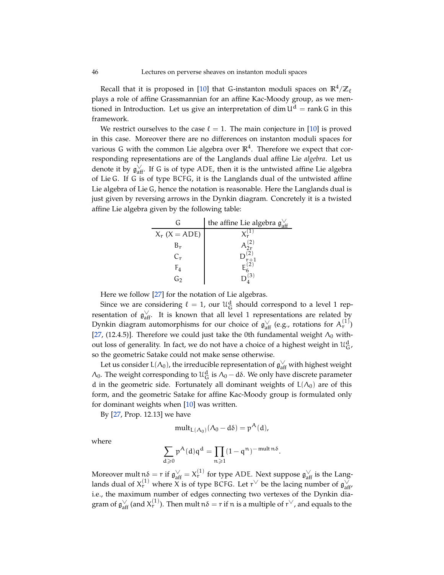<span id="page-45-0"></span>Recall that it is proposed in [\[10\]](#page-54-9) that G-instanton moduli spaces on  $\mathbb{R}^4/\mathbb{Z}_\ell$ plays a role of affine Grassmannian for an affine Kac-Moody group, as we mentioned in Introduction. Let us give an interpretation of dim  $U^d$  = rank G in this framework.

We restrict ourselves to the case  $\ell = 1$ . The main conjecture in [\[10\]](#page-54-9) is proved in this case. Moreover there are no differences on instanton moduli spaces for various G with the common Lie algebra over  $\mathbb{R}^4$ . Therefore we expect that corresponding representations are of the Langlands dual affine Lie *algebra*. Let us denote it by  $\mathfrak{g}^\vee_\mathrm{aff}$ . If G is of type ADE, then it is the untwisted affine Lie algebra of Lie G. If G is of type BCFG, it is the Langlands dual of the untwisted affine Lie algebra of Lie G, hence the notation is reasonable. Here the Langlands dual is just given by reversing arrows in the Dynkin diagram. Concretely it is a twisted affine Lie algebra given by the following table:

| ( –                 | the affine Lie algebra $\mathfrak{g}^{\vee}_{\mathfrak{aff}}$ |
|---------------------|---------------------------------------------------------------|
| $X_r$ ( $X = ADE$ ) |                                                               |
| Br                  |                                                               |
| $C_{r}$             |                                                               |
| $F_4$               |                                                               |
| Go                  |                                                               |

Here we follow [\[27\]](#page-54-23) for the notation of Lie algebras.

Since we are considering  $\ell = 1$ , our  $\mathfrak{U}^d_G$  should correspond to a level 1 representation of  $\mathfrak{g}_{\rm aff}^{\vee}$ . It is known that all level 1 representations are related by Dynkin diagram automorphisms for our choice of  $\mathfrak{g}_{\rm aff}^{\vee}$  (e.g., rotations for  $\mathcal{A}_{\rm r}^{(1)}$ ) [\[27,](#page-54-23) (12.4.5)]. Therefore we could just take the 0th fundamental weight  $\Lambda_0$  without loss of generality. In fact, we do not have a choice of a highest weight in  $\mathfrak{U}^{\mathbf{d}}_{\mathbf{G}}$ , so the geometric Satake could not make sense otherwise.

Let us consider L( $\Lambda_0$ ), the irreducible representation of  $\mathfrak{g}^\vee_\mathrm{aff}$  with highest weight  $Λ_0$ . The weight corresponding to  $\mathcal{U}_G^d$  is  $Λ_0 - dδ$ . We only have discrete parameter d in the geometric side. Fortunately all dominant weights of  $L(\Lambda_0)$  are of this form, and the geometric Satake for affine Kac-Moody group is formulated only for dominant weights when [\[10\]](#page-54-9) was written.

By [\[27,](#page-54-23) Prop. 12.13] we have

$$
\mathrm{mult}_{L(\Lambda_0)}(\Lambda_0 - d\delta) = p^A(d),
$$

where

$$
\sum_{d\geqslant 0}p^A(d)q^d=\prod_{n\geqslant 1}(1-q^n)^{-\operatorname{mult} n\delta}.
$$

Moreover mult  $\mathfrak{n} \delta = \mathfrak{r}$  if  $\mathfrak{g}^\vee_{\rm aff} = X^{(1)}_{\mathfrak{r}}$  for type ADE. Next suppose  $\mathfrak{g}^\vee_{\rm aff}$  is the Langlands dual of  $X_r^{(1)}$  where X is of type BCFG. Let  $r^{\vee}$  be the lacing number of  $\mathfrak{g}_{\text{aff}}^{\vee}$ i.e., the maximum number of edges connecting two vertexes of the Dynkin diagram of  $\mathfrak{g}^\vee_{\rm aff}$  (and  $X^{(1)}_{\rm r}$ ). Then mult  $\mathfrak{n}\delta = \mathfrak{r}$  if  $\mathfrak{n}$  is a multiple of  $\mathfrak{r}^\vee$ , and equals to the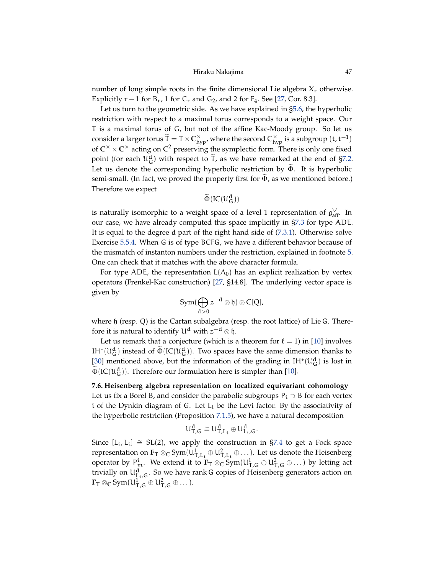## Hiraku Nakajima 47

<span id="page-46-1"></span>number of long simple roots in the finite dimensional Lie algebra  $X_r$  otherwise. Explicitly  $r - 1$  for  $B_r$ , 1 for  $C_r$  and  $G_2$ , and 2 for  $F_4$ . See [\[27,](#page-54-23) Cor. 8.3].

Let us turn to the geometric side. As we have explained in [§5.6,](#page-31-0) the hyperbolic restriction with respect to a maximal torus corresponds to a weight space. Our T is a maximal torus of G, but not of the affine Kac-Moody group. So let us consider a larger torus  $\widetilde{T} = T \times C_{hyp}^{\times}$ , where the second  $C_{hyp}^{\times}$  is a subgroup  $(t, t^{-1})$ of  $\mathbb{C}^{\times} \times \mathbb{C}^{\times}$  acting on  $\mathbb{C}^2$  preserving the symplectic form. There is only one fixed point (for each  $\mathfrak{U}_{\mathsf{G}}^{\mathsf{d}}$ ) with respect to  $\widetilde{\mathsf{T}}$ , as we have remarked at the end of [§7.2.](#page-41-0) Let us denote the corresponding hyperbolic restriction by  $\Phi$ . It is hyperbolic semi-small. (In fact, we proved the property first for  $\Phi$ , as we mentioned before.) Therefore we expect

# $\widetilde{\Phi}(\text{IC}(\mathfrak{U}^{\text{d}}_{\mathsf{G}}))$

is naturally isomorphic to a weight space of a level 1 representation of  $\mathfrak{g}^\vee_{\rm aff}$ . In our case, we have already computed this space implicitly in [§7.3](#page-42-0) for type ADE. It is equal to the degree d part of the right hand side of [\(7.3.1\)](#page-43-0). Otherwise solve Exercise [5.5.4.](#page-31-2) When G is of type BCFG, we have a different behavior because of the mismatch of instanton numbers under the restriction, explained in footnote [5.](#page-7-0) One can check that it matches with the above character formula.

For type ADE, the representation  $L(\Lambda_0)$  has an explicit realization by vertex operators (Frenkel-Kac construction) [\[27,](#page-54-23) §14.8]. The underlying vector space is given by

$$
Sym(\bigoplus_{d>0} z^{-d}\otimes \mathfrak{h})\otimes \mathbb{C}[Q],
$$

where  $\mathfrak h$  (resp. Q) is the Cartan subalgebra (resp. the root lattice) of Lie G. Therefore it is natural to identify  $U^d$  with  $z^{-d} \otimes \mathfrak{h}$ .

Let us remark that a conjecture (which is a theorem for  $\ell = 1$ ) in [\[10\]](#page-54-9) involves IH<sup>\*</sup>( $\mathcal{U}_{\mathsf{G}}^{\mathsf{d}}$ ) instead of  $\tilde{\Phi}(\mathrm{IC}(\mathcal{U}_{\mathsf{G}}^{\mathsf{d}}))$ . Two spaces have the same dimension thanks to [\[30\]](#page-55-24) mentioned above, but the information of the grading in  $IH^*(\mathcal{U}_G^d)$  is lost in  $\tilde{\Phi}$ (IC( $\mathcal{U}_{\mathsf{G}}^{\mathsf{d}}$ )). Therefore our formulation here is simpler than [\[10\]](#page-54-9).

#### <span id="page-46-0"></span>**7.6. Heisenberg algebra representation on localized equivariant cohomology**

Let us fix a Borel B, and consider the parabolic subgroups  $P_i \supset B$  for each vertex i of the Dynkin diagram of G. Let  $L_i$  be the Levi factor. By the associativity of the hyperbolic restriction (Proposition [7.1.5\)](#page-40-2), we have a natural decomposition

$$
u^d_{T,G}\cong u^d_{T,L_i}\oplus u^d_{L_i,G}.
$$

Since  $[L_i, L_i] \cong SL(2)$ , we apply the construction in [§7.4](#page-44-1) to get a Fock space representation on  $\mathbf{F}_T \otimes_{\mathbb{C}} \mathrm{Sym}(\mathsf{U}_{T,L_i}^1 \oplus \mathsf{U}_{T,L_i}^2 \oplus \ldots)$ . Let us denote the Heisenberg operator by  $P_m^i$ . We extend it to  $\mathbf{F}_T \otimes_C \mathrm{Sym}(\mathsf{U}_{T,G}^1 \oplus \mathsf{U}_{T,G}^2 \oplus \dots)$  by letting act trivially on  $U^d_{\mu, G}$ . So we have rank G copies of Heisenberg generators action on  $\mathbf{F}_{\mathsf{T}} \otimes_{\mathbb{C}} \mathrm{Sym}(\mathsf{U}_{\mathsf{T},\mathsf{G}}^1 \oplus \mathsf{U}_{\mathsf{T},\mathsf{G}}^2 \oplus \ldots).$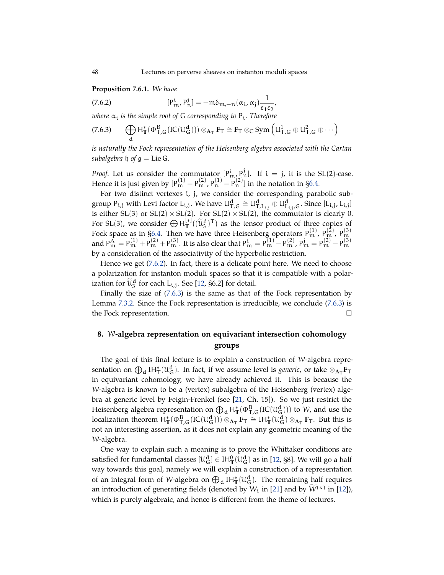<span id="page-47-3"></span>**Proposition 7.6.1.** *We have*

<span id="page-47-1"></span>(7.6.2) 
$$
[P_m^i, P_n^j] = -m\delta_{m,-n}(\alpha_i, \alpha_j) \frac{1}{\epsilon_1 \epsilon_2},
$$

*where* α<sup>i</sup> *is the simple root of* G *corresponding to* P<sup>i</sup> *. Therefore*

<span id="page-47-2"></span>
$$
(7.6.3)\qquad \bigoplus_{d}H_{\mathbb{T}}^*(\Phi_{\mathsf{T},G}^B({\rm IC}(\mathfrak{U}_G^d)))\otimes_{\mathbf{A}_{\mathsf{T}}}\mathbf{F}_{\mathsf{T}}\cong\mathbf{F}_{\mathsf{T}}\otimes_{\mathbb{C}}\mathrm{Sym}\left(\mathsf{U}_{\mathsf{T},G}^1\oplus\mathsf{U}_{\mathsf{T},G}^2\oplus\cdots\right)
$$

*is naturally the Fock representation of the Heisenberg algebra associated with the Cartan subalgebra*  $\mathfrak h$  *of*  $\mathfrak g$  = Lie G.

*Proof.* Let us consider the commutator  $[P^i_{m}, P^j_{n}]$ . If  $i = j$ , it is the SL(2)-case. Hence it is just given by  $[P_m^{(1)} - P_m^{(2)}, P_n^{(1)} - P_n^{(2)}]$  in the notation in [§6.4.](#page-36-2)

For two distinct vertexes i, j, we consider the corresponding parabolic subgroup  $P_{i,j}$  with Levi factor  $L_{i,j}$ . We have  $U_{T,G}^d \cong U_{T,L_{i,j}}^d \oplus U_{L_{i,j},G}^d$ . Since  $[L_{i,j}, L_{i,j}]$ is either SL(3) or SL(2)  $\times$  SL(2). For SL(2)  $\times$  SL(2), the commutator is clearly 0. For SL(3), we consider  $\bigoplus H_T^{[*]}((\widetilde{u}_3^d)^T)$  as the tensor product of three copies of Fock space as in [§6.4.](#page-36-2) Then we have three Heisenberg operators  $P_m^{(1)}$ ,  $P_m^{(2)}$ ,  $P_m^{(3)}$ and  $P_m^{\hat{\Delta}} = P_m^{(1)} + P_m^{(2)} + P_m^{(3)}$ . It is also clear that  $P_m^i = P_m^{(1)} - P_m^{(2)}$ ,  $P_m^j = P_m^{(2)} - P_m^{(3)}$ by a consideration of the associativity of the hyperbolic restriction.

Hence we get [\(7.6.2\)](#page-47-1). In fact, there is a delicate point here. We need to choose a polarization for instanton moduli spaces so that it is compatible with a polarization for  $\widetilde{\mathfrak{u}}_{3}^{\mathfrak{d}}$  for each  $L_{i,j}$ . See [\[12,](#page-54-1) §6.2] for detail.

Finally the size of [\(7.6.3\)](#page-47-2) is the same as that of the Fock representation by Lemma [7.3.2.](#page-43-1) Since the Fock representation is irreducible, we conclude [\(7.6.3\)](#page-47-2) is the Fock representation.

# <span id="page-47-0"></span>**8.** W**-algebra representation on equivariant intersection cohomology groups**

The goal of this final lecture is to explain a construction of W-algebra representation on  $\bigoplus_{d} \mathrm{IH}_{\mathbb{T}}^*(\mathfrak{U}_{\mathbb{G}}^d)$ . In fact, if we assume level is *generic,* or take  $\otimes_{\mathbf{A}_{\mathbb{T}}} \mathbf{F}_{\mathbb{T}}$ in equivariant cohomology, we have already achieved it. This is because the W-algebra is known to be a (vertex) subalgebra of the Heisenberg (vertex) algebra at generic level by Feigin-Frenkel (see [\[21,](#page-54-4) Ch. 15]). So we just restrict the Heisenberg algebra representation on  $\bigoplus_d H^*_{\mathbb{T}}(\Phi_{T,G}^B({\rm IC}(\mathcal{U}_G^d)))$  to W, and use the localization theorem  $H^*_{\mathbb{T}}(\Phi_{T,G}^B(IC(\mathcal{U}_G^d))) \otimes_{\mathbf{A}_T} \mathbf{F}_{T} \cong H^*_{\mathbb{T}}(\mathcal{U}_G^d) \otimes_{\mathbf{A}_T} \mathbf{F}_T$ . But this is not an interesting assertion, as it does not explain any geometric meaning of the W-algebra.

One way to explain such a meaning is to prove the Whittaker conditions are satisfied for fundamental classes  $[\mathfrak{U}_G^d] \in IH_T^0(\mathfrak{U}_G^d)$  as in [\[12,](#page-54-1) §8]. We will go a half way towards this goal, namely we will explain a construction of a representation of an integral form of W-algebra on  $\bigoplus_d \mathrm{IH}_{\mathbb{T}}^*(\mathfrak{U}_G^d)$ . The remaining half requires an introduction of generating fields (denoted by  $W_i$  in [\[21\]](#page-54-4) and by  $\widetilde{W}^{(\kappa)}$  in [\[12\]](#page-54-1)), which is purely algebraic, and hence is different from the theme of lectures.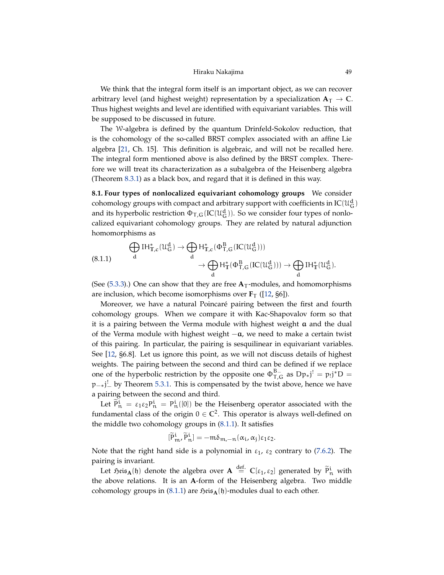## Hiraku Nakajima 49

<span id="page-48-1"></span>We think that the integral form itself is an important object, as we can recover arbitrary level (and highest weight) representation by a specialization  $A_T \rightarrow C$ . Thus highest weights and level are identified with equivariant variables. This will be supposed to be discussed in future.

The W-algebra is defined by the quantum Drinfeld-Sokolov reduction, that is the cohomology of the so-called BRST complex associated with an affine Lie algebra [\[21,](#page-54-4) Ch. 15]. This definition is algebraic, and will not be recalled here. The integral form mentioned above is also defined by the BRST complex. Therefore we will treat its characterization as a subalgebra of the Heisenberg algebra (Theorem [8.3.1\)](#page-49-2) as a black box, and regard that it is defined in this way.

**8.1. Four types of nonlocalized equivariant cohomology groups** We consider cohomology groups with compact and arbitrary support with coefficients in  $\mathop{\rm IC}(\mathfrak{U}^{\rm d}_\mathsf{G})$ and its hyperbolic restriction  $\Phi_{\mathsf{T},\mathsf{G}}(\mathrm{IC}(\mathfrak{U}^{\mathbf{d}}_\mathsf{G})).$  So we consider four types of nonlocalized equivariant cohomology groups. They are related by natural adjunction homomorphisms as

<span id="page-48-0"></span>
$$
\bigoplus_{d} \mathrm{IH}_{\mathbb{T},c}^{*}(\mathcal{U}_{G}^{d}) \rightarrow \bigoplus_{d} \mathrm{H}_{\mathbb{T},c}^{*}(\Phi_{T,G}^{B}({\rm IC}(\mathcal{U}_{G}^{d}))) \\ \rightarrow \bigoplus_{d} \mathrm{H}_{\mathbb{T}}^{*}(\Phi_{T,G}^{B}({\rm IC}(\mathcal{U}_{G}^{d}))) \rightarrow \bigoplus_{d} \mathrm{IH}_{\mathbb{T}}^{*}(\mathcal{U}_{G}^{d}).
$$

(See  $(5.3.3)$ .) One can show that they are free  $A_T$ -modules, and homomorphisms are inclusion, which become isomorphisms over  $\mathbf{F}_T$  ([\[12,](#page-54-1) §6]).

Moreover, we have a natural Poincaré pairing between the first and fourth cohomology groups. When we compare it with Kac-Shapovalov form so that it is a pairing between the Verma module with highest weight  $a$  and the dual of the Verma module with highest weight −a, we need to make a certain twist of this pairing. In particular, the pairing is sesquilinear in equivariant variables. See [\[12,](#page-54-1) §6.8]. Let us ignore this point, as we will not discuss details of highest weights. The pairing between the second and third can be defined if we replace one of the hyperbolic restriction by the opposite one  $\Phi_{T,G}^{B-}$  as  $Dp_*j' = p_!j^*D =$ p<sub>-∗j</sub>! by Theorem [5.3.1.](#page-28-3) This is compensated by the twist above, hence we have a pairing between the second and third.

Let  $\tilde{P}_n^i = \varepsilon_1 \varepsilon_2 P_n^i = P_n^i([0])$  be the Heisenberg operator associated with the fundamental class of the origin  $0 \in \mathbb{C}^2$ . This operator is always well-defined on the middle two cohomology groups in [\(8.1.1\)](#page-48-0). It satisfies

$$
[\widetilde{P}_{m}^{i}, \widetilde{P}_{n}^{i}] = -m\delta_{m,-n}(\alpha_{i}, \alpha_{j})\epsilon_{1}\epsilon_{2}.
$$

Note that the right hand side is a polynomial in  $\varepsilon_1$ ,  $\varepsilon_2$  contrary to [\(7.6.2\)](#page-47-1). The pairing is invariant.

Let  $\tilde{p}$ <sub>i</sub>  $\tilde{P}$ <sub>i</sub> denote the algebra over  $A \stackrel{\text{def.}}{=} C[\varepsilon_1, \varepsilon_2]$  generated by  $\tilde{P}$ <sup>i</sup> with the above relations. It is an **A**-form of the Heisenberg algebra. Two middle cohomology groups in [\(8.1.1\)](#page-48-0) are  $\mathfrak{Heis}_{\mathbf{A}}(\mathfrak{h})$ -modules dual to each other.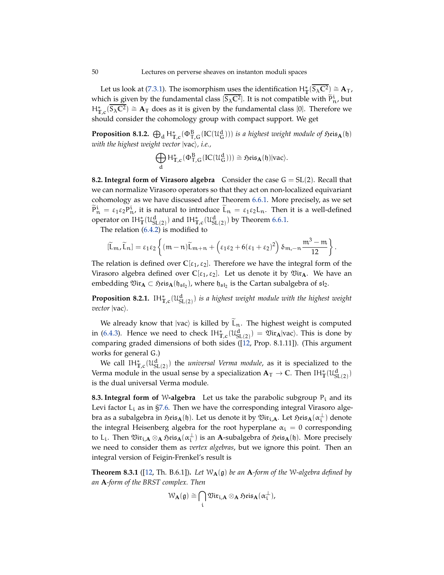Let us look at [\(7.3.1\)](#page-43-0). The isomorphism uses the identification  $H^*_T(\overline{S_\lambda C^2}) \cong A_T$  , which is given by the fundamental class  $[\overline{S_{\lambda}C^2}]$ . It is not compatible with  $\widetilde{P}_{n}^i$ , but  $H_{T,c}^{*}(\overline{S_{\lambda}C^2})$  ≅ **A**<sub>T</sub> does as it is given by the fundamental class [0]. Therefore we should consider the cohomology group with compact support. We get

**Proposition 8.1.2.**  $\bigoplus_{d} H_{T,c}^{*}(\Phi_{T,G}^{B}(IC(\mathcal{U}_{G}^{d})))$  *is a highest weight module of*  $\mathfrak{H}$ *eis*<sub>A</sub>(h) *with the highest weight vector*  $|vac\rangle$ , *i.e.*,

$$
\bigoplus_d H^*_{\mathbb{T},c}(\Phi^B_{\mathsf{T},G}(\textnormal{IC}(\mathfrak{U}_G^d)))\cong \mathfrak{H}\textnormal{eis}_\mathbf{A}(\mathfrak{h})|\textnormal{vac}\rangle.
$$

<span id="page-49-1"></span>**8.2. Integral form of Virasoro algebra** Consider the case  $G = SL(2)$ . Recall that we can normalize Virasoro operators so that they act on non-localized equivariant cohomology as we have discussed after Theorem [6.6.1.](#page-38-1) More precisely, as we set  $\tilde{P}_n^i = \varepsilon_1 \varepsilon_2 P_n^i$ , it is natural to introduce  $\tilde{L}_n = \varepsilon_1 \varepsilon_2 L_n$ . Then it is a well-defined operator on  $IH^*_{\mathbb{T}}(\mathcal{U}^d_{SL(2)})$  and  $IH^*_{\mathbb{T},c}(\mathcal{U}^d_{SL(2)})$  by Theorem [6.6.1.](#page-38-1)

The relation [\(6.4.2\)](#page-36-3) is modified to

$$
[\widetilde{L}_m,\widetilde{L}_n]=\epsilon_1\epsilon_2\left\{(m-n)\widetilde{L}_{m+n}+\left(\epsilon_1\epsilon_2+6(\epsilon_1+\epsilon_2)^2\right)\delta_{m,-n}\frac{m^3-m}{12}\right\}.
$$

The relation is defined over  $C[\epsilon_1, \epsilon_2]$ . Therefore we have the integral form of the Virasoro algebra defined over  $C[\epsilon_1, \epsilon_2]$ . Let us denote it by  $\mathfrak{Vir}_A$ . We have an embedding  $\mathfrak{Vir}_A\subset \mathfrak{H}$ eis $_A(\mathfrak{h}_{\mathfrak{sl}_2})$ , where  $\mathfrak{h}_{\mathfrak{sl}_2}$  is the Cartan subalgebra of  $\mathfrak{sl}_2$ .

**Proposition 8.2.1.**  $IH_{\mathbb{T},c}^{*}(\mathfrak{U}_{\mathrm{SL}(2)}^{\mathrm{d}})$  *is a highest weight module with the highest weight vector*  $|vac\rangle$ *.* 

We already know that  $|vac\rangle$  is killed by  $\tilde{L}_n$ . The highest weight is computed in [\(6.4.3\)](#page-37-2). Hence we need to check  $IH_{\mathbb{T},c}^{\ast}(U_{\mathrm{SL}(2)}^{d}) = \mathfrak{Vir}_{A}|vac\rangle$ . This is done by comparing graded dimensions of both sides ([\[12,](#page-54-1) Prop. 8.1.11]). (This argument works for general G.)

We call  $\mathrm{IH}_{\mathbb{T},c}^*(\mathfrak{U}_{\mathrm{SL}(2)}^{\mathrm{d}})$  the *universal Verma module*, as it is specialized to the Verma module in the usual sense by a specialization  $A_T \to \mathbb{C}$ . Then  $IH^*_{\mathbb{T}}(\mathcal{U}^d_{SL(2)})$ is the dual universal Verma module.

<span id="page-49-0"></span>**8.3. Integral form of W-algebra** Let us take the parabolic subgroup  $P_i$  and its Levi factor  $L_i$  as in [§7.6.](#page-46-0) Then we have the corresponding integral Virasoro algebra as a subalgebra in  $\mathfrak{Heis}_{\mathbf{A}}(\mathfrak{h})$ . Let us denote it by  $\mathfrak{Vir}_{\mathfrak{i},\mathbf{A}}.$  Let  $\mathfrak{Heis}_{\mathbf{A}}(\alpha_{\mathfrak{i}}^\perp)$  denote the integral Heisenberg algebra for the root hyperplane  $\alpha_i = 0$  corresponding to L<sub>i</sub>. Then  $\mathfrak{Vir}_{i,\mathbf{A}} \otimes_{\mathbf{A}} \mathfrak{Heis}_{\mathbf{A}}(\alpha_i^{\perp})$  is an  $\mathbf{A}\text{-subalgebra of } \mathfrak{Heis}_{\mathbf{A}}(\mathfrak{h})$ . More precisely we need to consider them as *vertex algebras*, but we ignore this point. Then an integral version of Feigin-Frenkel's result is

<span id="page-49-2"></span>**Theorem 8.3.1** ([\[12,](#page-54-1) Th. B.6.1]). Let  $W_A(g)$  be an A-form of the W-algebra defined by *an* **A***-form of the BRST complex. Then*

$$
\mathcal{W}_{\mathbf{A}}(\mathfrak{g}) \cong \bigcap_{i} \mathfrak{Vir}_{i,\mathbf{A}} \otimes_{\mathbf{A}} \mathfrak{H}\mathrm{eis}_{\mathbf{A}}(\alpha_i^{\perp}),
$$

<span id="page-49-3"></span>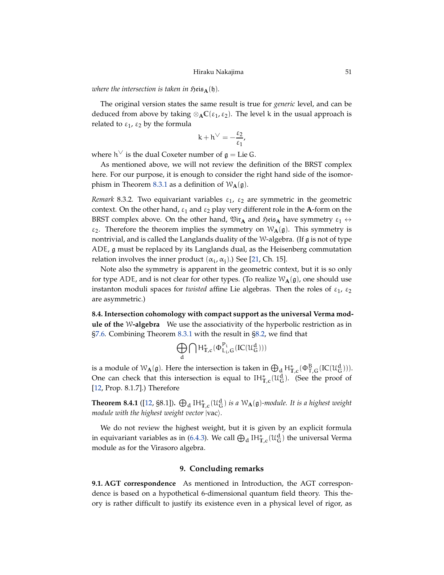<span id="page-50-4"></span>*where the intersection is taken in*  $\mathfrak{H}\text{eis}_{\mathbf{A}}(\mathfrak{h})$ *.* 

The original version states the same result is true for *generic* level, and can be deduced from above by taking  $\otimes_{A} C(\epsilon_1, \epsilon_2)$ . The level k in the usual approach is related to  $\varepsilon_1$ ,  $\varepsilon_2$  by the formula

$$
k+h^\vee=-\frac{\epsilon_2}{\epsilon_1},
$$

where h $\vee$  is the dual Coxeter number of  $\mathfrak{g} =$  Lie G.

As mentioned above, we will not review the definition of the BRST complex here. For our purpose, it is enough to consider the right hand side of the isomor-phism in Theorem [8.3.1](#page-49-2) as a definition of  $W_{\mathbf{A}}(\mathfrak{g})$ .

*Remark* 8.3.2. Two equivariant variables  $\varepsilon_1$ ,  $\varepsilon_2$  are symmetric in the geometric context. On the other hand,  $\varepsilon_1$  and  $\varepsilon_2$  play very different role in the **A**-form on the BRST complex above. On the other hand,  $\mathfrak{Vir}_A$  and  $\mathfrak{Heis}_A$  have symmetry  $\varepsilon_1 \leftrightarrow$  $\varepsilon_2$ . Therefore the theorem implies the symmetry on  $W_{\mathbf{A}}(\mathfrak{g})$ . This symmetry is nontrivial, and is called the Langlands duality of the W-algebra. (If g is not of type ADE, g must be replaced by its Langlands dual, as the Heisenberg commutation relation involves the inner product  $(\alpha_i, \alpha_j)$ .) See [\[21,](#page-54-4) Ch. 15].

Note also the symmetry is apparent in the geometric context, but it is so only for type ADE, and is not clear for other types. (To realize  $W_{A}(g)$ , one should use instanton moduli spaces for *twisted* affine Lie algebras. Then the roles of  $\varepsilon_1$ ,  $\varepsilon_2$ are asymmetric.)

<span id="page-50-3"></span>**8.4. Intersection cohomology with compact support as the universal Verma module of the** W**-algebra** We use the associativity of the hyperbolic restriction as in [§7.6.](#page-46-0) Combining Theorem [8.3.1](#page-49-2) with the result in [§8.2,](#page-49-1) we find that

$$
\bigoplus_d \bigcap \mathsf{H}^*_{\mathbb{T},c}(\Phi_{L_i,G}^{P_i}(\mathop{\mathrm{IC}}\nolimits({\mathcal{U}}_G^d)))
$$

is a module of  $W_{\bf A}(\mathfrak{g})$ . Here the intersection is taken in  $\bigoplus_{d} H_{\mathbb{T},c}^*(\Phi_{\mathbb{T},G}^B({\rm IC}(\mathcal{U}_G^d)))$ . One can check that this intersection is equal to  $IH_{\mathbb{F},c}^{*}(\mathcal{U}_{G}^{d})$ . (See the proof of [\[12,](#page-54-1) Prop. 8.1.7].) Therefore

<span id="page-50-2"></span>**Theorem 8.4.1** ([\[12,](#page-54-1) §8.1]).  $\bigoplus_{d} \mathrm{IH}_{T,c}^{*}(\mathfrak{U}_{G}^{d})$  *is a*  $\mathcal{W}_{A}(\mathfrak{g})$ *-module. It is a highest weight module with the highest weight vector*  $|vac\rangle$ *.* 

We do not review the highest weight, but it is given by an explicit formula in equivariant variables as in [\(6.4.3\)](#page-37-2). We call  $\bigoplus_d H^*_{\mathbb{T},c}(\mathfrak{U}_G^d)$  the universal Verma module as for the Virasoro algebra.

## **9. Concluding remarks**

<span id="page-50-1"></span><span id="page-50-0"></span>**9.1. AGT correspondence** As mentioned in Introduction, the AGT correspondence is based on a hypothetical 6-dimensional quantum field theory. This theory is rather difficult to justify its existence even in a physical level of rigor, as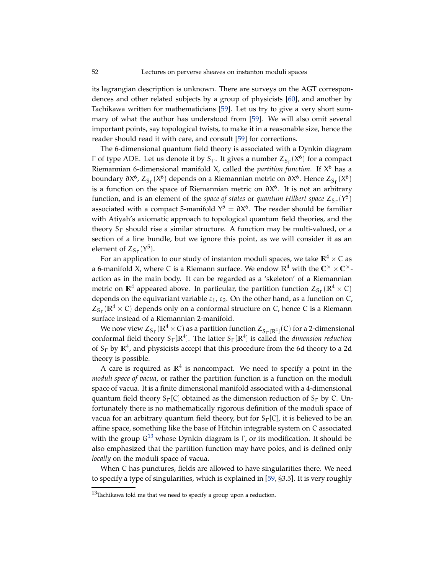<span id="page-51-1"></span>its lagrangian description is unknown. There are surveys on the AGT correspondences and other related subjects by a group of physicists [\[60\]](#page-56-5), and another by Tachikawa written for mathematicians [\[59\]](#page-56-6). Let us try to give a very short summary of what the author has understood from [\[59\]](#page-56-6). We will also omit several important points, say topological twists, to make it in a reasonable size, hence the reader should read it with care, and consult [\[59\]](#page-56-6) for corrections.

The 6-dimensional quantum field theory is associated with a Dynkin diagram Γ of type ADE. Let us denote it by  $S_{\Gamma}$ . It gives a number  $Z_{S_{\Gamma}}(X^6)$  for a compact Riemannian 6-dimensional manifold X, called the *partition function*. If X <sup>6</sup> has a boundary ∂X<sup>6</sup>, Z<sub>Sг</sub>(X<sup>6</sup>) depends on a Riemannian metric on ∂X<sup>6</sup>. Hence Z<sub>Sг</sub>(X<sup>6</sup>) is a function on the space of Riemannian metric on  $\partial X^6$ . It is not an arbitrary function, and is an element of the *space of states* or *quantum Hilbert space*  $Z_{S_{\Gamma}}(Y^5)$ associated with a compact 5-manifold  $Y^5 = \partial X^6$ . The reader should be familiar with Atiyah's axiomatic approach to topological quantum field theories, and the theory  $S_{\Gamma}$  should rise a similar structure. A function may be multi-valued, or a section of a line bundle, but we ignore this point, as we will consider it as an element of  $Z_{S_{\Gamma}}(Y^5)$ .

For an application to our study of instanton moduli spaces, we take  $\mathbb{R}^4 \times C$  as a 6-manifold X, where C is a Riemann surface. We endow  $\mathbb{R}^4$  with the  $\mathbb{C}^\times \times \mathbb{C}^\times$ action as in the main body. It can be regarded as a 'skeleton' of a Riemannian metric on  $\mathbb{R}^4$  appeared above. In particular, the partition function  $Z_{S_{\Gamma}}(\mathbb{R}^4 \times C)$ depends on the equivariant variable  $\varepsilon_1$ ,  $\varepsilon_2$ . On the other hand, as a function on C,  $Z_{S_{\Gamma}}(\mathbb{R}^4 \times C)$  depends only on a conformal structure on C, hence C is a Riemann surface instead of a Riemannian 2-manifold.

We now view  $Z_{S_\Gamma}(\mathbb{R}^4 \times C)$  as a partition function  $Z_{S_\Gamma(\mathbb{R}^4)}(C)$  for a 2-dimensional conformal field theory S<sup>Γ</sup> [**R**<sup>4</sup> ]. The latter S<sup>Γ</sup> [**R**<sup>4</sup> ] is called the *dimension reduction* of S<sup>Γ</sup> by **R**<sup>4</sup> , and physicists accept that this procedure from the 6d theory to a 2d theory is possible.

A care is required as  $\mathbb{R}^4$  is noncompact. We need to specify a point in the *moduli space of vacua*, or rather the partition function is a function on the moduli space of vacua. It is a finite dimensional manifold associated with a 4-dimensional quantum field theory  $S_{\Gamma}$ [C] obtained as the dimension reduction of  $S_{\Gamma}$  by C. Unfortunately there is no mathematically rigorous definition of the moduli space of vacua for an arbitrary quantum field theory, but for  $S_{\Gamma}[C]$ , it is believed to be an affine space, something like the base of Hitchin integrable system on C associated with the group  $G^{13}$  $G^{13}$  $G^{13}$  whose Dynkin diagram is  $\Gamma$ , or its modification. It should be also emphasized that the partition function may have poles, and is defined only *locally* on the moduli space of vacua.

When C has punctures, fields are allowed to have singularities there. We need to specify a type of singularities, which is explained in [\[59,](#page-56-6) §3.5]. It is very roughly

<span id="page-51-0"></span> $13$ Tachikawa told me that we need to specify a group upon a reduction.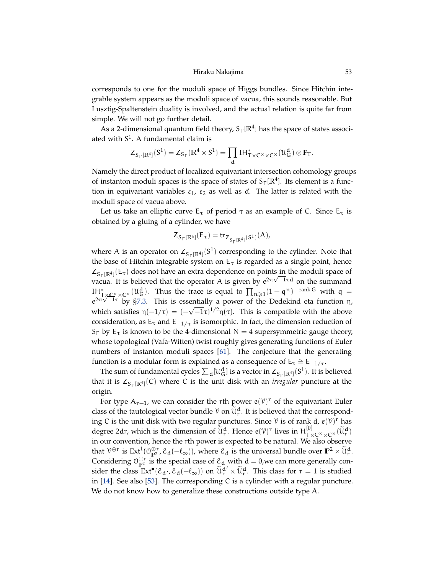<span id="page-52-0"></span>corresponds to one for the moduli space of Higgs bundles. Since Hitchin integrable system appears as the moduli space of vacua, this sounds reasonable. But Lusztig-Spaltenstein duality is involved, and the actual relation is quite far from simple. We will not go further detail.

As a 2-dimensional quantum field theory,  $S_\Gamma[\mathbb{R}^4]$  has the space of states associated with  $S^1$ . A fundamental claim is

$$
\mathsf{Z}_{S_\Gamma[\mathbb{R}^4]}(S^1)=\mathsf{Z}_{S_\Gamma}(\mathbb{R}^4\times S^1)=\prod_d \mathrm{IH}_{T\times C^\times\times C^\times}^*(\mathfrak{U}_G^d)\otimes \mathbf{F}_T.
$$

Namely the direct product of localized equivariant intersection cohomology groups of instanton moduli spaces is the space of states of  $S_\Gamma[\mathbb{R}^4]$ . Its element is a function in equivariant variables  $\varepsilon_1$ ,  $\varepsilon_2$  as well as  $\vec{a}$ . The latter is related with the moduli space of vacua above.

Let us take an elliptic curve  $E_{\tau}$  of period  $\tau$  as an example of C. Since  $E_{\tau}$  is obtained by a gluing of a cylinder, we have

$$
Z_{S_{\Gamma}[\mathbb{R}^{4}]}(E_{\tau}) = tr_{Z_{S_{\Gamma}[\mathbb{R}^{4}]}(S^{1})}(A),
$$

where A is an operator on  $Z_{S_{\Gamma}[\mathbb{R}^4]}(S^1)$  corresponding to the cylinder. Note that the base of Hitchin integrable system on  $E_{\tau}$  is regarded as a single point, hence  $Z_{S_{\Gamma}[\mathbb{R}^4]}(E_{\tau})$  does not have an extra dependence on points in the moduli space of vacua. It is believed that the operator A is given by  $e^{2\pi\sqrt{-1}\tau d}$  on the summand IH<sup>\*</sup><sub>T×</sub>C<sup>×</sup>×C<sup>×</sup> (U<sub>G</sub><sup>d</sup>). Thus the trace is equal to  $\prod_{n\geqslant 1}(1-q^n)^{-\text{rank }G}$  with q =  $e^{2\pi\sqrt{-1}\tau}$  by [§7.3.](#page-42-0) This is essentially a power of the Dedekind eta function η, which satisfies  $\eta(-1/\tau) = (-\sqrt{-1}\tau)^{1/2} \eta(\tau)$ . This is compatible with the above consideration, as  $E_{\tau}$  and  $E_{-1/\tau}$  is isomorphic. In fact, the dimension reduction of S<sub>Γ</sub> by E<sub>τ</sub> is known to be the 4-dimensional N = 4 supersymmetric gauge theory, whose topological (Vafa-Witten) twist roughly gives generating functions of Euler numbers of instanton moduli spaces [\[61\]](#page-56-7). The conjecture that the generating function is a modular form is explained as a consequence of  $E_{\tau} \cong E_{-1/\tau}$ .

The sum of fundamental cycles  $\sum_d$  [U $^d_{\rm G}$ ] is a vector in  $Z_{S_\Gamma[\mathbb{R}^4]}(S^1)$ . It is believed that it is  $Z_{S_{\Gamma}[\mathbb{R}^4]}(C)$  where C is the unit disk with an *irregular* puncture at the origin.

For type  $A_{r-1}$ , we can consider the rth power  $e(\mathcal{V})^r$  of the equivariant Euler class of the tautological vector bundle  $\mathcal V$  on  $\widetilde{\mathfrak{U}}_r^d$ . It is believed that the corresponding C is the unit disk with two regular punctures. Since  $\mathcal V$  is of rank d,  $e(\mathcal V)^r$  has degree 2dr, which is the dimension of  $\widetilde{\mathcal{U}}_{r}^{d}$ . Hence  $e(\mathcal{V})^{r}$  lives in  $H_{T\times C\times \times C\times}^{[0]}(\widetilde{\mathcal{U}}_{r}^{d})$ in our convention, hence the rth power is expected to be natural. We also observe that  $V^{\oplus r}$  is  $Ext^1(\mathcal{O}_{\mathbb{P}^2}^{\oplus r}, \mathcal{E}_d(-\ell_\infty))$ , where  $\mathcal{E}_d$  is the universal bundle over  $\mathbb{P}^2 \times \widetilde{\mathcal{U}}_r^d$ . Considering  $\mathcal{O}_{\mathbb{P}^2}^{\oplus r}$  is the special case of  $\mathcal{E}_d$  with  $d = 0$ , we can more generally consider the class  $Ext^{\bullet}(\mathcal{E}_{d'}, \mathcal{E}_{d}(-\ell_{\infty}))$  on  $\mathcal{U}_{r}^{d'} \times \mathcal{U}_{r}^{d}$ . This class for  $r = 1$  is studied in [\[14\]](#page-54-24). See also [\[53\]](#page-55-25). The corresponding C is a cylinder with a regular puncture. We do not know how to generalize these constructions outside type A.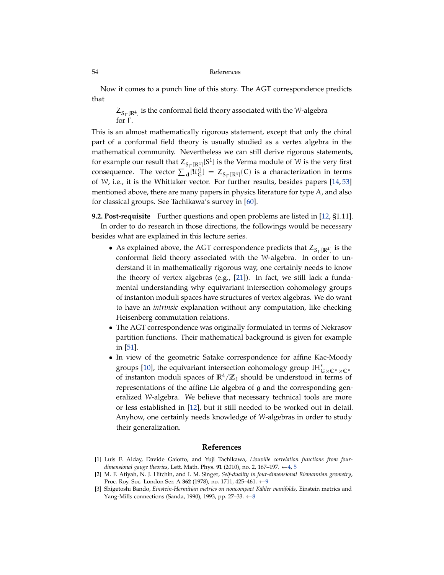Now it comes to a punch line of this story. The AGT correspondence predicts that

 $Z_{S_{\Gamma}[\mathbb{R}^4]}$  is the conformal field theory associated with the W-algebra for  $Γ$ .

This is an almost mathematically rigorous statement, except that only the chiral part of a conformal field theory is usually studied as a vertex algebra in the mathematical community. Nevertheless we can still derive rigorous statements, for example our result that  $Z_{S_{\Gamma}[\mathbb{R}^4]}[S^1]$  is the Verma module of W is the very first consequence. The vector  $\sum_{d} [\mathcal{U}_{G}^{d}] = Z_{S_{\Gamma}[\mathbb{R}^{4}]}(C)$  is a characterization in terms of W, i.e., it is the Whittaker vector. For further results, besides papers [\[14,](#page-54-24) [53\]](#page-55-25) mentioned above, there are many papers in physics literature for type A, and also for classical groups. See Tachikawa's survey in [\[60\]](#page-56-5).

**9.2. Post-requisite** Further questions and open problems are listed in [\[12,](#page-54-1) §1.11]. In order to do research in those directions, the followings would be necessary besides what are explained in this lecture series.

- As explained above, the AGT correspondence predicts that  $Z_{S_{\Gamma}[\mathbb{R}^4]}$  is the conformal field theory associated with the W-algebra. In order to understand it in mathematically rigorous way, one certainly needs to know the theory of vertex algebras (e.g., [\[21\]](#page-54-4)). In fact, we still lack a fundamental understanding why equivariant intersection cohomology groups of instanton moduli spaces have structures of vertex algebras. We do want to have an *intrinsic* explanation without any computation, like checking Heisenberg commutation relations.
- The AGT correspondence was originally formulated in terms of Nekrasov partition functions. Their mathematical background is given for example in [\[51\]](#page-55-26).
- In view of the geometric Satake correspondence for affine Kac-Moody groups [\[10\]](#page-54-9), the equivariant intersection cohomology group IH<sup>\*</sup><sub>G×</sub>C×<sub>×</sub>C×<sup>→</sup> of instanton moduli spaces of  $\mathbb{R}^4/\mathbb{Z}_{\ell}$  should be understood in terms of representations of the affine Lie algebra of g and the corresponding generalized W-algebra. We believe that necessary technical tools are more or less established in [\[12\]](#page-54-1), but it still needed to be worked out in detail. Anyhow, one certainly needs knowledge of W-algebras in order to study their generalization.

# **References**

- <span id="page-53-0"></span>[1] Luis F. Alday, Davide Gaiotto, and Yuji Tachikawa, *Liouville correlation functions from fourdimensional gauge theories*, Lett. Math. Phys. **91** (2010), no. 2, 167–197. ←[4,](#page-3-1) [5](#page-4-2)
- <span id="page-53-2"></span>[2] M. F. Atiyah, N. J. Hitchin, and I. M. Singer, *Self-duality in four-dimensional Riemannian geometry*, Proc. Roy. Soc. London Ser. A **362** (1978), no. 1711, 425–461. ←[9](#page-8-3)
- <span id="page-53-1"></span>[3] Shigetoshi Bando, *Einstein-Hermitian metrics on noncompact Kähler manifolds*, Einstein metrics and Yang-Mills connections (Sanda, 1990), 1993, pp. 27–33.  $\leftarrow$ [8](#page-7-3)

<span id="page-53-3"></span>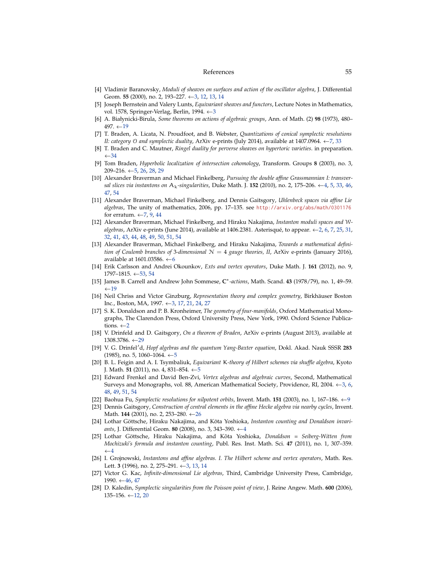#### References 55

- <span id="page-54-6"></span>[4] Vladimir Baranovsky, *Moduli of sheaves on surfaces and action of the oscillator algebra*, J. Differential Geom. **55** (2000), no. 2, 193–227. ←[3,](#page-2-0) [12,](#page-11-3) [13,](#page-12-2) [14](#page-13-3)
- <span id="page-54-3"></span>[5] Joseph Bernstein and Valery Lunts, *Equivariant sheaves and functors*, Lecture Notes in Mathematics, vol. 1578, Springer-Verlag, Berlin, 1994. ←[3](#page-2-0)
- <span id="page-54-18"></span>[6] A. Białynicki-Birula, *Some theorems on actions of algebraic groups*, Ann. of Math. (2) **98** (1973), 480– 497. ←[19](#page-18-4)
- <span id="page-54-14"></span>[7] T. Braden, A. Licata, N. Proudfoot, and B. Webster, *Quantizations of conical symplectic resolutions II: category* O *and symplectic duality*, ArXiv e-prints (July 2014), available at 1407.0964. ←[7,](#page-6-1) [33](#page-32-2)
- <span id="page-54-22"></span>[8] T. Braden and C. Mautner, *Ringel duality for perverse sheaves on hypertoric varieties*. in preparation.  $-34$  $-34$
- <span id="page-54-12"></span>[9] Tom Braden, *Hyperbolic localization of intersection cohomology*, Transform. Groups **8** (2003), no. 3, 209–216.  $\leftarrow$  [5,](#page-4-2) [26,](#page-25-4) [28,](#page-27-1) [29](#page-28-5)
- <span id="page-54-9"></span>[10] Alexander Braverman and Michael Finkelberg, *Pursuing the double affine Grassmannian I: transversal slices via instantons on*  $A_k$ -singularities, Duke Math. J. **152** (2010), no. 2, 175–206.  $\leftarrow$ [4,](#page-3-1) [5,](#page-4-2) [33,](#page-32-2) [46,](#page-45-0) [47,](#page-46-1) [54](#page-53-3)
- <span id="page-54-15"></span>[11] Alexander Braverman, Michael Finkelberg, and Dennis Gaitsgory, *Uhlenbeck spaces via affine Lie algebras*, The unity of mathematics, 2006, pp. 17–135. see <http://arxiv.org/abs/math/0301176> for erratum.  $\leftarrow$  [7,](#page-6-1) [9,](#page-8-3) [44](#page-43-2)
- <span id="page-54-1"></span>[12] Alexander Braverman, Michael Finkelberg, and Hiraku Nakajima, *Instanton moduli spaces and* W*algebras*, ArXiv e-prints (June 2014), available at 1406.2381. Asterisqué, to appear. ←[2,](#page-1-1) [6,](#page-5-0) [7,](#page-6-1) [25,](#page-24-2) [31,](#page-30-1) [32,](#page-31-3) [41,](#page-40-3) [43,](#page-42-1) [44,](#page-43-2) [48,](#page-47-3) [49,](#page-48-1) [50,](#page-49-3) [51,](#page-50-4) [54](#page-53-3)
- <span id="page-54-13"></span>[13] Alexander Braverman, Michael Finkelberg, and Hiraku Nakajima, *Towards a mathematical definition of Coulomb branches of* 3*-dimensional* N = 4 *gauge theories, II*, ArXiv e-prints (January 2016), available at 1[6](#page-5-0)01.03586.  $\leftarrow$  6
- <span id="page-54-24"></span>[14] Erik Carlsson and Andrei Okounkov, *Exts and vertex operators*, Duke Math. J. **161** (2012), no. 9, 1797–1815. ←[53,](#page-52-0) [54](#page-53-3)
- <span id="page-54-19"></span>[15] James B. Carrell and Andrew John Sommese, **C** ∗ *-actions*, Math. Scand. **43** (1978/79), no. 1, 49–59.  $\leftarrow$ [19](#page-18-4)
- <span id="page-54-2"></span>[16] Neil Chriss and Victor Ginzburg, *Representation theory and complex geometry*, Birkhäuser Boston Inc., Boston, MA, 1997. ←[3,](#page-2-0) [17,](#page-16-3) [21,](#page-20-2) [24,](#page-23-0) [27](#page-26-8)
- <span id="page-54-0"></span>[17] S. K. Donaldson and P. B. Kronheimer, *The geometry of four-manifolds*, Oxford Mathematical Monographs, The Clarendon Press, Oxford University Press, New York, 1990. Oxford Science Publications.  $\leftarrow$  [2](#page-1-1)
- <span id="page-54-21"></span>[18] V. Drinfeld and D. Gaitsgory, *On a theorem of Braden*, ArXiv e-prints (August 2013), available at  $1308.3786. \leftarrow 29$  $1308.3786. \leftarrow 29$
- <span id="page-54-11"></span>[19] V. G. Drinfel′d, *Hopf algebras and the quantum Yang-Baxter equation*, Dokl. Akad. Nauk SSSR **283** (198[5](#page-4-2)), no. 5, 1060–1064. ←5
- <span id="page-54-10"></span>[20] B. L. Feigin and A. I. Tsymbaliuk, *Equivariant* K*-theory of Hilbert schemes via shuffle algebra*, Kyoto J. Math. **51** (2011), no. 4, 831–854. ←[5](#page-4-2)
- <span id="page-54-4"></span>[21] Edward Frenkel and David Ben-Zvi, *Vertex algebras and algebraic curves*, Second, Mathematical Surveys and Monographs, vol. 88, American Mathematical Society, Providence, RI, 2004.  $\leftarrow$ [3,](#page-2-0) [6,](#page-5-0) [48,](#page-47-3) [49,](#page-48-1) [51,](#page-50-4) [54](#page-53-3)
- <span id="page-54-16"></span>[22] Baohua Fu, *Symplectic resolutions for nilpotent orbits*, Invent. Math. **151** (2003), no. 1, 167–186. ←[9](#page-8-3)
- <span id="page-54-20"></span>[23] Dennis Gaitsgory, *Construction of central elements in the affine Hecke algebra via nearby cycles*, Invent. Math. **144** (2001), no. 2, 253–280. ←[26](#page-25-4)
- <span id="page-54-7"></span>[24] Lothar Göttsche, Hiraku Nakajima, and Kōta Yoshioka, *Instanton counting and Donaldson invariants*, J. Differential Geom. **80** (2008), no. 3, 343–390. ←[4](#page-3-1)
- <span id="page-54-8"></span>[25] Lothar Göttsche, Hiraku Nakajima, and Kōta Yoshioka, *Donaldson = Seiberg-Witten from Mochizuki's formula and instanton counting*, Publ. Res. Inst. Math. Sci. **47** (2011), no. 1, 307–359.  $\leftarrow$ [4](#page-3-1)
- <span id="page-54-5"></span>[26] I. Grojnowski, *Instantons and affine algebras. I. The Hilbert scheme and vertex operators*, Math. Res. Lett. **3** (1996), no. 2, 275–291. ←[3,](#page-2-0) [13,](#page-12-2) [14](#page-13-3)
- <span id="page-54-23"></span>[27] Victor G. Kac, *Infinite-dimensional Lie algebras*, Third, Cambridge University Press, Cambridge, 1990. ←[46,](#page-45-0) [47](#page-46-1)
- <span id="page-54-17"></span>[28] D. Kaledin, *Symplectic singularities from the Poisson point of view*, J. Reine Angew. Math. **600** (2006), 135–156.  $\leftarrow$  [12,](#page-11-3) [20](#page-19-4)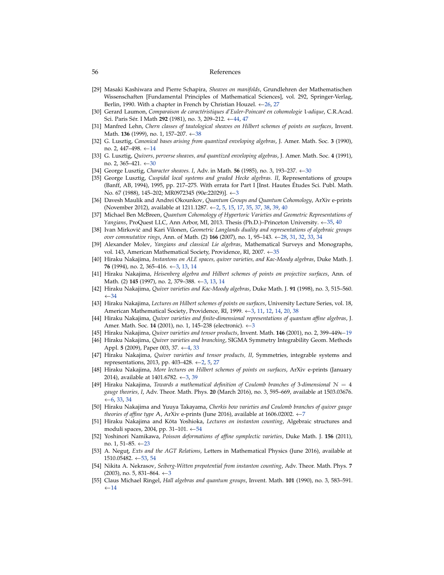#### 56 References

- <span id="page-55-16"></span>[29] Masaki Kashiwara and Pierre Schapira, *Sheaves on manifolds*, Grundlehren der Mathematischen Wissenschaften [Fundamental Principles of Mathematical Sciences], vol. 292, Springer-Verlag, Berlin, 1990. With a chapter in French by Christian Houzel. ←[26,](#page-25-4) [27](#page-26-8)
- <span id="page-55-24"></span>[30] Gerard Laumon, *Comparaison de caractéristiques d'Euler-Poincaré en cohomologie* l*-adique*, C.R.Acad. Sci. Paris Sér. I Math **292** (1981), no. 3, 209–212. ←[44,](#page-43-2) [47](#page-46-1)
- <span id="page-55-23"></span>[31] Manfred Lehn, *Chern classes of tautological sheaves on Hilbert schemes of points on surfaces*, Invent. Math. **136** (1999), no. 1, 157–207. ←[38](#page-37-3)
- <span id="page-55-13"></span>[32] G. Lusztig, *Canonical bases arising from quantized enveloping algebras*, J. Amer. Math. Soc. **3** (1990), no. 2, 447–498. ←[14](#page-13-3)
- <span id="page-55-19"></span>[33] G. Lusztig, *Quivers, perverse sheaves, and quantized enveloping algebras*, J. Amer. Math. Soc. **4** (1991), no. 2, 365–421.  $\leftarrow$ [30](#page-29-0)
- <span id="page-55-18"></span>[34] George Lusztig, *Character sheaves. I*, Adv. in Math. **56** (1985), no. 3, 193–237. ←[30](#page-29-0)
- <span id="page-55-4"></span>[35] George Lusztig, *Cuspidal local systems and graded Hecke algebras. II*, Representations of groups (Banff, AB, 1994), 1995, pp. 217–275. With errata for Part I [Inst. Hautes Études Sci. Publ. Math. No. 67 (1988), 145–202; MR0972345 (90e:22029)]. ←[3](#page-2-0)
- <span id="page-55-0"></span>[36] Davesh Maulik and Andrei Okounkov, *Quantum Groups and Quantum Cohomology*, ArXiv e-prints (November 2012), available at 1211.1287. ←[2,](#page-1-1) [5,](#page-4-2) [15,](#page-14-1) [17,](#page-16-3) [35,](#page-34-0) [37,](#page-36-4) [38,](#page-37-3) [39,](#page-38-2) [40](#page-39-2)
- <span id="page-55-22"></span>[37] Michael Ben McBreen, *Quantum Cohomology of Hypertoric Varieties and Geometric Representations of Yangians*, ProQuest LLC, Ann Arbor, MI, 2013. Thesis (Ph.D.)–Princeton University. ←[35,](#page-34-0) [40](#page-39-2)
- <span id="page-55-17"></span>[38] Ivan Mirkovi´c and Kari Vilonen, *Geometric Langlands duality and representations of algebraic groups over commutative rings*, Ann. of Math. (2) **166** (2007), no. 1, 95–143. ←[28,](#page-27-1) [31,](#page-30-1) [32,](#page-31-3) [33,](#page-32-2) [34](#page-33-1)
- <span id="page-55-21"></span>[39] Alexander Molev, *Yangians and classical Lie algebras*, Mathematical Surveys and Monographs, vol. 143, American Mathematical Society, Providence, RI, 2007. ←[35](#page-34-0)
- <span id="page-55-5"></span>[40] Hiraku Nakajima, *Instantons on ALE spaces, quiver varieties, and Kac-Moody algebras*, Duke Math. J. **76** (1994), no. 2, 365–416. ←[3,](#page-2-0) [13,](#page-12-2) [14](#page-13-3)
- <span id="page-55-6"></span>[41] Hiraku Nakajima, *Heisenberg algebra and Hilbert schemes of points on projective surfaces*, Ann. of Math. (2) **145** (1997), no. 2, 379–388. ←[3,](#page-2-0) [13,](#page-12-2) [14](#page-13-3)
- <span id="page-55-20"></span>[42] Hiraku Nakajima, *Quiver varieties and Kac-Moody algebras*, Duke Math. J. **91** (1998), no. 3, 515–560.  $\leftarrow 34$  $\leftarrow 34$
- <span id="page-55-2"></span>[43] Hiraku Nakajima, *Lectures on Hilbert schemes of points on surfaces*, University Lecture Series, vol. 18, American Mathematical Society, Providence, RI, 1999. ←[3,](#page-2-0) [11,](#page-10-0) [12,](#page-11-3) [14,](#page-13-3) [20,](#page-19-4) [38](#page-37-3)
- <span id="page-55-7"></span>[44] Hiraku Nakajima, *Quiver varieties and finite-dimensional representations of quantum affine algebras*, J. Amer. Math. Soc. **14** (2001), no. 1, 145–238 (electronic). ←[3](#page-2-0)
- <span id="page-55-14"></span>[45] Hiraku Nakajima, *Quiver varieties and tensor products*, Invent. Math. **146** (2001), no. 2, 399–449.←[19](#page-18-4)
- <span id="page-55-9"></span>[46] Hiraku Nakajima, *Quiver varieties and branching*, SIGMA Symmetry Integrability Geom. Methods Appl. **5** (2009), Paper 003, 37. ←[4,](#page-3-1) [33](#page-32-2)
- <span id="page-55-1"></span>[47] Hiraku Nakajima, *Quiver varieties and tensor products, II*, Symmetries, integrable systems and representations, 2013, pp. 403–428. ←[2,](#page-1-1) [5,](#page-4-2) [27](#page-26-8)
- <span id="page-55-3"></span>[48] Hiraku Nakajima, *More lectures on Hilbert schemes of points on surfaces*, ArXiv e-prints (January 2014), available at 1401.6782.  $\leftarrow$ [3,](#page-2-0) [39](#page-38-2)
- <span id="page-55-10"></span>[49] Hiraku Nakajima, *Towards a mathematical definition of Coulomb branches of* 3*-dimensional* N = 4 *gauge theories, I*, Adv. Theor. Math. Phys. **20** (March 2016), no. 3, 595–669, available at 1503.03676. ← $6, 33, 34$  $6, 33, 34$  $6, 33, 34$  $6, 33, 34$  $6, 33, 34$
- <span id="page-55-11"></span>[50] Hiraku Nakajima and Yuuya Takayama, *Cherkis bow varieties and Coulomb branches of quiver gauge theories of affine type* A, ArXiv e-prints (June 2016), available at 1606.02002. ←[7](#page-6-1)
- <span id="page-55-26"></span>[51] Hiraku Nakajima and Kōta Yoshioka, *Lectures on instanton counting*, Algebraic structures and moduli spaces, 2004, pp. 31–101. ←[54](#page-53-3)
- <span id="page-55-15"></span>[52] Yoshinori Namikawa, *Poisson deformations of affine symplectic varieties*, Duke Math. J. **156** (2011), no. 1, 51–85. ←[23](#page-22-1)
- <span id="page-55-25"></span>[53] A. Negut, *Exts and the AGT Relations*, Letters in Mathematical Physics (June 2016), available at 1510.05482. ←[53,](#page-52-0) [54](#page-53-3)
- <span id="page-55-8"></span>[54] Nikita A. Nekrasov, *Seiberg-Witten prepotential from instanton counting*, Adv. Theor. Math. Phys. **7**  $(2003)$  $(2003)$  $(2003)$ , no. 5, 831–864.  $\leftarrow$ 3
- <span id="page-55-12"></span>[55] Claus Michael Ringel, *Hall algebras and quantum groups*, Invent. Math. **101** (1990), no. 3, 583–591.  $\leftarrow$ [14](#page-13-3)